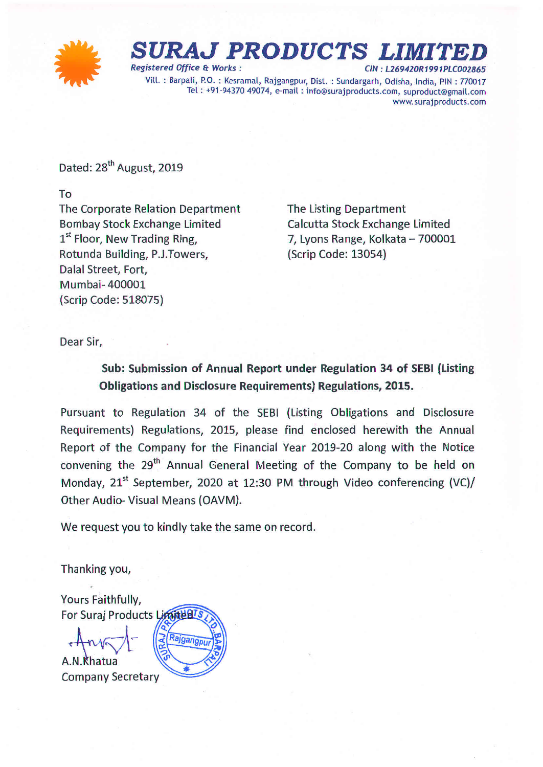

**SURAJ PRODUCTS** 

*Registered Office Et Works : CIN : L269420R1991PLC002865* Vill. : Barpali, P.O. : Kesramal, Rajgangpur, Dist. : Sundargarh, Odisha, India, PIN: 770017 Tel: +91-94370 49074, e-mail: info@surajproducts.com, suproduct@gmail.com www.surajproducts.com

Dated: 28<sup>th</sup> August, 2019

To

The Corporate Relation Department Bombay Stock Exchange Limited L<sup>st</sup> Floor, New Trading Ring, Rotunda Building, P.J.Towers, Dalal Street, Fort, Mumbai- 400001 (Scrip Code: 518075)

The Listing Department Calcutta Stock Exchange Limited 7, Lyons Range, Kolkata - 700001 (Scrip Code: 13054)

Dear Sir,

**Sub: Submission of Annual Report under Regulation 34 of SEBI (Listing Obligations and Disclosure Requirements) Regulations, 2015.**

Pursuant to Regulation 34 of the SEBI (Listing Obligations and Disclosure Requirements) Regulations, 2015, please find enclosed herewith the Annual Report of the Company for the Financial Year 2019-20 along with the Notice convening the 29<sup>th</sup> Annual General Meeting of the Company to be held on Monday, 21<sup>st</sup> September, 2020 at 12:30 PM through Video conferencing (VC)/ Other Audio- Visual Means (OAVM).

We request you to kindly take the same on record.

Thanking you,

Yours Faithfully, For Suraj Products Limited !! Rajgangpu

 $A \times$ Khatua Company Secretary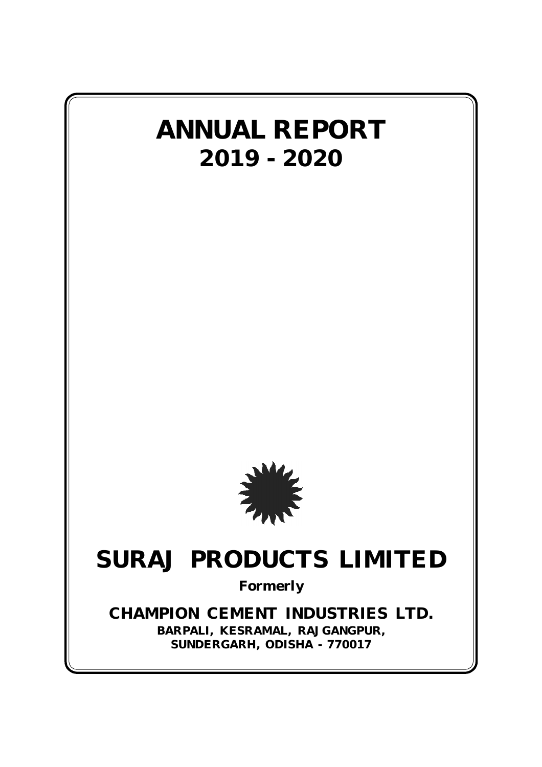# **ANNUAL REPORT 2019 - 2020**

**SURAJ PRODUCTS LIMITED**



# **SURAJ PRODUCTS LIMITED**

*Formerly*

**CHAMPION CEMENT INDUSTRIES LTD. BARPALI, KESRAMAL, RAJGANGPUR, SUNDERGARH, ODISHA - 770017**

**1**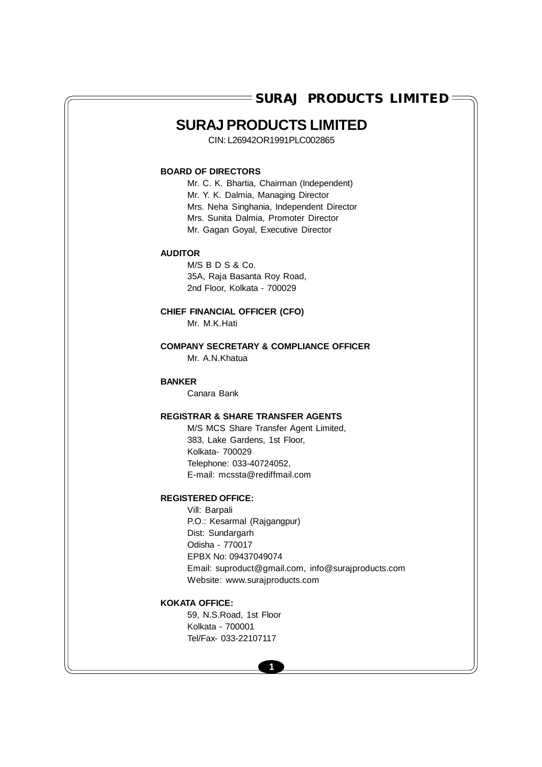## **SURAJ PRODUCTS LIMITED**

CIN: L26942OR1991PLC002865

### **BOARD OF DIRECTORS**

Mr. C. K. Bhartia, Chairman (Independent) Mr. Y. K. Dalmia, Managing Director Mrs. Neha Singhania, Independent Director Mrs. Sunita Dalmia, Promoter Director Mr. Gagan Goyal, Executive Director

#### **AUDITOR**

M/S B D S & Co. 35A, Raja Basanta Roy Road, 2nd Floor, Kolkata - 700029

### **CHIEF FINANCIAL OFFICER (CFO)**

Mr. M.K.Hati

**COMPANY SECRETARY & COMPLIANCE OFFICER** Mr. A.N.Khatua

### **BANKER**

Canara Bank

### **REGISTRAR & SHARE TRANSFER AGENTS**

M/S MCS Share Transfer Agent Limited, 383, Lake Gardens, 1st Floor, Kolkata- 700029 Telephone: 033-40724052, E-mail: mcssta@rediffmail.com

## **REGISTERED OFFICE:**

Vill: Barpali P.O.: Kesarmal (Rajgangpur) Dist: Sundargarh Odisha - 770017 EPBX No: 09437049074 Email: suproduct@gmail.com, info@surajproducts.com Website: www.surajproducts.com

## **KOKATA OFFICE:**

59, N.S.Road, 1st Floor Kolkata - 700001 Tel/Fax- 033-22107117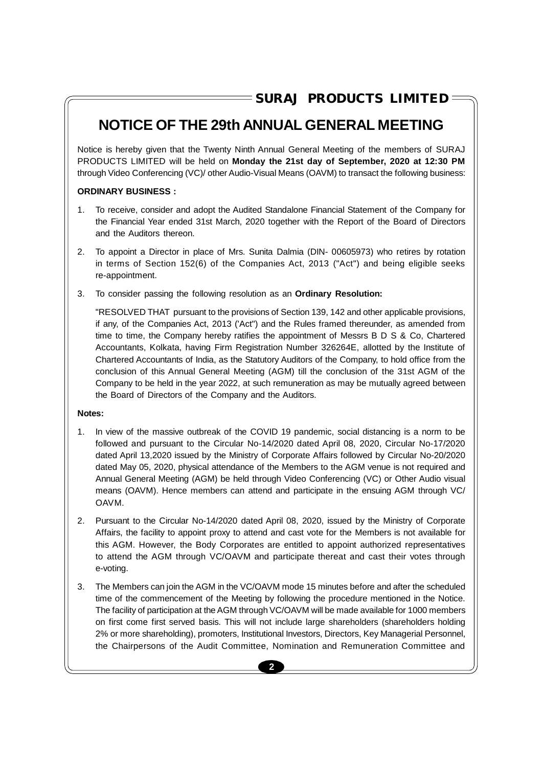## **NOTICE OF THE 29th ANNUAL GENERAL MEETING**

Notice is hereby given that the Twenty Ninth Annual General Meeting of the members of SURAJ PRODUCTS LIMITED will be held on **Monday the 21st day of September, 2020 at 12:30 PM** through Video Conferencing (VC)/ other Audio-Visual Means (OAVM) to transact the following business:

## **ORDINARY BUSINESS :**

- 1. To receive, consider and adopt the Audited Standalone Financial Statement of the Company for the Financial Year ended 31st March, 2020 together with the Report of the Board of Directors and the Auditors thereon.
- 2. To appoint a Director in place of Mrs. Sunita Dalmia (DIN- 00605973) who retires by rotation in terms of Section 152(6) of the Companies Act, 2013 ("Act") and being eligible seeks re-appointment.
- 3. To consider passing the following resolution as an **Ordinary Resolution:**

"RESOLVED THAT pursuant to the provisions of Section 139, 142 and other applicable provisions, if any, of the Companies Act, 2013 ('Act") and the Rules framed thereunder, as amended from time to time, the Company hereby ratifies the appointment of Messrs B D S & Co, Chartered Accountants, Kolkata, having Firm Registration Number 326264E, allotted by the Institute of Chartered Accountants of India, as the Statutory Auditors of the Company, to hold office from the conclusion of this Annual General Meeting (AGM) till the conclusion of the 31st AGM of the Company to be held in the year 2022, at such remuneration as may be mutually agreed between the Board of Directors of the Company and the Auditors.

## **Notes:**

- 1. In view of the massive outbreak of the COVID 19 pandemic, social distancing is a norm to be followed and pursuant to the Circular No-14/2020 dated April 08, 2020, Circular No-17/2020 dated April 13,2020 issued by the Ministry of Corporate Affairs followed by Circular No-20/2020 dated May 05, 2020, physical attendance of the Members to the AGM venue is not required and Annual General Meeting (AGM) be held through Video Conferencing (VC) or Other Audio visual means (OAVM). Hence members can attend and participate in the ensuing AGM through VC/ OAVM.
- 2. Pursuant to the Circular No-14/2020 dated April 08, 2020, issued by the Ministry of Corporate Affairs, the facility to appoint proxy to attend and cast vote for the Members is not available for this AGM. However, the Body Corporates are entitled to appoint authorized representatives to attend the AGM through VC/OAVM and participate thereat and cast their votes through e-voting.
- 3. The Members can join the AGM in the VC/OAVM mode 15 minutes before and after the scheduled time of the commencement of the Meeting by following the procedure mentioned in the Notice. The facility of participation at the AGM through VC/OAVM will be made available for 1000 members on first come first served basis. This will not include large shareholders (shareholders holding 2% or more shareholding), promoters, Institutional Investors, Directors, Key Managerial Personnel, the Chairpersons of the Audit Committee, Nomination and Remuneration Committee and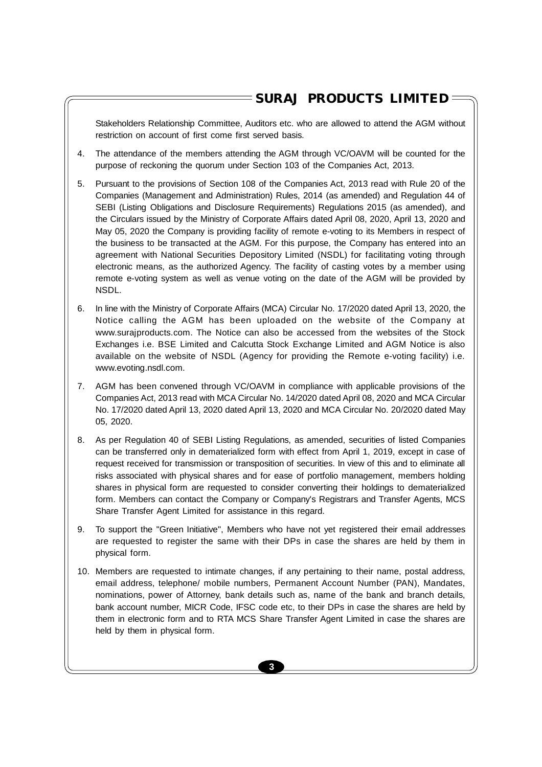Stakeholders Relationship Committee, Auditors etc. who are allowed to attend the AGM without restriction on account of first come first served basis.

- 4. The attendance of the members attending the AGM through VC/OAVM will be counted for the purpose of reckoning the quorum under Section 103 of the Companies Act, 2013.
- 5. Pursuant to the provisions of Section 108 of the Companies Act, 2013 read with Rule 20 of the Companies (Management and Administration) Rules, 2014 (as amended) and Regulation 44 of SEBI (Listing Obligations and Disclosure Requirements) Regulations 2015 (as amended), and the Circulars issued by the Ministry of Corporate Affairs dated April 08, 2020, April 13, 2020 and May 05, 2020 the Company is providing facility of remote e-voting to its Members in respect of the business to be transacted at the AGM. For this purpose, the Company has entered into an agreement with National Securities Depository Limited (NSDL) for facilitating voting through electronic means, as the authorized Agency. The facility of casting votes by a member using remote e-voting system as well as venue voting on the date of the AGM will be provided by NSDL.
- 6. In line with the Ministry of Corporate Affairs (MCA) Circular No. 17/2020 dated April 13, 2020, the Notice calling the AGM has been uploaded on the website of the Company at www.surajproducts.com. The Notice can also be accessed from the websites of the Stock Exchanges i.e. BSE Limited and Calcutta Stock Exchange Limited and AGM Notice is also available on the website of NSDL (Agency for providing the Remote e-voting facility) i.e. www.evoting.nsdl.com.
- 7. AGM has been convened through VC/OAVM in compliance with applicable provisions of the Companies Act, 2013 read with MCA Circular No. 14/2020 dated April 08, 2020 and MCA Circular No. 17/2020 dated April 13, 2020 dated April 13, 2020 and MCA Circular No. 20/2020 dated May 05, 2020.
- 8. As per Regulation 40 of SEBI Listing Regulations, as amended, securities of listed Companies can be transferred only in dematerialized form with effect from April 1, 2019, except in case of request received for transmission or transposition of securities. In view of this and to eliminate all risks associated with physical shares and for ease of portfolio management, members holding shares in physical form are requested to consider converting their holdings to dematerialized form. Members can contact the Company or Company's Registrars and Transfer Agents, MCS Share Transfer Agent Limited for assistance in this regard.
- 9. To support the "Green Initiative", Members who have not yet registered their email addresses are requested to register the same with their DPs in case the shares are held by them in physical form.
- 10. Members are requested to intimate changes, if any pertaining to their name, postal address, email address, telephone/ mobile numbers, Permanent Account Number (PAN), Mandates, nominations, power of Attorney, bank details such as, name of the bank and branch details, bank account number, MICR Code, IFSC code etc, to their DPs in case the shares are held by them in electronic form and to RTA MCS Share Transfer Agent Limited in case the shares are held by them in physical form.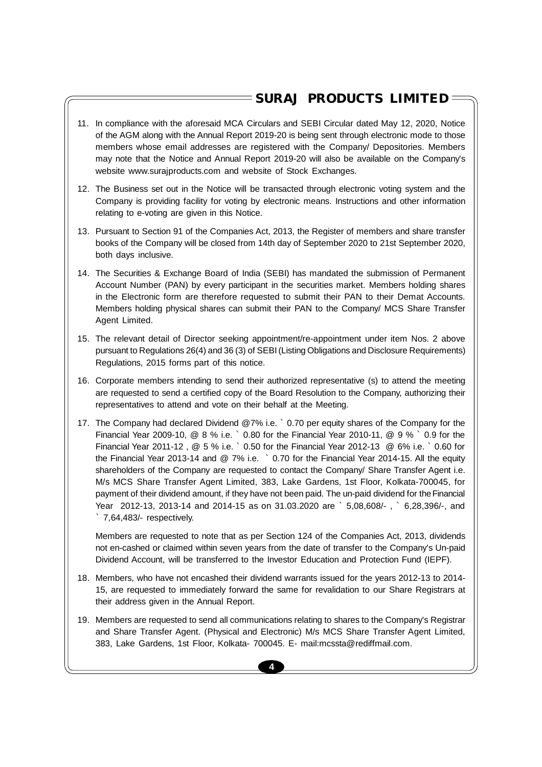## <code>=SURAJ PRODUCTS LIMITED</code>  $\equiv$

- 11. In compliance with the aforesaid MCA Circulars and SEBI Circular dated May 12, 2020, Notice of the AGM along with the Annual Report 2019-20 is being sent through electronic mode to those members whose email addresses are registered with the Company/ Depositories. Members may note that the Notice and Annual Report 2019-20 will also be available on the Company's website www.surajproducts.com and website of Stock Exchanges.
- 12. The Business set out in the Notice will be transacted through electronic voting system and the Company is providing facility for voting by electronic means. Instructions and other information relating to e-voting are given in this Notice.
- 13. Pursuant to Section 91 of the Companies Act, 2013, the Register of members and share transfer books of the Company will be closed from 14th day of September 2020 to 21st September 2020, both days inclusive.
- 14. The Securities & Exchange Board of India (SEBI) has mandated the submission of Permanent Account Number (PAN) by every participant in the securities market. Members holding shares in the Electronic form are therefore requested to submit their PAN to their Demat Accounts. Members holding physical shares can submit their PAN to the Company/ MCS Share Transfer Agent Limited.
- 15. The relevant detail of Director seeking appointment/re-appointment under item Nos. 2 above pursuant to Regulations 26(4) and 36 (3) of SEBI (Listing Obligations and Disclosure Requirements) Regulations, 2015 forms part of this notice.
- 16. Corporate members intending to send their authorized representative (s) to attend the meeting are requested to send a certified copy of the Board Resolution to the Company, authorizing their representatives to attend and vote on their behalf at the Meeting.
- 17. The Company had declared Dividend @7% i.e. ` 0.70 per equity shares of the Company for the Financial Year 2009-10, @ 8 % i.e. ` 0.80 for the Financial Year 2010-11, @ 9 % ` 0.9 for the Financial Year 2011-12 , @ 5 % i.e. ` 0.50 for the Financial Year 2012-13 @ 6% i.e. ` 0.60 for the Financial Year 2013-14 and @ 7% i.e. ` 0.70 for the Financial Year 2014-15. All the equity shareholders of the Company are requested to contact the Company/ Share Transfer Agent i.e. M/s MCS Share Transfer Agent Limited, 383, Lake Gardens, 1st Floor, Kolkata-700045, for payment of their dividend amount, if they have not been paid. The un-paid dividend for the Financial Year 2012-13, 2013-14 and 2014-15 as on 31.03.2020 are ` 5,08,608/- , ` 6,28,396/-, and ` 7,64,483/- respectively.

Members are requested to note that as per Section 124 of the Companies Act, 2013, dividends not en-cashed or claimed within seven years from the date of transfer to the Company's Un-paid Dividend Account, will be transferred to the Investor Education and Protection Fund (IEPF).

- 18. Members, who have not encashed their dividend warrants issued for the years 2012-13 to 2014- 15, are requested to immediately forward the same for revalidation to our Share Registrars at their address given in the Annual Report.
- 19. Members are requested to send all communications relating to shares to the Company's Registrar and Share Transfer Agent. (Physical and Electronic) M/s MCS Share Transfer Agent Limited, 383, Lake Gardens, 1st Floor, Kolkata- 700045. E- mail:mcssta@rediffmail.com.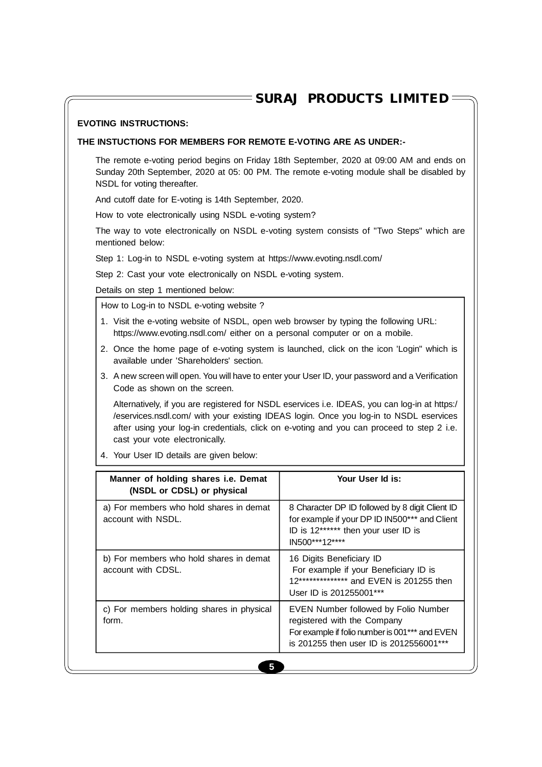### **EVOTING INSTRUCTIONS:**

### **THE INSTUCTIONS FOR MEMBERS FOR REMOTE E-VOTING ARE AS UNDER:-**

The remote e-voting period begins on Friday 18th September, 2020 at 09:00 AM and ends on Sunday 20th September, 2020 at 05: 00 PM. The remote e-voting module shall be disabled by NSDL for voting thereafter.

And cutoff date for E-voting is 14th September, 2020.

How to vote electronically using NSDL e-voting system?

The way to vote electronically on NSDL e-voting system consists of "Two Steps" which are mentioned below:

Step 1: Log-in to NSDL e-voting system at https://www.evoting.nsdl.com/

Step 2: Cast your vote electronically on NSDL e-voting system.

Details on step 1 mentioned below:

How to Log-in to NSDL e-voting website ?

- 1. Visit the e-voting website of NSDL, open web browser by typing the following URL: https://www.evoting.nsdl.com/ either on a personal computer or on a mobile.
- 2. Once the home page of e-voting system is launched, click on the icon 'Login" which is available under 'Shareholders' section.
- 3. A new screen will open. You will have to enter your User ID, your password and a Verification Code as shown on the screen.

Alternatively, if you are registered for NSDL eservices i.e. IDEAS, you can log-in at https:/ /eservices.nsdl.com/ with your existing IDEAS login. Once you log-in to NSDL eservices after using your log-in credentials, click on e-voting and you can proceed to step 2 i.e. cast your vote electronically.

4. Your User ID details are given below:

| Manner of holding shares i.e. Demat<br>(NSDL or CDSL) or physical | Your User Id is:                                                                                                                                                 |
|-------------------------------------------------------------------|------------------------------------------------------------------------------------------------------------------------------------------------------------------|
| a) For members who hold shares in demat<br>account with NSDL.     | 8 Character DP ID followed by 8 digit Client ID<br>for example if your DP ID IN500*** and Client<br>ID is 12****** then your user ID is<br>IN500***12****        |
| b) For members who hold shares in demat<br>account with CDSL.     | 16 Digits Beneficiary ID<br>For example if your Beneficiary ID is<br>12************** and EVEN is 201255 then<br>User ID is 201255001***                         |
| c) For members holding shares in physical<br>form.                | EVEN Number followed by Folio Number<br>registered with the Company<br>For example if folio number is 001*** and EVEN<br>is 201255 then user ID is 2012556001*** |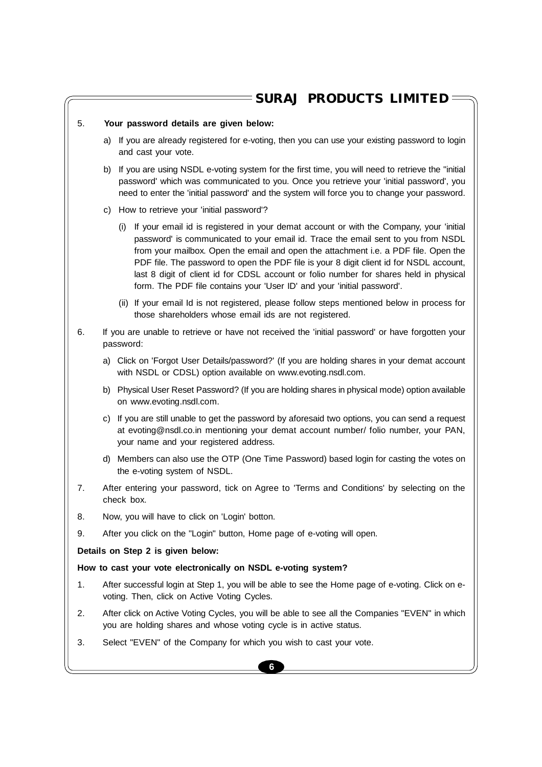### 5. **Your password details are given below:**

- a) If you are already registered for e-voting, then you can use your existing password to login and cast your vote.
- b) If you are using NSDL e-voting system for the first time, you will need to retrieve the "initial password' which was communicated to you. Once you retrieve your 'initial password', you need to enter the 'initial password' and the system will force you to change your password.
- c) How to retrieve your 'initial password'?
	- (i) If your email id is registered in your demat account or with the Company, your 'initial password' is communicated to your email id. Trace the email sent to you from NSDL from your mailbox. Open the email and open the attachment i.e. a PDF file. Open the PDF file. The password to open the PDF file is your 8 digit client id for NSDL account, last 8 digit of client id for CDSL account or folio number for shares held in physical form. The PDF file contains your 'User ID' and your 'initial password'.
	- (ii) If your email Id is not registered, please follow steps mentioned below in process for those shareholders whose email ids are not registered.
- 6. If you are unable to retrieve or have not received the 'initial password' or have forgotten your password:
	- a) Click on 'Forgot User Details/password?' (If you are holding shares in your demat account with NSDL or CDSL) option available on www.evoting.nsdl.com.
	- b) Physical User Reset Password? (If you are holding shares in physical mode) option available on www.evoting.nsdl.com.
	- c) If you are still unable to get the password by aforesaid two options, you can send a request at evoting@nsdl.co.in mentioning your demat account number/ folio number, your PAN, your name and your registered address.
	- d) Members can also use the OTP (One Time Password) based login for casting the votes on the e-voting system of NSDL.
- 7. After entering your password, tick on Agree to 'Terms and Conditions' by selecting on the check box.
- 8. Now, you will have to click on 'Login' botton.
- 9. After you click on the "Login" button, Home page of e-voting will open.

#### **Details on Step 2 is given below:**

#### **How to cast your vote electronically on NSDL e-voting system?**

- 1. After successful login at Step 1, you will be able to see the Home page of e-voting. Click on evoting. Then, click on Active Voting Cycles.
- 2. After click on Active Voting Cycles, you will be able to see all the Companies "EVEN" in which you are holding shares and whose voting cycle is in active status.
- 3. Select "EVEN" of the Company for which you wish to cast your vote.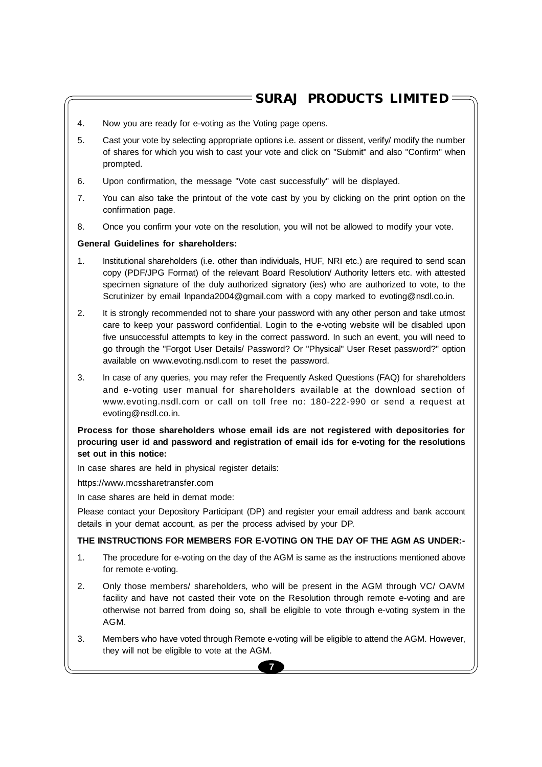- 4. Now you are ready for e-voting as the Voting page opens.
- 5. Cast your vote by selecting appropriate options i.e. assent or dissent, verify/ modify the number of shares for which you wish to cast your vote and click on "Submit" and also "Confirm" when prompted.
- 6. Upon confirmation, the message "Vote cast successfully" will be displayed.
- 7. You can also take the printout of the vote cast by you by clicking on the print option on the confirmation page.
- 8. Once you confirm your vote on the resolution, you will not be allowed to modify your vote.

### **General Guidelines for shareholders:**

- 1. Institutional shareholders (i.e. other than individuals, HUF, NRI etc.) are required to send scan copy (PDF/JPG Format) of the relevant Board Resolution/ Authority letters etc. with attested specimen signature of the duly authorized signatory (ies) who are authorized to vote, to the Scrutinizer by email lnpanda2004@gmail.com with a copy marked to evoting@nsdl.co.in.
- 2. It is strongly recommended not to share your password with any other person and take utmost care to keep your password confidential. Login to the e-voting website will be disabled upon five unsuccessful attempts to key in the correct password. In such an event, you will need to go through the "Forgot User Details/ Password? Or "Physical" User Reset password?" option available on www.evoting.nsdl.com to reset the password.
- 3. In case of any queries, you may refer the Frequently Asked Questions (FAQ) for shareholders and e-voting user manual for shareholders available at the download section of www.evoting.nsdl.com or call on toll free no: 180-222-990 or send a request at evoting@nsdl.co.in.

## **Process for those shareholders whose email ids are not registered with depositories for procuring user id and password and registration of email ids for e-voting for the resolutions set out in this notice:**

In case shares are held in physical register details:

https://www.mcssharetransfer.com

In case shares are held in demat mode:

Please contact your Depository Participant (DP) and register your email address and bank account details in your demat account, as per the process advised by your DP.

#### **THE INSTRUCTIONS FOR MEMBERS FOR E-VOTING ON THE DAY OF THE AGM AS UNDER:-**

- 1. The procedure for e-voting on the day of the AGM is same as the instructions mentioned above for remote e-voting.
- 2. Only those members/ shareholders, who will be present in the AGM through VC/ OAVM facility and have not casted their vote on the Resolution through remote e-voting and are otherwise not barred from doing so, shall be eligible to vote through e-voting system in the AGM.
- 3. Members who have voted through Remote e-voting will be eligible to attend the AGM. However, they will not be eligible to vote at the AGM.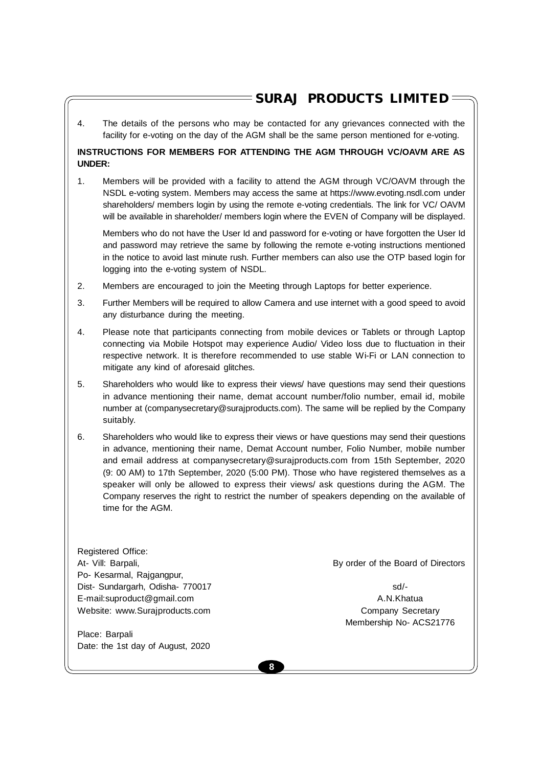4. The details of the persons who may be contacted for any grievances connected with the facility for e-voting on the day of the AGM shall be the same person mentioned for e-voting.

## **INSTRUCTIONS FOR MEMBERS FOR ATTENDING THE AGM THROUGH VC/OAVM ARE AS UNDER:**

1. Members will be provided with a facility to attend the AGM through VC/OAVM through the NSDL e-voting system. Members may access the same at https://www.evoting.nsdl.com under shareholders/ members login by using the remote e-voting credentials. The link for VC/ OAVM will be available in shareholder/ members login where the EVEN of Company will be displayed.

Members who do not have the User Id and password for e-voting or have forgotten the User Id and password may retrieve the same by following the remote e-voting instructions mentioned in the notice to avoid last minute rush. Further members can also use the OTP based login for logging into the e-voting system of NSDL.

- 2. Members are encouraged to join the Meeting through Laptops for better experience.
- 3. Further Members will be required to allow Camera and use internet with a good speed to avoid any disturbance during the meeting.
- 4. Please note that participants connecting from mobile devices or Tablets or through Laptop connecting via Mobile Hotspot may experience Audio/ Video loss due to fluctuation in their respective network. It is therefore recommended to use stable Wi-Fi or LAN connection to mitigate any kind of aforesaid glitches.
- 5. Shareholders who would like to express their views/ have questions may send their questions in advance mentioning their name, demat account number/folio number, email id, mobile number at (companysecretary@surajproducts.com). The same will be replied by the Company suitably.
- 6. Shareholders who would like to express their views or have questions may send their questions in advance, mentioning their name, Demat Account number, Folio Number, mobile number and email address at companysecretary@surajproducts.com from 15th September, 2020 (9: 00 AM) to 17th September, 2020 (5:00 PM). Those who have registered themselves as a speaker will only be allowed to express their views/ ask questions during the AGM. The Company reserves the right to restrict the number of speakers depending on the available of time for the AGM.

Registered Office: At- Vill: Barpali, **Burgadi**, **By order of the Board of Directors** Po- Kesarmal, Rajgangpur, Dist- Sundargarh, Odisha- 770017 sd/-E-mail:suproduct@gmail.com A.N.Khatua Website: www.Surajproducts.com example and the company Secretary

Place: Barpali Date: the 1st day of August, 2020

Membership No- ACS21776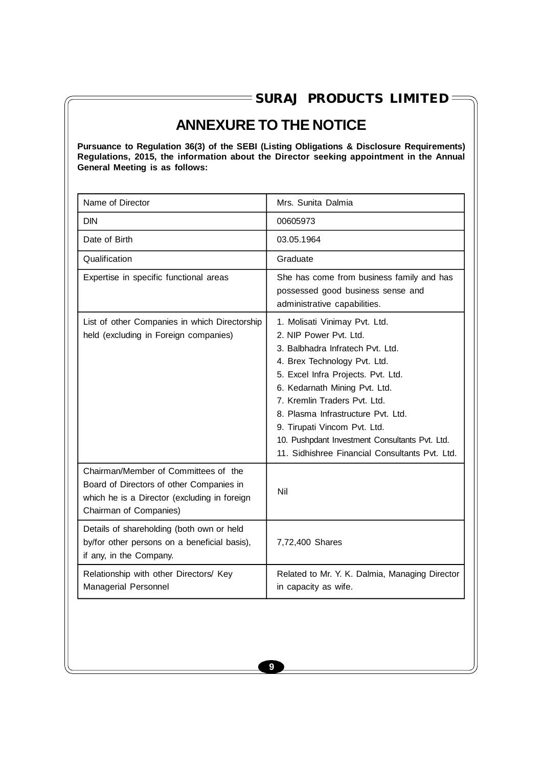## **ANNEXURE TO THE NOTICE**

**Pursuance to Regulation 36(3) of the SEBI (Listing Obligations & Disclosure Requirements) Regulations, 2015, the information about the Director seeking appointment in the Annual General Meeting is as follows:**

| Name of Director                                                                                                                                           | Mrs. Sunita Dalmia                                                                                                                                                                                                                                                                                                                                                                                           |
|------------------------------------------------------------------------------------------------------------------------------------------------------------|--------------------------------------------------------------------------------------------------------------------------------------------------------------------------------------------------------------------------------------------------------------------------------------------------------------------------------------------------------------------------------------------------------------|
| <b>DIN</b>                                                                                                                                                 | 00605973                                                                                                                                                                                                                                                                                                                                                                                                     |
| Date of Birth                                                                                                                                              | 03.05.1964                                                                                                                                                                                                                                                                                                                                                                                                   |
| Qualification                                                                                                                                              | Graduate                                                                                                                                                                                                                                                                                                                                                                                                     |
| Expertise in specific functional areas                                                                                                                     | She has come from business family and has<br>possessed good business sense and<br>administrative capabilities.                                                                                                                                                                                                                                                                                               |
| List of other Companies in which Directorship<br>held (excluding in Foreign companies)                                                                     | 1. Molisati Vinimay Pvt. Ltd.<br>2. NIP Power Pvt. Ltd.<br>3. Balbhadra Infratech Pvt. Ltd.<br>4. Brex Technology Pvt. Ltd.<br>5. Excel Infra Projects. Pvt. Ltd.<br>6. Kedarnath Mining Pvt. Ltd.<br>7. Kremlin Traders Pvt. Ltd.<br>8. Plasma Infrastructure Pvt. Ltd.<br>9. Tirupati Vincom Pvt. Ltd.<br>10. Pushpdant Investment Consultants Pvt. Ltd.<br>11. Sidhishree Financial Consultants Pvt. Ltd. |
| Chairman/Member of Committees of the<br>Board of Directors of other Companies in<br>which he is a Director (excluding in foreign<br>Chairman of Companies) | Nil                                                                                                                                                                                                                                                                                                                                                                                                          |
| Details of shareholding (both own or held<br>by/for other persons on a beneficial basis),<br>if any, in the Company.                                       | 7,72,400 Shares                                                                                                                                                                                                                                                                                                                                                                                              |
| Relationship with other Directors/ Key<br>Managerial Personnel                                                                                             | Related to Mr. Y. K. Dalmia, Managing Director<br>in capacity as wife.                                                                                                                                                                                                                                                                                                                                       |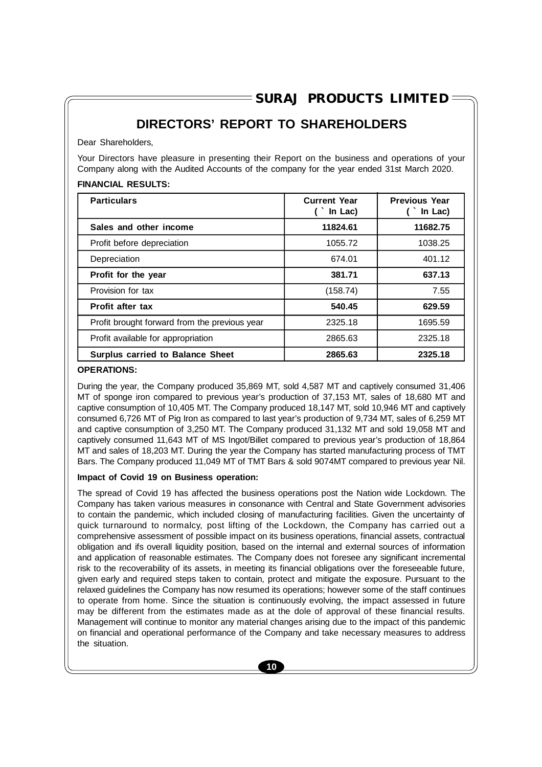## **DIRECTORS' REPORT TO SHAREHOLDERS**

Dear Shareholders,

Your Directors have pleasure in presenting their Report on the business and operations of your Company along with the Audited Accounts of the company for the year ended 31st March 2020.

### **FINANCIAL RESULTS:**

| <b>Particulars</b>                            | <b>Current Year</b><br>In Lac) | <b>Previous Year</b><br>In Lac) |
|-----------------------------------------------|--------------------------------|---------------------------------|
| Sales and other income                        | 11824.61                       | 11682.75                        |
| Profit before depreciation                    | 1055.72                        | 1038.25                         |
| Depreciation                                  | 674.01                         | 401.12                          |
| Profit for the year                           | 381.71                         | 637.13                          |
| Provision for tax                             | (158.74)                       | 7.55                            |
| Profit after tax                              | 540.45                         | 629.59                          |
| Profit brought forward from the previous year | 2325.18                        | 1695.59                         |
| Profit available for appropriation            | 2865.63                        | 2325.18                         |
| <b>Surplus carried to Balance Sheet</b>       | 2865.63                        | 2325.18                         |

#### **OPERATIONS:**

During the year, the Company produced 35,869 MT, sold 4,587 MT and captively consumed 31,406 MT of sponge iron compared to previous year's production of 37,153 MT, sales of 18,680 MT and captive consumption of 10,405 MT. The Company produced 18,147 MT, sold 10,946 MT and captively consumed 6,726 MT of Pig Iron as compared to last year's production of 9,734 MT, sales of 6,259 MT and captive consumption of 3,250 MT. The Company produced 31,132 MT and sold 19,058 MT and captively consumed 11,643 MT of MS Ingot/Billet compared to previous year's production of 18,864 MT and sales of 18,203 MT. During the year the Company has started manufacturing process of TMT Bars. The Company produced 11,049 MT of TMT Bars & sold 9074MT compared to previous year Nil.

#### **Impact of Covid 19 on Business operation:**

The spread of Covid 19 has affected the business operations post the Nation wide Lockdown. The Company has taken various measures in consonance with Central and State Government advisories to contain the pandemic, which included closing of manufacturing facilities. Given the uncertainty of quick turnaround to normalcy, post lifting of the Lockdown, the Company has carried out a comprehensive assessment of possible impact on its business operations, financial assets, contractual obligation and ifs overall liquidity position, based on the internal and external sources of information and application of reasonable estimates. The Company does not foresee any significant incremental risk to the recoverability of its assets, in meeting its financial obligations over the foreseeable future, given early and required steps taken to contain, protect and mitigate the exposure. Pursuant to the relaxed guidelines the Company has now resumed its operations; however some of the staff continues to operate from home. Since the situation is continuously evolving, the impact assessed in future may be different from the estimates made as at the dole of approval of these financial results. Management will continue to monitor any material changes arising due to the impact of this pandemic on financial and operational performance of the Company and take necessary measures to address the situation.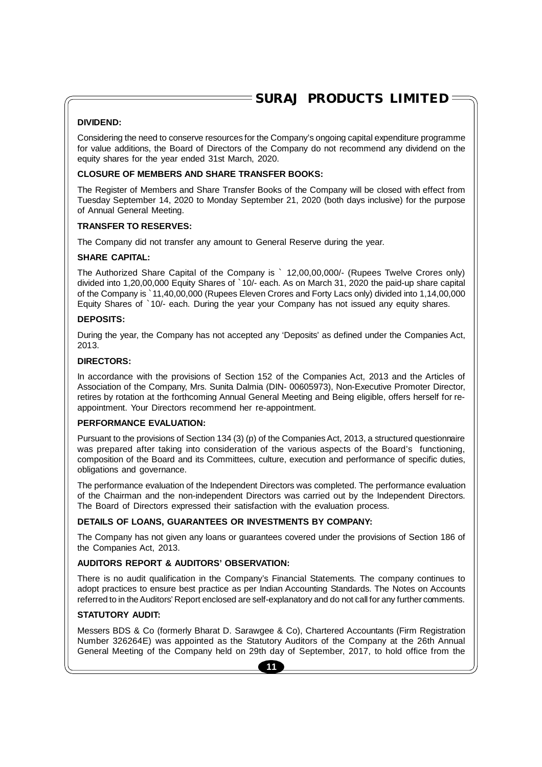## **DIVIDEND:**

Considering the need to conserve resources for the Company's ongoing capital expenditure programme for value additions, the Board of Directors of the Company do not recommend any dividend on the equity shares for the year ended 31st March, 2020.

## **CLOSURE OF MEMBERS AND SHARE TRANSFER BOOKS:**

The Register of Members and Share Transfer Books of the Company will be closed with effect from Tuesday September 14, 2020 to Monday September 21, 2020 (both days inclusive) for the purpose of Annual General Meeting.

## **TRANSFER TO RESERVES:**

The Company did not transfer any amount to General Reserve during the year.

### **SHARE CAPITAL:**

The Authorized Share Capital of the Company is ` 12,00,00,000/- (Rupees Twelve Crores only) divided into 1,20,00,000 Equity Shares of `10/- each. As on March 31, 2020 the paid-up share capital of the Company is `11,40,00,000 (Rupees Eleven Crores and Forty Lacs only) divided into 1,14,00,000 Equity Shares of `10/- each. During the year your Company has not issued any equity shares.

### **DEPOSITS:**

During the year, the Company has not accepted any 'Deposits' as defined under the Companies Act, 2013.

### **DIRECTORS:**

In accordance with the provisions of Section 152 of the Companies Act, 2013 and the Articles of Association of the Company, Mrs. Sunita Dalmia (DIN- 00605973), Non-Executive Promoter Director, retires by rotation at the forthcoming Annual General Meeting and Being eligible, offers herself for reappointment. Your Directors recommend her re-appointment.

## **PERFORMANCE EVALUATION:**

Pursuant to the provisions of Section 134 (3) (p) of the Companies Act, 2013, a structured questionnaire was prepared after taking into consideration of the various aspects of the Board's functioning, composition of the Board and its Committees, culture, execution and performance of specific duties, obligations and governance.

The performance evaluation of the Independent Directors was completed. The performance evaluation of the Chairman and the non-independent Directors was carried out by the Independent Directors. The Board of Directors expressed their satisfaction with the evaluation process.

#### **DETAILS OF LOANS, GUARANTEES OR INVESTMENTS BY COMPANY:**

The Company has not given any loans or guarantees covered under the provisions of Section 186 of the Companies Act, 2013.

## **AUDITORS REPORT & AUDITORS' OBSERVATION:**

There is no audit qualification in the Company's Financial Statements. The company continues to adopt practices to ensure best practice as per Indian Accounting Standards. The Notes on Accounts referred to in the Auditors' Report enclosed are self-explanatory and do not call for any further comments.

### **STATUTORY AUDIT:**

Messers BDS & Co (formerly Bharat D. Sarawgee & Co), Chartered Accountants (Firm Registration Number 326264E) was appointed as the Statutory Auditors of the Company at the 26th Annual General Meeting of the Company held on 29th day of September, 2017, to hold office from the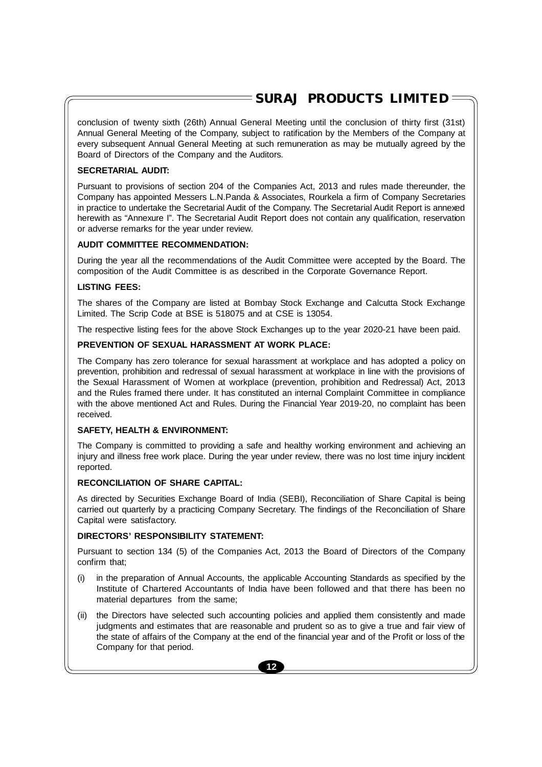conclusion of twenty sixth (26th) Annual General Meeting until the conclusion of thirty first (31st) Annual General Meeting of the Company, subject to ratification by the Members of the Company at every subsequent Annual General Meeting at such remuneration as may be mutually agreed by the Board of Directors of the Company and the Auditors.

### **SECRETARIAL AUDIT:**

Pursuant to provisions of section 204 of the Companies Act, 2013 and rules made thereunder, the Company has appointed Messers L.N.Panda & Associates, Rourkela a firm of Company Secretaries in practice to undertake the Secretarial Audit of the Company. The Secretarial Audit Report is annexed herewith as "Annexure I". The Secretarial Audit Report does not contain any qualification, reservation or adverse remarks for the year under review.

#### **AUDIT COMMITTEE RECOMMENDATION:**

During the year all the recommendations of the Audit Committee were accepted by the Board. The composition of the Audit Committee is as described in the Corporate Governance Report.

### **LISTING FEES:**

The shares of the Company are listed at Bombay Stock Exchange and Calcutta Stock Exchange Limited. The Scrip Code at BSE is 518075 and at CSE is 13054.

The respective listing fees for the above Stock Exchanges up to the year 2020-21 have been paid.

### **PREVENTION OF SEXUAL HARASSMENT AT WORK PLACE:**

The Company has zero tolerance for sexual harassment at workplace and has adopted a policy on prevention, prohibition and redressal of sexual harassment at workplace in line with the provisions of the Sexual Harassment of Women at workplace (prevention, prohibition and Redressal) Act, 2013 and the Rules framed there under. It has constituted an internal Complaint Committee in compliance with the above mentioned Act and Rules. During the Financial Year 2019-20, no complaint has been received.

#### **SAFETY, HEALTH & ENVIRONMENT:**

The Company is committed to providing a safe and healthy working environment and achieving an injury and illness free work place. During the year under review, there was no lost time injury incident reported.

#### **RECONCILIATION OF SHARE CAPITAL:**

As directed by Securities Exchange Board of India (SEBI), Reconciliation of Share Capital is being carried out quarterly by a practicing Company Secretary. The findings of the Reconciliation of Share Capital were satisfactory.

## **DIRECTORS' RESPONSIBILITY STATEMENT:**

Pursuant to section 134 (5) of the Companies Act, 2013 the Board of Directors of the Company confirm that;

- (i) in the preparation of Annual Accounts, the applicable Accounting Standards as specified by the Institute of Chartered Accountants of India have been followed and that there has been no material departures from the same;
- (ii) the Directors have selected such accounting policies and applied them consistently and made judgments and estimates that are reasonable and prudent so as to give a true and fair view of the state of affairs of the Company at the end of the financial year and of the Profit or loss of the Company for that period.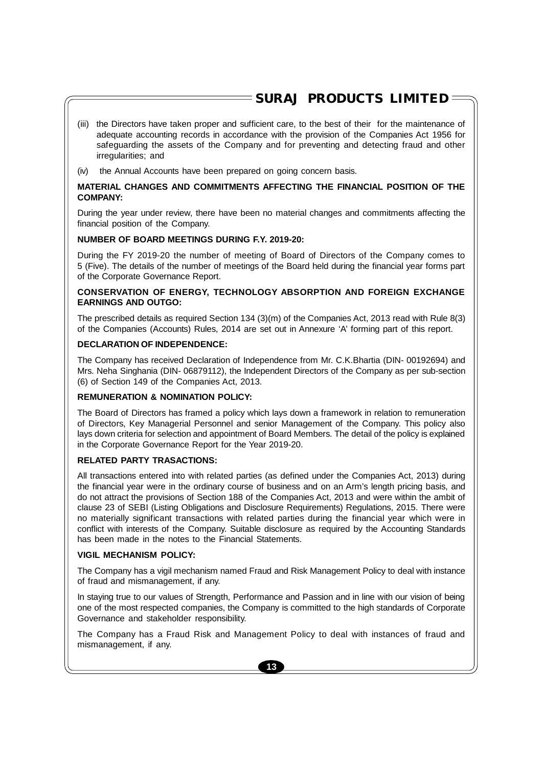- (iii) the Directors have taken proper and sufficient care, to the best of their for the maintenance of adequate accounting records in accordance with the provision of the Companies Act 1956 for safeguarding the assets of the Company and for preventing and detecting fraud and other irregularities; and
- (iv) the Annual Accounts have been prepared on going concern basis.

### **MATERIAL CHANGES AND COMMITMENTS AFFECTING THE FINANCIAL POSITION OF THE COMPANY:**

During the year under review, there have been no material changes and commitments affecting the financial position of the Company.

## **NUMBER OF BOARD MEETINGS DURING F.Y. 2019-20:**

During the FY 2019-20 the number of meeting of Board of Directors of the Company comes to 5 (Five). The details of the number of meetings of the Board held during the financial year forms part of the Corporate Governance Report.

### **CONSERVATION OF ENERGY, TECHNOLOGY ABSORPTION AND FOREIGN EXCHANGE EARNINGS AND OUTGO:**

The prescribed details as required Section 134 (3)(m) of the Companies Act, 2013 read with Rule 8(3) of the Companies (Accounts) Rules, 2014 are set out in Annexure 'A' forming part of this report.

### **DECLARATION OF INDEPENDENCE:**

The Company has received Declaration of Independence from Mr. C.K.Bhartia (DIN- 00192694) and Mrs. Neha Singhania (DIN- 06879112), the Independent Directors of the Company as per sub-section (6) of Section 149 of the Companies Act, 2013.

## **REMUNERATION & NOMINATION POLICY:**

The Board of Directors has framed a policy which lays down a framework in relation to remuneration of Directors, Key Managerial Personnel and senior Management of the Company. This policy also lays down criteria for selection and appointment of Board Members. The detail of the policy is explained in the Corporate Governance Report for the Year 2019-20.

#### **RELATED PARTY TRASACTIONS:**

All transactions entered into with related parties (as defined under the Companies Act, 2013) during the financial year were in the ordinary course of business and on an Arm's length pricing basis, and do not attract the provisions of Section 188 of the Companies Act, 2013 and were within the ambit of clause 23 of SEBI (Listing Obligations and Disclosure Requirements) Regulations, 2015. There were no materially significant transactions with related parties during the financial year which were in conflict with interests of the Company. Suitable disclosure as required by the Accounting Standards has been made in the notes to the Financial Statements.

#### **VIGIL MECHANISM POLICY:**

The Company has a vigil mechanism named Fraud and Risk Management Policy to deal with instance of fraud and mismanagement, if any.

In staying true to our values of Strength, Performance and Passion and in line with our vision of being one of the most respected companies, the Company is committed to the high standards of Corporate Governance and stakeholder responsibility.

The Company has a Fraud Risk and Management Policy to deal with instances of fraud and mismanagement, if any.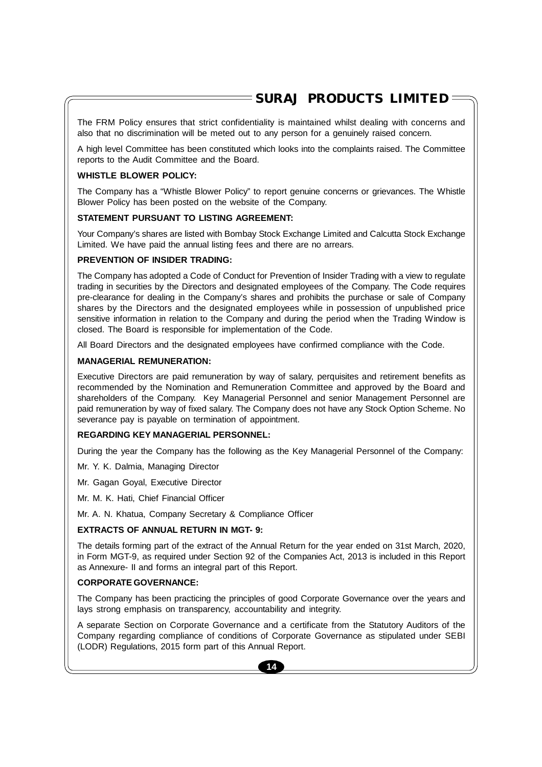The FRM Policy ensures that strict confidentiality is maintained whilst dealing with concerns and also that no discrimination will be meted out to any person for a genuinely raised concern.

A high level Committee has been constituted which looks into the complaints raised. The Committee reports to the Audit Committee and the Board.

#### **WHISTLE BLOWER POLICY:**

The Company has a "Whistle Blower Policy" to report genuine concerns or grievances. The Whistle Blower Policy has been posted on the website of the Company.

### **STATEMENT PURSUANT TO LISTING AGREEMENT:**

Your Company's shares are listed with Bombay Stock Exchange Limited and Calcutta Stock Exchange Limited. We have paid the annual listing fees and there are no arrears.

#### **PREVENTION OF INSIDER TRADING:**

The Company has adopted a Code of Conduct for Prevention of Insider Trading with a view to regulate trading in securities by the Directors and designated employees of the Company. The Code requires pre-clearance for dealing in the Company's shares and prohibits the purchase or sale of Company shares by the Directors and the designated employees while in possession of unpublished price sensitive information in relation to the Company and during the period when the Trading Window is closed. The Board is responsible for implementation of the Code.

All Board Directors and the designated employees have confirmed compliance with the Code.

### **MANAGERIAL REMUNERATION:**

Executive Directors are paid remuneration by way of salary, perquisites and retirement benefits as recommended by the Nomination and Remuneration Committee and approved by the Board and shareholders of the Company. Key Managerial Personnel and senior Management Personnel are paid remuneration by way of fixed salary. The Company does not have any Stock Option Scheme. No severance pay is payable on termination of appointment.

### **REGARDING KEY MANAGERIAL PERSONNEL:**

During the year the Company has the following as the Key Managerial Personnel of the Company:

Mr. Y. K. Dalmia, Managing Director

Mr. Gagan Goyal, Executive Director

Mr. M. K. Hati, Chief Financial Officer

Mr. A. N. Khatua, Company Secretary & Compliance Officer

#### **EXTRACTS OF ANNUAL RETURN IN MGT- 9:**

The details forming part of the extract of the Annual Return for the year ended on 31st March, 2020, in Form MGT-9, as required under Section 92 of the Companies Act, 2013 is included in this Report as Annexure- II and forms an integral part of this Report.

#### **CORPORATE GOVERNANCE:**

The Company has been practicing the principles of good Corporate Governance over the years and lays strong emphasis on transparency, accountability and integrity.

A separate Section on Corporate Governance and a certificate from the Statutory Auditors of the Company regarding compliance of conditions of Corporate Governance as stipulated under SEBI (LODR) Regulations, 2015 form part of this Annual Report.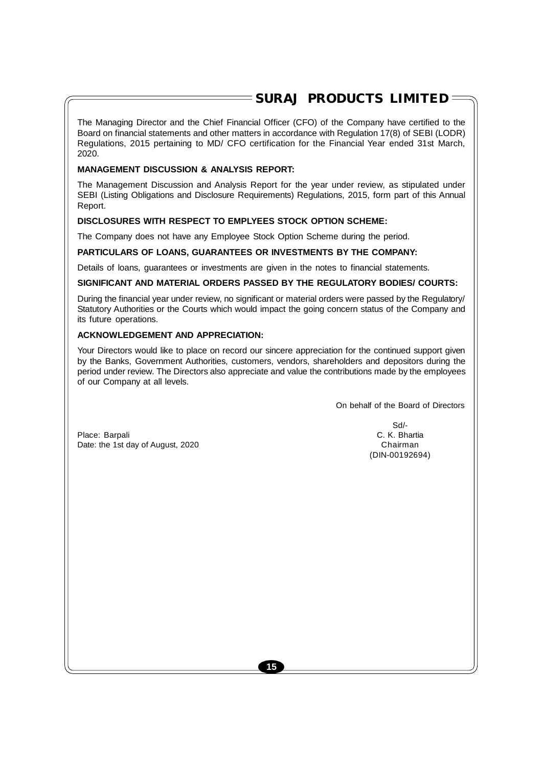## $\overline{\ }$  SURAJ PRODUCTS LIMITED  $\equiv$

The Managing Director and the Chief Financial Officer (CFO) of the Company have certified to the Board on financial statements and other matters in accordance with Regulation 17(8) of SEBI (LODR) Regulations, 2015 pertaining to MD/ CFO certification for the Financial Year ended 31st March, 2020.

### **MANAGEMENT DISCUSSION & ANALYSIS REPORT:**

The Management Discussion and Analysis Report for the year under review, as stipulated under SEBI (Listing Obligations and Disclosure Requirements) Regulations, 2015, form part of this Annual Report.

### **DISCLOSURES WITH RESPECT TO EMPLYEES STOCK OPTION SCHEME:**

The Company does not have any Employee Stock Option Scheme during the period.

### **PARTICULARS OF LOANS, GUARANTEES OR INVESTMENTS BY THE COMPANY:**

Details of loans, guarantees or investments are given in the notes to financial statements.

### **SIGNIFICANT AND MATERIAL ORDERS PASSED BY THE REGULATORY BODIES/ COURTS:**

During the financial year under review, no significant or material orders were passed by the Regulatory/ Statutory Authorities or the Courts which would impact the going concern status of the Company and its future operations.

### **ACKNOWLEDGEMENT AND APPRECIATION:**

Your Directors would like to place on record our sincere appreciation for the continued support given by the Banks, Government Authorities, customers, vendors, shareholders and depositors during the period under review. The Directors also appreciate and value the contributions made by the employees of our Company at all levels.

On behalf of the Board of Directors

Place: Barpali Date: the 1st day of August, 2020

Sd/-<br>C. K. Bhartia (DIN-00192694)

**15**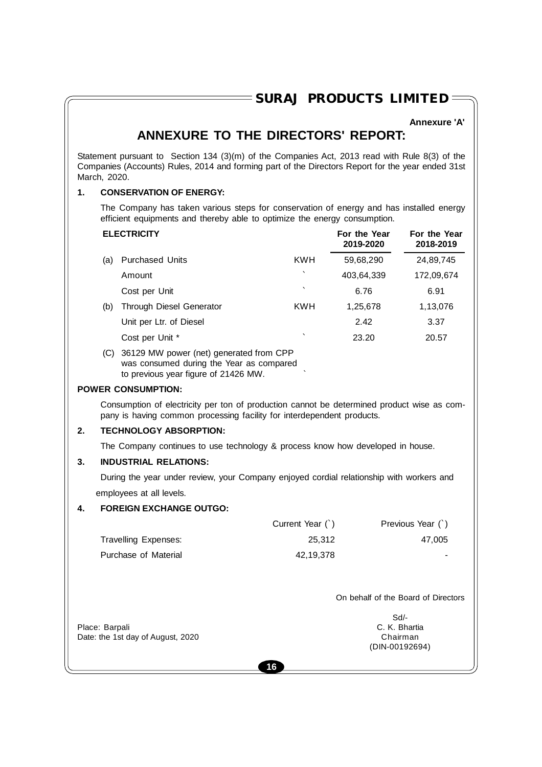#### **Annexure 'A'**

## **ANNEXURE TO THE DIRECTORS' REPORT:**

Statement pursuant to Section 134 (3)(m) of the Companies Act, 2013 read with Rule 8(3) of the Companies (Accounts) Rules, 2014 and forming part of the Directors Report for the year ended 31st March, 2020.

#### **1. CONSERVATION OF ENERGY:**

The Company has taken various steps for conservation of energy and has installed energy efficient equipments and thereby able to optimize the energy consumption.

|     | <b>ELECTRICITY</b>                      |                          | For the Year<br>2019-2020 | For the Year<br>2018-2019 |
|-----|-----------------------------------------|--------------------------|---------------------------|---------------------------|
| (a) | <b>Purchased Units</b>                  | <b>KWH</b>               | 59,68,290                 | 24,89,745                 |
|     | Amount                                  | $\overline{\phantom{a}}$ | 403,64,339                | 172,09,674                |
|     | Cost per Unit                           | $\overline{\phantom{a}}$ | 6.76                      | 6.91                      |
| (b) | Through Diesel Generator                | <b>KWH</b>               | 1,25,678                  | 1,13,076                  |
|     | Unit per Ltr. of Diesel                 |                          | 2.42                      | 3.37                      |
|     | Cost per Unit *                         | $\overline{\phantom{a}}$ | 23.20                     | 20.57                     |
| (C) | 36129 MW power (net) generated from CPP |                          |                           |                           |

was consumed during the Year as compared to previous year figure of 21426 MW. `

#### **POWER CONSUMPTION:**

Consumption of electricity per ton of production cannot be determined product wise as company is having common processing facility for interdependent products.

#### **2. TECHNOLOGY ABSORPTION:**

The Company continues to use technology & process know how developed in house.

#### **3. INDUSTRIAL RELATIONS:**

During the year under review, your Company enjoyed cordial relationship with workers and employees at all levels.

### **4. FOREIGN EXCHANGE OUTGO:**

|                      | Current Year (`) | Previous Year (`) |
|----------------------|------------------|-------------------|
| Travelling Expenses: | 25.312           | 47.005            |
| Purchase of Material | 42.19.378        | $\sim$            |

On behalf of the Board of Directors

Place: Barpali C. K. Bhartia<br>
Date: the 1st day of August. 2020 Chairman Date: the 1st day of August, 2020

Sd/- (DIN-00192694)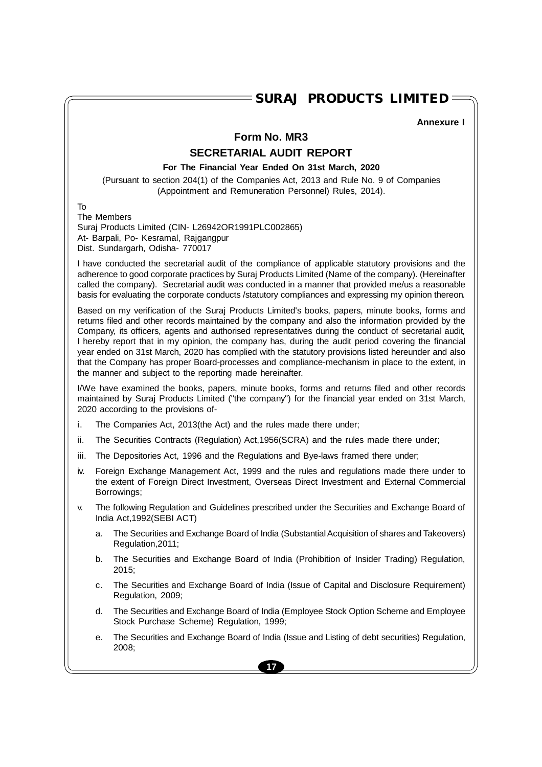**Annexure I**

## **Form No. MR3**

## **SECRETARIAL AUDIT REPORT**

### **For The Financial Year Ended On 31st March, 2020**

(Pursuant to section 204(1) of the Companies Act, 2013 and Rule No. 9 of Companies (Appointment and Remuneration Personnel) Rules, 2014).

To

The Members Suraj Products Limited (CIN- L26942OR1991PLC002865) At- Barpali, Po- Kesramal, Rajgangpur Dist. Sundargarh, Odisha- 770017

I have conducted the secretarial audit of the compliance of applicable statutory provisions and the adherence to good corporate practices by Suraj Products Limited (Name of the company). (Hereinafter called the company). Secretarial audit was conducted in a manner that provided me/us a reasonable basis for evaluating the corporate conducts /statutory compliances and expressing my opinion thereon.

Based on my verification of the Suraj Products Limited's books, papers, minute books, forms and returns filed and other records maintained by the company and also the information provided by the Company, its officers, agents and authorised representatives during the conduct of secretarial audit, I hereby report that in my opinion, the company has, during the audit period covering the financial year ended on 31st March, 2020 has complied with the statutory provisions listed hereunder and also that the Company has proper Board-processes and compliance-mechanism in place to the extent, in the manner and subject to the reporting made hereinafter.

I/We have examined the books, papers, minute books, forms and returns filed and other records maintained by Suraj Products Limited ("the company") for the financial year ended on 31st March, 2020 according to the provisions of-

- i. The Companies Act, 2013(the Act) and the rules made there under;
- ii. The Securities Contracts (Regulation) Act,1956(SCRA) and the rules made there under;
- iii. The Depositories Act, 1996 and the Regulations and Bye-laws framed there under;
- iv. Foreign Exchange Management Act, 1999 and the rules and regulations made there under to the extent of Foreign Direct Investment, Overseas Direct Investment and External Commercial Borrowings;
- v. The following Regulation and Guidelines prescribed under the Securities and Exchange Board of India Act,1992(SEBI ACT)
	- a. The Securities and Exchange Board of India (Substantial Acquisition of shares and Takeovers) Regulation,2011;
	- b. The Securities and Exchange Board of India (Prohibition of Insider Trading) Regulation,  $2015$
	- c. The Securities and Exchange Board of India (Issue of Capital and Disclosure Requirement) Regulation, 2009;
	- d. The Securities and Exchange Board of India (Employee Stock Option Scheme and Employee Stock Purchase Scheme) Regulation, 1999;
	- e. The Securities and Exchange Board of India (Issue and Listing of debt securities) Regulation, 2008;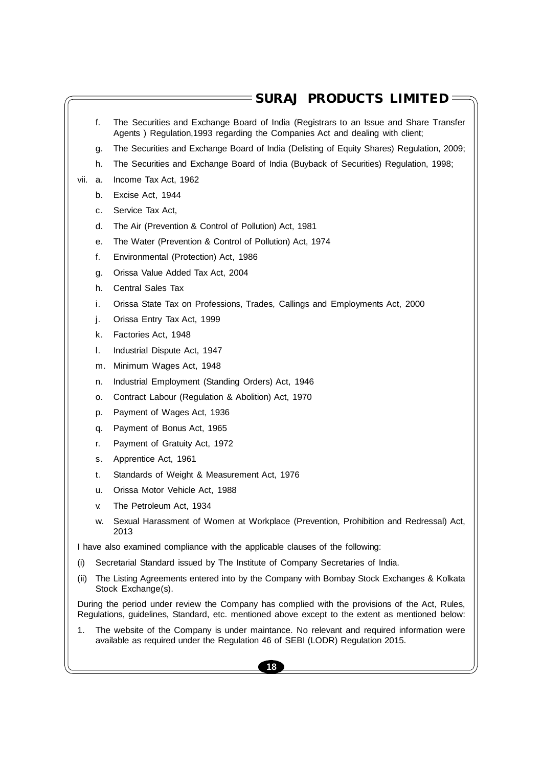- f. The Securities and Exchange Board of India (Registrars to an Issue and Share Transfer Agents ) Regulation,1993 regarding the Companies Act and dealing with client;
- g. The Securities and Exchange Board of India (Delisting of Equity Shares) Regulation, 2009;
- h. The Securities and Exchange Board of India (Buyback of Securities) Regulation, 1998;
- vii. a. Income Tax Act, 1962
	- b. Excise Act, 1944
	- c. Service Tax Act,
	- d. The Air (Prevention & Control of Pollution) Act, 1981
	- e. The Water (Prevention & Control of Pollution) Act, 1974
	- f. Environmental (Protection) Act, 1986
	- g. Orissa Value Added Tax Act, 2004
	- h. Central Sales Tax
	- i. Orissa State Tax on Professions, Trades, Callings and Employments Act, 2000
	- j. Orissa Entry Tax Act, 1999
	- k. Factories Act, 1948
	- l. Industrial Dispute Act, 1947
	- m. Minimum Wages Act, 1948
	- n. Industrial Employment (Standing Orders) Act, 1946
	- o. Contract Labour (Regulation & Abolition) Act, 1970
	- p. Payment of Wages Act, 1936
	- q. Payment of Bonus Act, 1965
	- r. Payment of Gratuity Act, 1972
	- s. Apprentice Act, 1961
	- t. Standards of Weight & Measurement Act, 1976
	- u. Orissa Motor Vehicle Act, 1988
	- v. The Petroleum Act, 1934
	- w. Sexual Harassment of Women at Workplace (Prevention, Prohibition and Redressal) Act, 2013

I have also examined compliance with the applicable clauses of the following:

- (i) Secretarial Standard issued by The Institute of Company Secretaries of India.
- (ii) The Listing Agreements entered into by the Company with Bombay Stock Exchanges & Kolkata Stock Exchange(s).

During the period under review the Company has complied with the provisions of the Act, Rules, Regulations, guidelines, Standard, etc. mentioned above except to the extent as mentioned below:

1. The website of the Company is under maintance. No relevant and required information were available as required under the Regulation 46 of SEBI (LODR) Regulation 2015.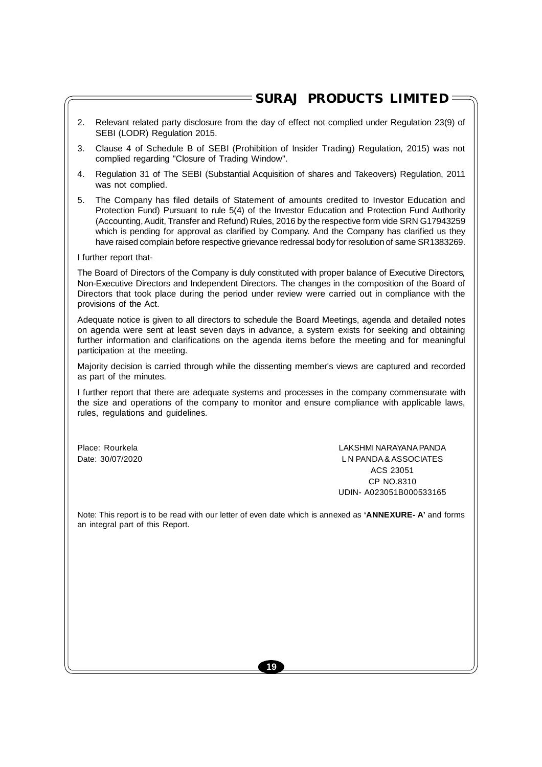- 2. Relevant related party disclosure from the day of effect not complied under Regulation 23(9) of SEBI (LODR) Regulation 2015.
- 3. Clause 4 of Schedule B of SEBI (Prohibition of Insider Trading) Regulation, 2015) was not complied regarding "Closure of Trading Window".
- 4. Regulation 31 of The SEBI (Substantial Acquisition of shares and Takeovers) Regulation, 2011 was not complied.
- 5. The Company has filed details of Statement of amounts credited to Investor Education and Protection Fund) Pursuant to rule 5(4) of the Investor Education and Protection Fund Authority (Accounting, Audit, Transfer and Refund) Rules, 2016 by the respective form vide SRN G17943259 which is pending for approval as clarified by Company. And the Company has clarified us they have raised complain before respective grievance redressal body for resolution of same SR1383269.

I further report that-

The Board of Directors of the Company is duly constituted with proper balance of Executive Directors, Non-Executive Directors and Independent Directors. The changes in the composition of the Board of Directors that took place during the period under review were carried out in compliance with the provisions of the Act.

Adequate notice is given to all directors to schedule the Board Meetings, agenda and detailed notes on agenda were sent at least seven days in advance, a system exists for seeking and obtaining further information and clarifications on the agenda items before the meeting and for meaningful participation at the meeting.

Majority decision is carried through while the dissenting member's views are captured and recorded as part of the minutes.

I further report that there are adequate systems and processes in the company commensurate with the size and operations of the company to monitor and ensure compliance with applicable laws, rules, regulations and guidelines.

Place: Rourkela LAKSHMI NARAYANA PANDA Date: 30/07/2020 L N PANDA & ASSOCIATES ACS 23051 CP NO.8310 UDIN- A023051B000533165

Note: This report is to be read with our letter of even date which is annexed as **'ANNEXURE- A'** and forms an integral part of this Report.

**19**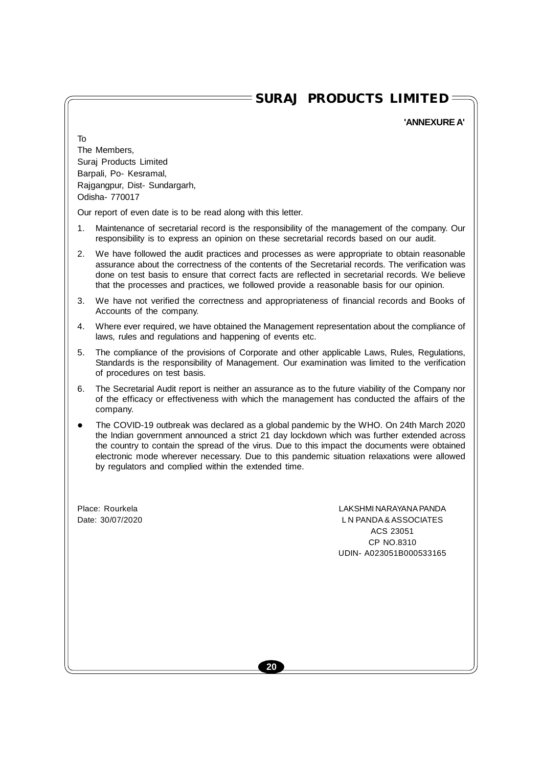## **'ANNEXURE A'**

| To<br>The Members,<br>Suraj Products Limited<br>Barpali, Po- Kesramal,<br>Rajgangpur, Dist- Sundargarh,<br>Odisha- 770017                                                                                                                                                                                                                                                                                                                                  |                                                                                                              |
|------------------------------------------------------------------------------------------------------------------------------------------------------------------------------------------------------------------------------------------------------------------------------------------------------------------------------------------------------------------------------------------------------------------------------------------------------------|--------------------------------------------------------------------------------------------------------------|
| Our report of even date is to be read along with this letter.                                                                                                                                                                                                                                                                                                                                                                                              |                                                                                                              |
| 1.<br>Maintenance of secretarial record is the responsibility of the management of the company. Our<br>responsibility is to express an opinion on these secretarial records based on our audit.                                                                                                                                                                                                                                                            |                                                                                                              |
| 2.<br>We have followed the audit practices and processes as were appropriate to obtain reasonable<br>assurance about the correctness of the contents of the Secretarial records. The verification was<br>done on test basis to ensure that correct facts are reflected in secretarial records. We believe<br>that the processes and practices, we followed provide a reasonable basis for our opinion.                                                     |                                                                                                              |
| We have not verified the correctness and appropriateness of financial records and Books of<br>3.<br>Accounts of the company.                                                                                                                                                                                                                                                                                                                               |                                                                                                              |
| Where ever required, we have obtained the Management representation about the compliance of<br>4.<br>laws, rules and regulations and happening of events etc.                                                                                                                                                                                                                                                                                              |                                                                                                              |
| 5.<br>The compliance of the provisions of Corporate and other applicable Laws, Rules, Regulations,<br>Standards is the responsibility of Management. Our examination was limited to the verification<br>of procedures on test basis.                                                                                                                                                                                                                       |                                                                                                              |
| The Secretarial Audit report is neither an assurance as to the future viability of the Company nor<br>6.<br>of the efficacy or effectiveness with which the management has conducted the affairs of the<br>company.                                                                                                                                                                                                                                        |                                                                                                              |
| The COVID-19 outbreak was declared as a global pandemic by the WHO. On 24th March 2020<br>$\bullet$<br>the Indian government announced a strict 21 day lockdown which was further extended across<br>the country to contain the spread of the virus. Due to this impact the documents were obtained<br>electronic mode wherever necessary. Due to this pandemic situation relaxations were allowed<br>by regulators and complied within the extended time. |                                                                                                              |
| Place: Rourkela<br>Date: 30/07/2020                                                                                                                                                                                                                                                                                                                                                                                                                        | LAKSHMI NARAYANA PANDA<br>LN PANDA & ASSOCIATES<br>ACS 23051<br><b>CP NO.8310</b><br>UDIN- A023051B000533165 |
|                                                                                                                                                                                                                                                                                                                                                                                                                                                            |                                                                                                              |

**20**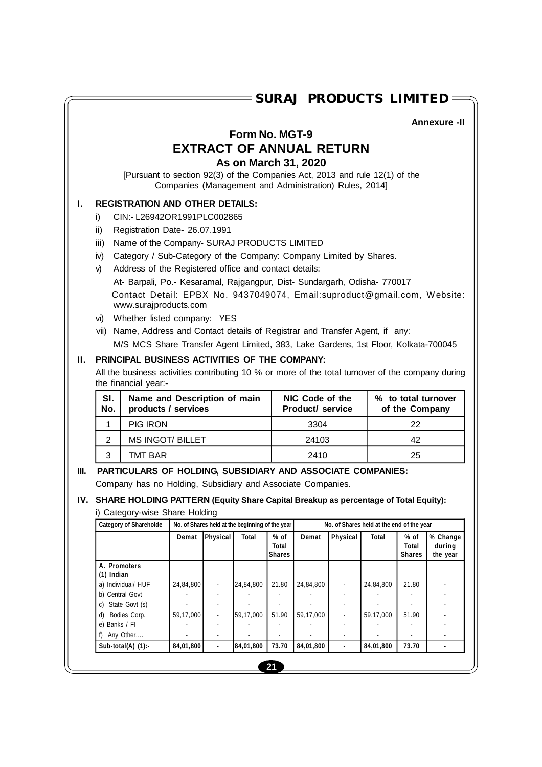**Annexure -II**

## **Form No. MGT-9 EXTRACT OF ANNUAL RETURN**

## **As on March 31, 2020**

[Pursuant to section 92(3) of the Companies Act, 2013 and rule 12(1) of the Companies (Management and Administration) Rules, 2014]

### **I. REGISTRATION AND OTHER DETAILS:**

- i) CIN:- L26942OR1991PLC002865
- ii) Registration Date- 26.07.1991
- iii) Name of the Company- SURAJ PRODUCTS LIMITED
- iv) Category / Sub-Category of the Company: Company Limited by Shares.
- v) Address of the Registered office and contact details: At- Barpali, Po.- Kesaramal, Rajgangpur, Dist- Sundargarh, Odisha- 770017 Contact Detail: EPBX No. 9437049074, Email:suproduct@gmail.com, Website: www.surajproducts.com
- vi) Whether listed company: YES
- vii) Name, Address and Contact details of Registrar and Transfer Agent, if any: M/S MCS Share Transfer Agent Limited, 383, Lake Gardens, 1st Floor, Kolkata-700045

### **II. PRINCIPAL BUSINESS ACTIVITIES OF THE COMPANY:**

All the business activities contributing 10 % or more of the total turnover of the company during the financial year:-

| SI.<br>No. | Name and Description of main<br>products / services | NIC Code of the<br>Product/ service | % to total turnover<br>of the Company |
|------------|-----------------------------------------------------|-------------------------------------|---------------------------------------|
|            | PIG IRON                                            | 3304                                | 22                                    |
| 2          | <b>MS INGOT/ BILLET</b>                             | 24103                               | 42                                    |
| 3          | TMT BAR                                             | 2410                                | 25                                    |

### **III. PARTICULARS OF HOLDING, SUBSIDIARY AND ASSOCIATE COMPANIES:** Company has no Holding, Subsidiary and Associate Companies.

**IV. SHARE HOLDING PATTERN (Equity Share Capital Breakup as percentage of Total Equity):**

i) Category-wise Share Holding

| <b>Category of Shareholde</b> |           | No. of Shares held at the beginning of the year |              |                                |           | No. of Shares held at the end of the year |              |                                       |                                |  |
|-------------------------------|-----------|-------------------------------------------------|--------------|--------------------------------|-----------|-------------------------------------------|--------------|---------------------------------------|--------------------------------|--|
|                               | Demat     | <b>Physical</b>                                 | <b>Total</b> | % of<br><b>Total</b><br>Shares | Demat     | Physical                                  | <b>Total</b> | % of<br><b>Total</b><br><b>Shares</b> | % Change<br>during<br>the year |  |
| A. Promoters<br>$(1)$ Indian  |           |                                                 |              |                                |           |                                           |              |                                       |                                |  |
| a) Individual/ HUF            | 24,84,800 | ٠                                               | 24,84,800    | 21.80                          | 24.84.800 |                                           | 24,84,800    | 21.80                                 |                                |  |
| b) Central Govt               |           |                                                 |              |                                |           |                                           |              |                                       |                                |  |
| State Govt (s)<br>C)          |           | ٠                                               |              |                                |           |                                           |              |                                       |                                |  |
| Bodies Corp.<br>d)            | 59.17.000 | ٠                                               | 59.17.000    | 51.90                          | 59.17.000 | $\blacksquare$                            | 59.17.000    | 51.90                                 |                                |  |
| e) Banks / FI                 |           |                                                 |              |                                |           |                                           |              |                                       |                                |  |
| Any Other<br>f)               |           |                                                 |              |                                |           |                                           |              |                                       |                                |  |
| Sub-total(A) $(1)$ :          | 84,01,800 |                                                 | 84,01,800    | 73.70                          | 84,01,800 | ٠                                         | 84,01,800    | 73.70                                 |                                |  |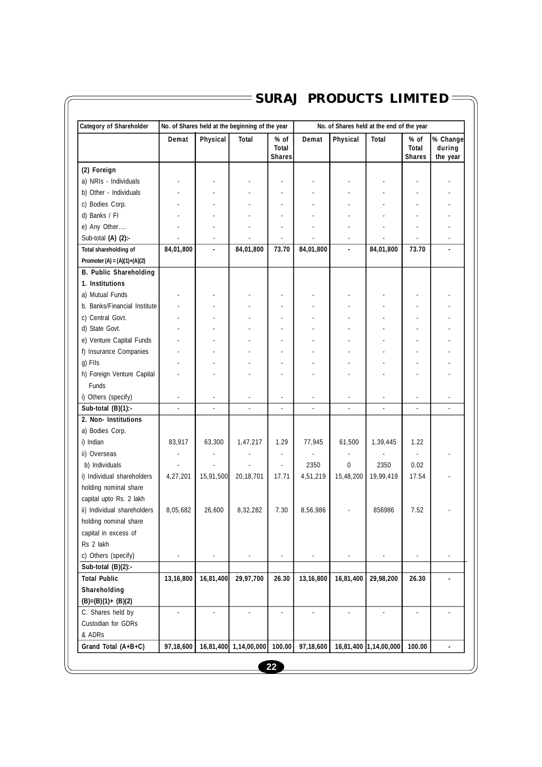| <b>Category of Shareholder</b> |                              |                          | No. of Shares held at the beginning of the year<br>No. of Shares held at the end of the year |                                       |                          |                |                       |                                |                                |
|--------------------------------|------------------------------|--------------------------|----------------------------------------------------------------------------------------------|---------------------------------------|--------------------------|----------------|-----------------------|--------------------------------|--------------------------------|
|                                | Demat                        | Physical                 | Total                                                                                        | % of<br><b>Total</b><br><b>Shares</b> | Demat                    | Physical       | Total                 | % of<br>Total<br><b>Shares</b> | % Change<br>during<br>the year |
| (2) Foreign                    |                              |                          |                                                                                              |                                       |                          |                |                       |                                |                                |
| a) NRIs - Individuals          |                              |                          |                                                                                              |                                       |                          |                |                       |                                |                                |
| b) Other - Individuals         |                              |                          |                                                                                              |                                       |                          |                |                       |                                |                                |
| c) Bodies Corp.                |                              |                          |                                                                                              |                                       |                          |                |                       |                                |                                |
| d) Banks / FI                  |                              |                          |                                                                                              |                                       |                          |                |                       |                                |                                |
| e) Any Other                   |                              |                          |                                                                                              |                                       |                          |                |                       |                                |                                |
| Sub-total $(A)$ $(2)$ :        |                              |                          |                                                                                              |                                       |                          |                |                       |                                |                                |
| Total shareholding of          | 84,01,800                    |                          | 84,01,800                                                                                    | 73.70                                 | 84,01,800                |                | 84,01,800             | 73.70                          |                                |
| Promoter (A) = $(A)(1)+(A)(2)$ |                              |                          |                                                                                              |                                       |                          |                |                       |                                |                                |
| <b>B. Public Shareholding</b>  |                              |                          |                                                                                              |                                       |                          |                |                       |                                |                                |
| 1. Institutions                |                              |                          |                                                                                              |                                       |                          |                |                       |                                |                                |
| a) Mutual Funds                |                              |                          |                                                                                              |                                       |                          |                |                       |                                |                                |
| b. Banks/Financial Institute   |                              |                          |                                                                                              |                                       |                          |                |                       |                                |                                |
| c) Central Govt.               |                              |                          |                                                                                              |                                       |                          |                |                       |                                |                                |
| d) State Govt.                 |                              |                          |                                                                                              |                                       |                          |                |                       |                                |                                |
| e) Venture Capital Funds       |                              |                          |                                                                                              |                                       |                          |                |                       |                                |                                |
| f) Insurance Companies         |                              |                          |                                                                                              |                                       |                          |                |                       |                                |                                |
| g) FIIs                        |                              |                          |                                                                                              |                                       |                          |                |                       |                                |                                |
| h) Foreign Venture Capital     |                              |                          |                                                                                              |                                       |                          |                |                       |                                |                                |
| Funds                          |                              |                          |                                                                                              |                                       |                          |                |                       |                                |                                |
| i) Others (specify)            | $\qquad \qquad \blacksquare$ |                          |                                                                                              | $\frac{1}{2}$                         |                          |                |                       | ۰                              |                                |
| Sub-total (B)(1):-             |                              |                          |                                                                                              |                                       |                          |                |                       |                                |                                |
| 2. Non- Institutions           |                              |                          |                                                                                              |                                       |                          |                |                       |                                |                                |
| a) Bodies Corp.                |                              |                          |                                                                                              |                                       |                          |                |                       |                                |                                |
| i) Indian                      | 83,917                       | 63,300                   | 1,47,217                                                                                     | 1.29                                  | 77,945                   | 61,500         | 1,39,445              | 1.22                           |                                |
| ii) Overseas                   |                              |                          |                                                                                              |                                       |                          |                |                       |                                |                                |
| b) Individuals                 |                              |                          |                                                                                              |                                       | 2350                     | 0              | 2350                  | 0.02                           |                                |
| i) Individual shareholders     | 4,27,201                     | 15,91,500                | 20,18,701                                                                                    | 17.71                                 | 4,51,219                 | 15,48,200      | 19,99,419             | 17.54                          |                                |
| holding nominal share          |                              |                          |                                                                                              |                                       |                          |                |                       |                                |                                |
| capital upto Rs. 2 lakh        |                              |                          |                                                                                              |                                       |                          |                |                       |                                |                                |
| ii) Individual shareholders    | 8,05,682                     | 26.600                   | 8.32.282                                                                                     | 7.30                                  | 8,56,986                 |                | 856986                | 7.52                           |                                |
| holding nominal share          |                              |                          |                                                                                              |                                       |                          |                |                       |                                |                                |
| capital in excess of           |                              |                          |                                                                                              |                                       |                          |                |                       |                                |                                |
| Rs 2 lakh                      |                              |                          |                                                                                              |                                       |                          |                |                       |                                |                                |
| c) Others (specify)            |                              | $\overline{\phantom{a}}$ | ۰                                                                                            | $\overline{\phantom{a}}$              | $\overline{\phantom{a}}$ |                |                       | $\overline{\phantom{a}}$       |                                |
| Sub-total $(B)(2)$ :-          |                              |                          |                                                                                              |                                       |                          |                |                       |                                |                                |
| <b>Total Public</b>            | 13,16,800                    | 16,81,400                | 29,97,700                                                                                    | 26.30                                 | 13,16,800                | 16,81,400      | 29,98,200             | 26.30                          |                                |
| Shareholding                   |                              |                          |                                                                                              |                                       |                          |                |                       |                                |                                |
| $(B)=(B)(1)+(B)(2)$            |                              |                          |                                                                                              |                                       |                          |                |                       |                                |                                |
| C. Shares held by              | ÷,                           | ä,                       | $\blacksquare$                                                                               | ä,                                    | $\blacksquare$           | $\blacksquare$ |                       | ÷.                             |                                |
| Custodian for GDRs             |                              |                          |                                                                                              |                                       |                          |                |                       |                                |                                |
| & ADRs                         |                              |                          |                                                                                              |                                       |                          |                |                       |                                |                                |
| Grand Total (A+B+C)            | 97,18,600                    |                          | 16,81,400 1,14,00,000                                                                        | 100.00                                | 97,18,600                |                | 16,81,400 1,14,00,000 | 100.00                         | $\blacksquare$                 |

## $\equiv$ SURAJ PRODUCTS LIMITED $\equiv$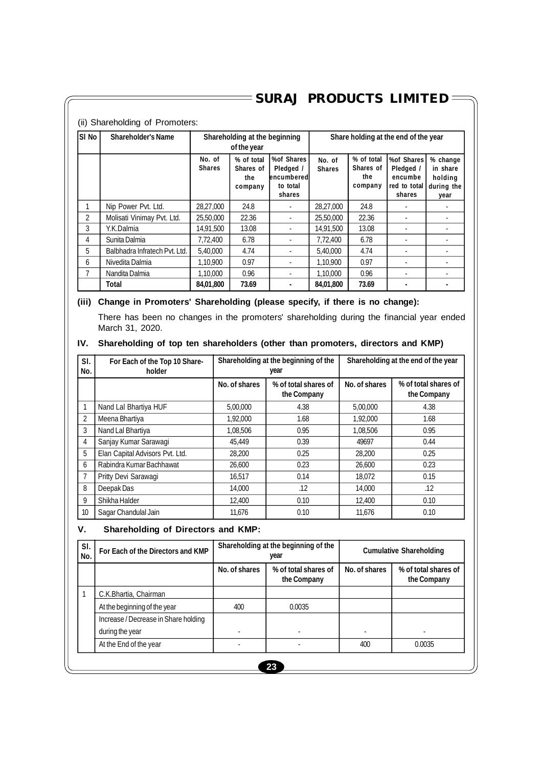| SI No          | <b>Shareholder's Name</b>     | Shareholding at the beginning<br>of the year |                                           |                                                              | Share holding at the end of the year |                                           |                                                            |                                                       |  |
|----------------|-------------------------------|----------------------------------------------|-------------------------------------------|--------------------------------------------------------------|--------------------------------------|-------------------------------------------|------------------------------------------------------------|-------------------------------------------------------|--|
|                |                               | No. of<br><b>Shares</b>                      | % of total<br>Shares of<br>the<br>company | %of Shares<br>Pledged /<br>encumberedl<br>to total<br>shares | No. of<br><b>Shares</b>              | % of total<br>Shares of<br>the<br>company | %of Shares<br>Pledged<br>encumbe<br>red to total<br>shares | % change<br>in share<br>holding<br>during the<br>year |  |
|                | Nip Power Pvt. Ltd.           | 28,27,000                                    | 24.8                                      |                                                              | 28,27,000                            | 24.8                                      |                                                            |                                                       |  |
| $\overline{2}$ | Molisati Vinimay Pvt. Ltd.    | 25,50,000                                    | 22.36                                     |                                                              | 25,50,000                            | 22.36                                     |                                                            |                                                       |  |
| 3              | Y.K.Dalmia                    | 14,91,500                                    | 13.08                                     |                                                              | 14,91,500                            | 13.08                                     |                                                            |                                                       |  |
| 4              | Sunita Dalmia                 | 7,72,400                                     | 6.78                                      |                                                              | 7,72,400                             | 6.78                                      |                                                            |                                                       |  |
| 5              | Balbhadra Infratech Pvt. Ltd. | 5,40,000                                     | 4.74                                      |                                                              | 5.40.000                             | 4.74                                      |                                                            |                                                       |  |
| 6              | Nivedita Dalmia               | 1.10.900                                     | 0.97                                      |                                                              | 1.10.900                             | 0.97                                      |                                                            |                                                       |  |
| 7              | Nandita Dalmia                | 1,10,000                                     | 0.96                                      |                                                              | 1,10,000                             | 0.96                                      |                                                            |                                                       |  |
|                | Total                         | 84,01,800                                    | 73.69                                     |                                                              | 84,01,800                            | 73.69                                     |                                                            |                                                       |  |

## (ii) Shareholding of Promoters:

#### **(iii) Change in Promoters' Shareholding (please specify, if there is no change):**

There has been no changes in the promoters' shareholding during the financial year ended March 31, 2020.

### **IV. Shareholding of top ten shareholders (other than promoters, directors and KMP)**

| SI.<br>No.     | For Each of the Top 10 Share-<br>holder |               | Shareholding at the beginning of the<br>year | Shareholding at the end of the year |                                     |  |
|----------------|-----------------------------------------|---------------|----------------------------------------------|-------------------------------------|-------------------------------------|--|
|                |                                         | No. of shares | % of total shares of<br>the Company          | No. of shares                       | % of total shares of<br>the Company |  |
|                | Nand Lal Bhartiya HUF                   | 5,00,000      | 4.38                                         | 5,00,000                            | 4.38                                |  |
| $\overline{2}$ | Meena Bhartiya                          | 1,92,000      | 1.68                                         | 1,92,000                            | 1.68                                |  |
| 3              | Nand Lal Bhartiya                       | 1,08,506      | 0.95                                         | 1,08,506                            | 0.95                                |  |
| 4              | Sanjay Kumar Sarawagi                   | 45.449        | 0.39                                         | 49697                               | 0.44                                |  |
| 5              | Elan Capital Advisors Pvt. Ltd.         | 28,200        | 0.25                                         | 28,200                              | 0.25                                |  |
| 6              | Rabindra Kumar Bachhawat                | 26,600        | 0.23                                         | 26,600                              | 0.23                                |  |
| 7              | Pritty Devi Sarawagi                    | 16.517        | 0.14                                         | 18.072                              | 0.15                                |  |
| 8              | Deepak Das                              | 14.000        | .12                                          | 14,000                              | .12                                 |  |
| 9              | Shikha Halder                           | 12,400        | 0.10                                         | 12,400                              | 0.10                                |  |
| 10             | Sagar Chandulal Jain                    | 11.676        | 0.10                                         | 11,676                              | 0.10                                |  |

#### **V. Shareholding of Directors and KMP:**

| SI.<br>No. | For Each of the Directors and KMP    |               | Shareholding at the beginning of the<br>year | <b>Cumulative Shareholding</b> |                                     |  |  |  |
|------------|--------------------------------------|---------------|----------------------------------------------|--------------------------------|-------------------------------------|--|--|--|
|            |                                      | No. of shares | % of total shares of<br>the Company          | No. of shares                  | % of total shares of<br>the Company |  |  |  |
|            | C.K.Bhartia, Chairman                |               |                                              |                                |                                     |  |  |  |
|            | At the beginning of the year         | 400           | 0.0035                                       |                                |                                     |  |  |  |
|            | Increase / Decrease in Share holding |               |                                              |                                |                                     |  |  |  |
|            | during the year                      |               |                                              |                                |                                     |  |  |  |
|            | At the End of the year               |               |                                              | 400                            | 0.0035                              |  |  |  |
|            | 23                                   |               |                                              |                                |                                     |  |  |  |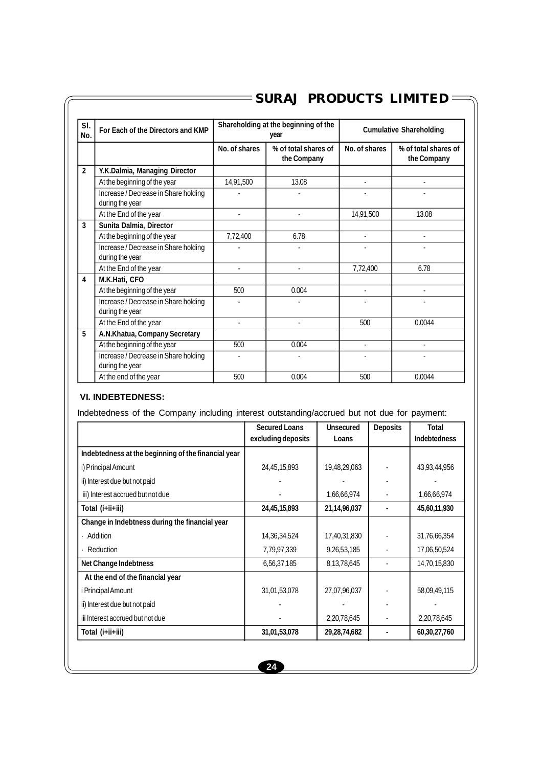| SI.<br>No.     | For Each of the Directors and KMP                       |               | Shareholding at the beginning of the<br>year | <b>Cumulative Shareholding</b> |                                     |  |
|----------------|---------------------------------------------------------|---------------|----------------------------------------------|--------------------------------|-------------------------------------|--|
|                |                                                         | No. of shares | % of total shares of<br>the Company          | No. of shares                  | % of total shares of<br>the Company |  |
| $\overline{2}$ | Y.K.Dalmia, Managing Director                           |               |                                              |                                |                                     |  |
|                | At the beginning of the year                            | 14,91,500     | 13.08                                        |                                |                                     |  |
|                | Increase / Decrease in Share holding<br>during the year |               |                                              |                                |                                     |  |
|                | At the End of the year                                  |               |                                              | 14,91,500                      | 13.08                               |  |
| 3              | Sunita Dalmia, Director                                 |               |                                              |                                |                                     |  |
|                | At the beginning of the year                            | 7,72,400      | 6.78                                         |                                |                                     |  |
|                | Increase / Decrease in Share holding<br>during the year |               |                                              |                                |                                     |  |
|                | At the End of the year                                  | ä,            | ٠                                            | 7.72.400                       | 6.78                                |  |
| 4              | M.K.Hati, CFO                                           |               |                                              |                                |                                     |  |
|                | At the beginning of the year                            | 500           | 0.004                                        |                                |                                     |  |
|                | Increase / Decrease in Share holding<br>during the year |               |                                              |                                |                                     |  |
|                | At the End of the year                                  |               |                                              | 500                            | 0.0044                              |  |
| 5              | A.N.Khatua, Company Secretary                           |               |                                              |                                |                                     |  |
|                | At the beginning of the year                            | 500           | 0.004                                        |                                |                                     |  |
|                | Increase / Decrease in Share holding<br>during the year |               |                                              |                                |                                     |  |
|                | At the end of the year                                  | 500           | 0.004                                        | 500                            | 0.0044                              |  |

## $\equiv$ SURAJ PRODUCTS LIMITED

## **VI. INDEBTEDNESS:**

Indebtedness of the Company including interest outstanding/accrued but not due for payment:

|                                                     | <b>Secured Loans</b> | <b>Unsecured</b> | <b>Deposits</b> | <b>Total</b>        |
|-----------------------------------------------------|----------------------|------------------|-----------------|---------------------|
|                                                     | excluding deposits   | Loans            |                 | <b>Indebtedness</b> |
| Indebtedness at the beginning of the financial year |                      |                  |                 |                     |
| i) Principal Amount                                 | 24,45,15,893         | 19,48,29,063     |                 | 43,93,44,956        |
| ii) Interest due but not paid                       |                      |                  |                 |                     |
| iii) Interest accrued but not due                   |                      | 1,66,66,974      |                 | 1,66,66,974         |
| Total (i+ii+iii)                                    | 24,45,15,893         | 21,14,96,037     |                 | 45,60,11,930        |
| Change in Indebtness during the financial year      |                      |                  |                 |                     |
| Addition<br>$\ddot{\phantom{0}}$                    | 14,36,34,524         | 17,40,31,830     |                 | 31,76,66,354        |
| Reduction                                           | 7,79,97,339          | 9,26,53,185      |                 | 17,06,50,524        |
| <b>Net Change Indebtness</b>                        | 6,56,37,185          | 8,13,78,645      |                 | 14,70,15,830        |
| At the end of the financial year                    |                      |                  |                 |                     |
| i Principal Amount                                  | 31,01,53,078         | 27,07,96,037     |                 | 58,09,49,115        |
| ii) Interest due but not paid                       |                      |                  |                 |                     |
| iii Interest accrued but not due                    |                      | 2,20,78,645      |                 | 2,20,78,645         |
| Total (i+ii+iii)                                    | 31,01,53,078         | 29,28,74,682     |                 | 60,30,27,760        |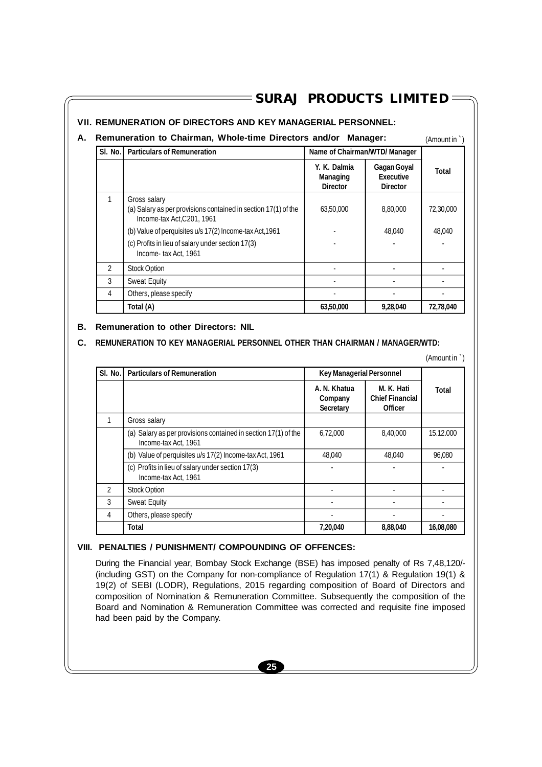## **VII. REMUNERATION OF DIRECTORS AND KEY MANAGERIAL PERSONNEL:**

## A. Remuneration to Chairman, Whole-time Directors and/or Manager: (Amount in `)

| SI. No.        | <b>Particulars of Remuneration</b>                                                                          | Name of Chairman/WTD/ Manager                      |                                                           |           |
|----------------|-------------------------------------------------------------------------------------------------------------|----------------------------------------------------|-----------------------------------------------------------|-----------|
|                |                                                                                                             | Y. K. Dalmia<br><b>Managing</b><br><b>Director</b> | <b>Gagan Goyal</b><br><b>Executive</b><br><b>Director</b> | Total     |
|                | Gross salary<br>(a) Salary as per provisions contained in section 17(1) of the<br>Income-tax Act.C201, 1961 | 63,50,000                                          | 8,80,000                                                  | 72,30,000 |
|                | (b) Value of perquisites u/s 17(2) Income-tax Act, 1961                                                     |                                                    | 48.040                                                    | 48,040    |
|                | (c) Profits in lieu of salary under section 17(3)<br>Income-tax Act, 1961                                   |                                                    |                                                           |           |
| $\mathfrak{D}$ | <b>Stock Option</b>                                                                                         |                                                    |                                                           |           |
| 3              | <b>Sweat Equity</b>                                                                                         |                                                    |                                                           |           |
| 4              | Others, please specify                                                                                      |                                                    |                                                           |           |
|                | Total (A)                                                                                                   | 63,50,000                                          | 9,28,040                                                  | 72,78,040 |

#### **B. Remuneration to other Directors: NIL**

#### **C. REMUNERATION TO KEY MANAGERIAL PERSONNEL OTHER THAN CHAIRMAN / MANAGER/WTD:**

(Amount in `)

| SI. No.        | <b>Particulars of Remuneration</b>                                                     | <b>Key Managerial Personnel</b>             |                                                        |              |
|----------------|----------------------------------------------------------------------------------------|---------------------------------------------|--------------------------------------------------------|--------------|
|                |                                                                                        | A. N. Khatua<br>Company<br><b>Secretary</b> | M. K. Hati<br><b>Chief Financial</b><br><b>Officer</b> | <b>Total</b> |
|                | Gross salary                                                                           |                                             |                                                        |              |
|                | (a) Salary as per provisions contained in section 17(1) of the<br>Income-tax Act, 1961 | 6,72,000                                    | 8,40,000                                               | 15.12.000    |
|                | (b) Value of perquisites u/s 17(2) Income-tax Act, 1961                                | 48,040                                      | 48.040                                                 | 96.080       |
|                | (c) Profits in lieu of salary under section 17(3)<br>Income-tax Act, 1961              |                                             |                                                        |              |
| $\mathfrak{p}$ | <b>Stock Option</b>                                                                    |                                             |                                                        |              |
| 3              | <b>Sweat Equity</b>                                                                    |                                             |                                                        |              |
| 4              | Others, please specify                                                                 |                                             |                                                        |              |
|                | Total                                                                                  | 7,20,040                                    | 8,88,040                                               | 16,08,080    |

#### **VIII. PENALTIES / PUNISHMENT/ COMPOUNDING OF OFFENCES:**

During the Financial year, Bombay Stock Exchange (BSE) has imposed penalty of Rs 7,48,120/- (including GST) on the Company for non-compliance of Regulation 17(1) & Regulation 19(1) & 19(2) of SEBI (LODR), Regulations, 2015 regarding composition of Board of Directors and composition of Nomination & Remuneration Committee. Subsequently the composition of the Board and Nomination & Remuneration Committee was corrected and requisite fine imposed had been paid by the Company.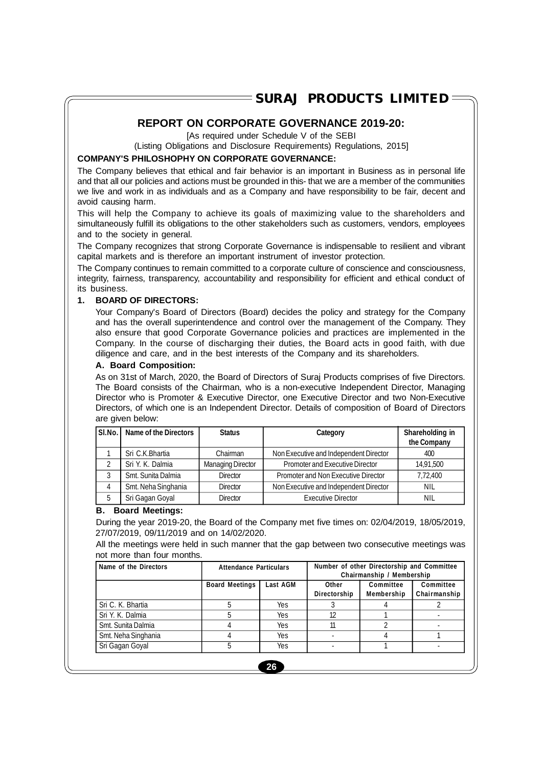## **REPORT ON CORPORATE GOVERNANCE 2019-20:**

[As required under Schedule V of the SEBI

(Listing Obligations and Disclosure Requirements) Regulations, 2015]

### **COMPANY'S PHILOSHOPHY ON CORPORATE GOVERNANCE:**

The Company believes that ethical and fair behavior is an important in Business as in personal life and that all our policies and actions must be grounded in this- that we are a member of the communities we live and work in as individuals and as a Company and have responsibility to be fair, decent and avoid causing harm.

This will help the Company to achieve its goals of maximizing value to the shareholders and simultaneously fulfill its obligations to the other stakeholders such as customers, vendors, employees and to the society in general.

The Company recognizes that strong Corporate Governance is indispensable to resilient and vibrant capital markets and is therefore an important instrument of investor protection.

The Company continues to remain committed to a corporate culture of conscience and consciousness, integrity, fairness, transparency, accountability and responsibility for efficient and ethical conduct of its business.

### **1. BOARD OF DIRECTORS:**

Your Company's Board of Directors (Board) decides the policy and strategy for the Company and has the overall superintendence and control over the management of the Company. They also ensure that good Corporate Governance policies and practices are implemented in the Company. In the course of discharging their duties, the Board acts in good faith, with due diligence and care, and in the best interests of the Company and its shareholders.

#### **A. Board Composition:**

As on 31st of March, 2020, the Board of Directors of Suraj Products comprises of five Directors. The Board consists of the Chairman, who is a non-executive Independent Director, Managing Director who is Promoter & Executive Director, one Executive Director and two Non-Executive Directors, of which one is an Independent Director. Details of composition of Board of Directors are given below:

| SI.No. | Name of the Directors | <b>Status</b>            | Category                               | Shareholding in<br>the Company |
|--------|-----------------------|--------------------------|----------------------------------------|--------------------------------|
|        | Sri C.K.Bhartia       | Chairman                 | Non Executive and Independent Director | 400                            |
|        | Sri Y. K. Dalmia      | <b>Managing Director</b> | Promoter and Executive Director        | 14,91,500                      |
|        | Smt. Sunita Dalmia    | Director                 | Promoter and Non Executive Director    | 7,72,400                       |
| 4      | Smt. Neha Singhania   | <b>Director</b>          | Non Executive and Independent Director | NIL                            |
|        | Sri Gagan Goyal       | Director                 | <b>Executive Director</b>              | NIL                            |

#### **B. Board Meetings:**

During the year 2019-20, the Board of the Company met five times on: 02/04/2019, 18/05/2019, 27/07/2019, 09/11/2019 and on 14/02/2020.

All the meetings were held in such manner that the gap between two consecutive meetings was not more than four months.

| Name of the Directors |                       | <b>Attendance Particulars</b> |                       | Number of other Directorship and Committee<br>Chairmanship / Membership |                           |  |
|-----------------------|-----------------------|-------------------------------|-----------------------|-------------------------------------------------------------------------|---------------------------|--|
|                       | <b>Board Meetings</b> | <b>Last AGM</b>               | Other<br>Directorship | Committee<br>Membership                                                 | Committee<br>Chairmanship |  |
| Sri C. K. Bhartia     |                       | Yes                           |                       |                                                                         |                           |  |
| Sri Y. K. Dalmia      |                       | Yes                           |                       |                                                                         |                           |  |
| Smt. Sunita Dalmia    |                       | Yes                           | 11                    |                                                                         |                           |  |
| Smt. Neha Singhania   |                       | Yes                           |                       |                                                                         |                           |  |
| Sri Gagan Goyal       |                       | Yes                           |                       |                                                                         |                           |  |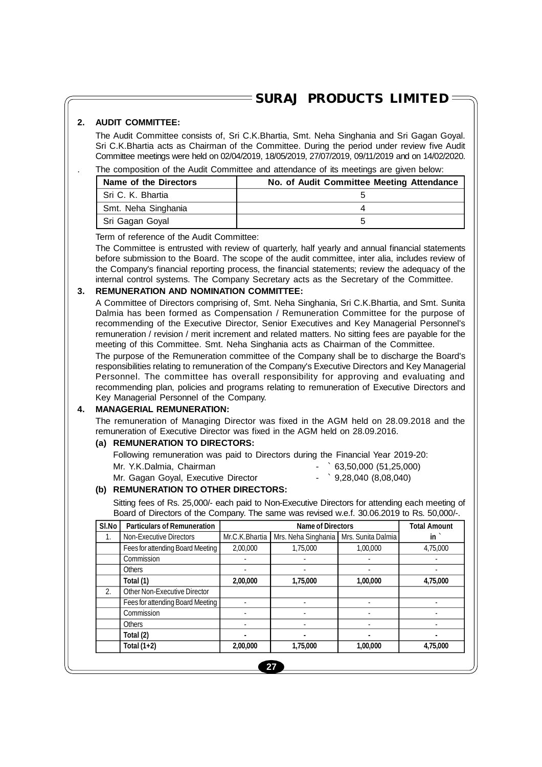#### **2. AUDIT COMMITTEE:**

The Audit Committee consists of, Sri C.K.Bhartia, Smt. Neha Singhania and Sri Gagan Goyal. Sri C.K.Bhartia acts as Chairman of the Committee. During the period under review five Audit Committee meetings were held on 02/04/2019, 18/05/2019, 27/07/2019, 09/11/2019 and on 14/02/2020.

### . The composition of the Audit Committee and attendance of its meetings are given below:

| Name of the Directors | No. of Audit Committee Meeting Attendance |
|-----------------------|-------------------------------------------|
| Sri C. K. Bhartia     |                                           |
| Smt. Neha Singhania   |                                           |
| Sri Gagan Goyal       |                                           |

Term of reference of the Audit Committee:

The Committee is entrusted with review of quarterly, half yearly and annual financial statements before submission to the Board. The scope of the audit committee, inter alia, includes review of the Company's financial reporting process, the financial statements; review the adequacy of the internal control systems. The Company Secretary acts as the Secretary of the Committee.

### **3. REMUNERATION AND NOMINATION COMMITTEE:**

A Committee of Directors comprising of, Smt. Neha Singhania, Sri C.K.Bhartia, and Smt. Sunita Dalmia has been formed as Compensation / Remuneration Committee for the purpose of recommending of the Executive Director, Senior Executives and Key Managerial Personnel's remuneration / revision / merit increment and related matters. No sitting fees are payable for the meeting of this Committee. Smt. Neha Singhania acts as Chairman of the Committee.

The purpose of the Remuneration committee of the Company shall be to discharge the Board's responsibilities relating to remuneration of the Company's Executive Directors and Key Managerial Personnel. The committee has overall responsibility for approving and evaluating and recommending plan, policies and programs relating to remuneration of Executive Directors and Key Managerial Personnel of the Company.

#### **4. MANAGERIAL REMUNERATION:**

The remuneration of Managing Director was fixed in the AGM held on 28.09.2018 and the remuneration of Executive Director was fixed in the AGM held on 28.09.2016.

### **(a) REMUNERATION TO DIRECTORS:**

| Following remuneration was paid to Directors during the Financial Year 2019-20: |  |                              |  |
|---------------------------------------------------------------------------------|--|------------------------------|--|
| Mr. Y.K.Dalmia, Chairman                                                        |  | $\hat{6}3,50,000(51,25,000)$ |  |

Mr. Gagan Goyal, Executive Director - 0,28,040 (8,08,040)

## **(b) REMUNERATION TO OTHER DIRECTORS:**

Sitting fees of Rs. 25,000/- each paid to Non-Executive Directors for attending each meeting of Board of Directors of the Company. The same was revised w.e.f. 30.06.2019 to Rs. 50,000/-.

| SI.No            | <b>Particulars of Remuneration</b>  |                | <b>Name of Directors</b> |                    |               |  |
|------------------|-------------------------------------|----------------|--------------------------|--------------------|---------------|--|
| 1.               | <b>Non-Executive Directors</b>      | Mr.C.K.Bhartia | Mrs. Neha Singhania      | Mrs. Sunita Dalmia | $\mathsf{in}$ |  |
|                  | Fees for attending Board Meeting    | 2,00,000       | 1,75,000                 | 1,00,000           | 4,75,000      |  |
|                  | Commission                          |                | ٠                        |                    |               |  |
|                  | <b>Others</b>                       | ۰              | ٠                        |                    |               |  |
|                  | Total (1)                           | 2,00,000       | 1,75,000                 | 1,00,000           | 4,75,000      |  |
| $\overline{2}$ . | <b>Other Non-Executive Director</b> |                |                          |                    |               |  |
|                  | Fees for attending Board Meeting    |                |                          |                    |               |  |
|                  | Commission                          |                | ٠                        |                    |               |  |
|                  | <b>Others</b>                       |                | ٠                        |                    |               |  |
|                  | Total (2)                           |                | $\blacksquare$           |                    |               |  |
|                  | Total $(1+2)$                       | 2,00,000       | 1,75,000                 | 1,00,000           | 4,75,000      |  |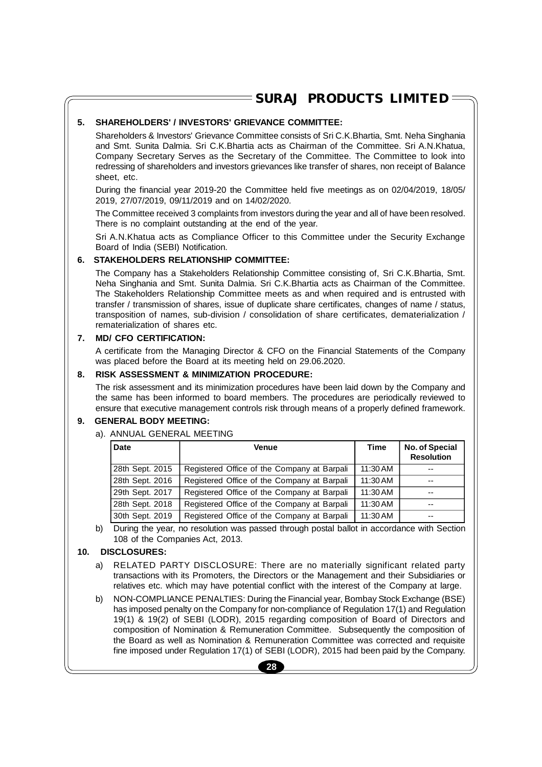## **5. SHAREHOLDERS' / INVESTORS' GRIEVANCE COMMITTEE:**

Shareholders & Investors' Grievance Committee consists of Sri C.K.Bhartia, Smt. Neha Singhania and Smt. Sunita Dalmia. Sri C.K.Bhartia acts as Chairman of the Committee. Sri A.N.Khatua, Company Secretary Serves as the Secretary of the Committee. The Committee to look into redressing of shareholders and investors grievances like transfer of shares, non receipt of Balance sheet, etc.

During the financial year 2019-20 the Committee held five meetings as on 02/04/2019, 18/05/ 2019, 27/07/2019, 09/11/2019 and on 14/02/2020.

The Committee received 3 complaints from investors during the year and all of have been resolved. There is no complaint outstanding at the end of the year.

Sri A.N.Khatua acts as Compliance Officer to this Committee under the Security Exchange Board of India (SEBI) Notification.

#### **6. STAKEHOLDERS RELATIONSHIP COMMITTEE:**

The Company has a Stakeholders Relationship Committee consisting of, Sri C.K.Bhartia, Smt. Neha Singhania and Smt. Sunita Dalmia. Sri C.K.Bhartia acts as Chairman of the Committee. The Stakeholders Relationship Committee meets as and when required and is entrusted with transfer / transmission of shares, issue of duplicate share certificates, changes of name / status, transposition of names, sub-division / consolidation of share certificates, dematerialization / rematerialization of shares etc.

#### **7. MD/ CFO CERTIFICATION:**

A certificate from the Managing Director & CFO on the Financial Statements of the Company was placed before the Board at its meeting held on 29.06.2020.

#### **8. RISK ASSESSMENT & MINIMIZATION PROCEDURE:**

The risk assessment and its minimization procedures have been laid down by the Company and the same has been informed to board members. The procedures are periodically reviewed to ensure that executive management controls risk through means of a properly defined framework.

### **9. GENERAL BODY MEETING:**

#### a). ANNUAL GENERAL MEETING

| <b>Date</b>     | <b>Venue</b>                                | Time       | No. of Special<br><b>Resolution</b> |
|-----------------|---------------------------------------------|------------|-------------------------------------|
| 28th Sept. 2015 | Registered Office of the Company at Barpali | 11:30 AM   | --                                  |
| 28th Sept. 2016 | Registered Office of the Company at Barpali | 11:30 AM   | --                                  |
| 29th Sept. 2017 | Registered Office of the Company at Barpali | $11:30$ AM | --                                  |
| 28th Sept. 2018 | Registered Office of the Company at Barpali | $11:30$ AM | --                                  |
| 30th Sept. 2019 | Registered Office of the Company at Barpali | 11:30 AM   | --                                  |

b) During the year, no resolution was passed through postal ballot in accordance with Section 108 of the Companies Act, 2013.

#### **10. DISCLOSURES:**

- a) RELATED PARTY DISCLOSURE: There are no materially significant related party transactions with its Promoters, the Directors or the Management and their Subsidiaries or relatives etc. which may have potential conflict with the interest of the Company at large.
- b) NON-COMPLIANCE PENALTIES: During the Financial year, Bombay Stock Exchange (BSE) has imposed penalty on the Company for non-compliance of Regulation 17(1) and Regulation 19(1) & 19(2) of SEBI (LODR), 2015 regarding composition of Board of Directors and composition of Nomination & Remuneration Committee. Subsequently the composition of the Board as well as Nomination & Remuneration Committee was corrected and requisite fine imposed under Regulation 17(1) of SEBI (LODR), 2015 had been paid by the Company.

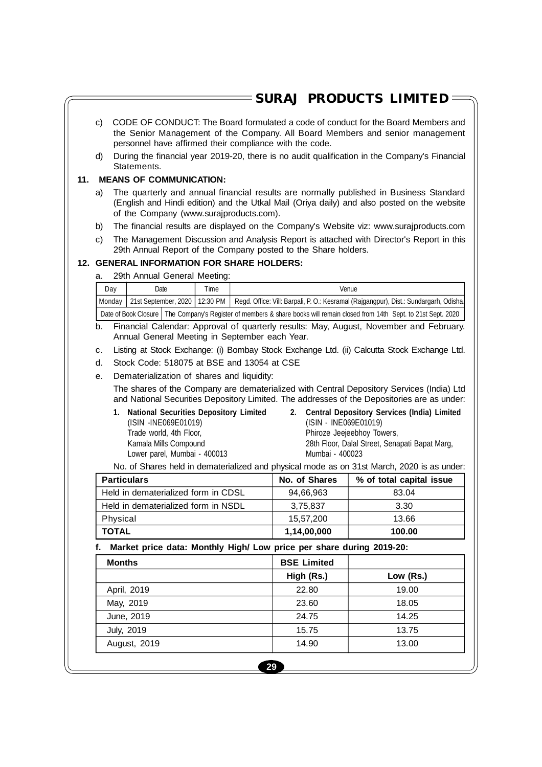- c) CODE OF CONDUCT: The Board formulated a code of conduct for the Board Members and the Senior Management of the Company. All Board Members and senior management personnel have affirmed their compliance with the code.
- d) During the financial year 2019-20, there is no audit qualification in the Company's Financial Statements.

#### **11. MEANS OF COMMUNICATION:**

- a) The quarterly and annual financial results are normally published in Business Standard (English and Hindi edition) and the Utkal Mail (Oriya daily) and also posted on the website of the Company (www.surajproducts.com).
- b) The financial results are displayed on the Company's Website viz: www.surajproducts.com
- c) The Management Discussion and Analysis Report is attached with Director's Report in this 29th Annual Report of the Company posted to the Share holders.

#### **12. GENERAL INFORMATION FOR SHARE HOLDERS:**

a. 29th Annual General Meeting:

| Day                                                                                                                          | Date |                                                                                                                                 | Time | Venue |
|------------------------------------------------------------------------------------------------------------------------------|------|---------------------------------------------------------------------------------------------------------------------------------|------|-------|
|                                                                                                                              |      | Monday   21st September, 2020   12:30 PM   Regd. Office: Vill: Barpali, P. O.: Kesramal (Rajgangpur), Dist.: Sundargarh, Odisha |      |       |
| Date of Book Closure   The Company's Register of members & share books will remain closed from 14th Sept. to 21st Sept. 2020 |      |                                                                                                                                 |      |       |

- b. Financial Calendar: Approval of quarterly results: May, August, November and February. Annual General Meeting in September each Year.
- c. Listing at Stock Exchange: (i) Bombay Stock Exchange Ltd. (ii) Calcutta Stock Exchange Ltd.
- d. Stock Code: 518075 at BSE and 13054 at CSE
- e. Dematerialization of shares and liquidity:

The shares of the Company are dematerialized with Central Depository Services (India) Ltd and National Securities Depository Limited. The addresses of the Depositories are as under:

- (ISIN -INE069E01019)<br>Trade world. 4th Floor. Trade world. 4th Floor. The Contract of Phiroze Jeeleebhov Tow Trade world, 4th Floor, Trade world, 4th Floor, Phiroze Jeejeebhoy Towers, Kamala Mills Compound Lower parel, Mumbai - 400013
- **1. National Securities Depository Limited 2. Central Depository Services (India) Limited** 28th Floor, Dalal Street, Senapati Bapat Marg,<br>Mumbai - 400023

No. of Shares held in dematerialized and physical mode as on 31st March, 2020 is as under:

| <b>Particulars</b>                  | No. of Shares | % of total capital issue |
|-------------------------------------|---------------|--------------------------|
| Held in dematerialized form in CDSL | 94.66.963     | 83.04                    |
| Held in dematerialized form in NSDL | 3,75,837      | 3.30                     |
| Physical                            | 15,57,200     | 13.66                    |
| <b>TOTAL</b>                        | 1,14,00,000   | 100.00                   |

#### **f. Market price data: Monthly High/ Low price per share during 2019-20:**

| <b>Months</b> | <b>BSE Limited</b> |           |
|---------------|--------------------|-----------|
|               | High (Rs.)         | Low (Rs.) |
| April, 2019   | 22.80              | 19.00     |
| May, 2019     | 23.60              | 18.05     |
| June, 2019    | 24.75              | 14.25     |
| July, 2019    | 15.75              | 13.75     |
| August, 2019  | 14.90              | 13.00     |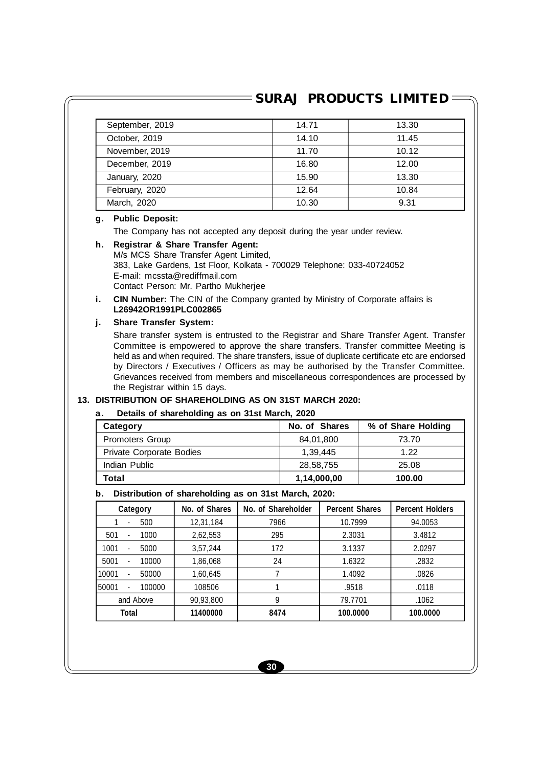## $\overline{\ }$  SURAJ PRODUCTS LIMITED  $\equiv$

| September, 2019 | 14.71 | 13.30 |
|-----------------|-------|-------|
| October, 2019   | 14.10 | 11.45 |
| November, 2019  | 11.70 | 10.12 |
| December, 2019  | 16.80 | 12.00 |
| January, 2020   | 15.90 | 13.30 |
| February, 2020  | 12.64 | 10.84 |
| March, 2020     | 10.30 | 9.31  |

#### **g. Public Deposit:**

The Company has not accepted any deposit during the year under review.

#### **h. Registrar & Share Transfer Agent:** M/s MCS Share Transfer Agent Limited, 383, Lake Gardens, 1st Floor, Kolkata - 700029 Telephone: 033-40724052 E-mail: mcssta@rediffmail.com Contact Person: Mr. Partho Mukherjee

**i. CIN Number:** The CIN of the Company granted by Ministry of Corporate affairs is **L26942OR1991PLC002865**

### **j. Share Transfer System:**

Share transfer system is entrusted to the Registrar and Share Transfer Agent. Transfer Committee is empowered to approve the share transfers. Transfer committee Meeting is held as and when required. The share transfers, issue of duplicate certificate etc are endorsed by Directors / Executives / Officers as may be authorised by the Transfer Committee. Grievances received from members and miscellaneous correspondences are processed by the Registrar within 15 days.

## **13. DISTRIBUTION OF SHAREHOLDING AS ON 31ST MARCH 2020:**

#### **a. Details of shareholding as on 31st March, 2020**

| Category                        | No. of Shares | % of Share Holding |
|---------------------------------|---------------|--------------------|
| <b>Promoters Group</b>          | 84,01,800     | 73.70              |
| <b>Private Corporate Bodies</b> | 1.39.445      | 1.22               |
| Indian Public                   | 28,58,755     | 25.08              |
| Total                           | 1,14,000,00   | 100.00             |

## **b. Distribution of shareholding as on 31st March, 2020:**

| Category                                    | No. of Shares | No. of Shareholder | <b>Percent Shares</b> | <b>Percent Holders</b> |
|---------------------------------------------|---------------|--------------------|-----------------------|------------------------|
| 500<br>$\overline{\phantom{a}}$             | 12,31,184     | 7966               | 10.7999               | 94.0053                |
| 1000<br>501<br>$\overline{\phantom{0}}$     | 2,62,553      | 295                | 2.3031                | 3.4812                 |
| 1001<br>5000<br>$\overline{a}$              | 3,57,244      | 172                | 3.1337                | 2.0297                 |
| 5001<br>10000                               | 1,86,068      | 24                 | 1.6322                | .2832                  |
| 10001<br>50000<br>$\blacksquare$            | 1,60,645      |                    | 1.4092                | .0826                  |
| 50001<br>100000<br>$\overline{\phantom{a}}$ | 108506        |                    | .9518                 | .0118                  |
| and Above                                   | 90,93,800     | 9                  | 79.7701               | .1062                  |
| <b>Total</b>                                | 11400000      | 8474               | 100.0000              | 100.0000               |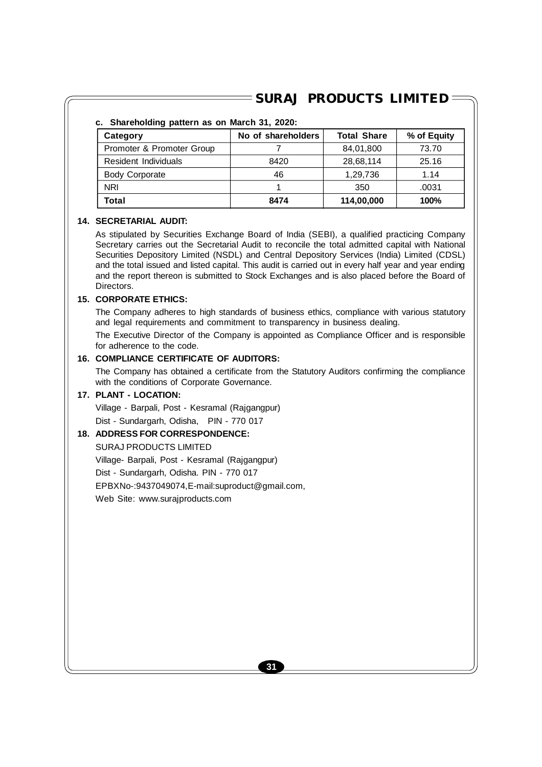## $\overline{\ }$  SURAJ PRODUCTS LIMITED  $\equiv$

### **c. Shareholding pattern as on March 31, 2020:**

| Category                  | No of shareholders | <b>Total Share</b> | % of Equity |
|---------------------------|--------------------|--------------------|-------------|
| Promoter & Promoter Group |                    | 84,01,800          | 73.70       |
| Resident Individuals      | 8420               | 28,68,114          | 25.16       |
| <b>Body Corporate</b>     | 46                 | 1,29,736           | 1.14        |
| <b>NRI</b>                |                    | 350                | .0031       |
| Total                     | 8474               | 114,00,000         | 100%        |

### **14. SECRETARIAL AUDIT:**

As stipulated by Securities Exchange Board of India (SEBI), a qualified practicing Company Secretary carries out the Secretarial Audit to reconcile the total admitted capital with National Securities Depository Limited (NSDL) and Central Depository Services (India) Limited (CDSL) and the total issued and listed capital. This audit is carried out in every half year and year ending and the report thereon is submitted to Stock Exchanges and is also placed before the Board of Directors.

### **15. CORPORATE ETHICS:**

The Company adheres to high standards of business ethics, compliance with various statutory and legal requirements and commitment to transparency in business dealing.

The Executive Director of the Company is appointed as Compliance Officer and is responsible for adherence to the code.

### **16. COMPLIANCE CERTIFICATE OF AUDITORS:**

The Company has obtained a certificate from the Statutory Auditors confirming the compliance with the conditions of Corporate Governance.

## **17. PLANT - LOCATION:**

Village - Barpali, Post - Kesramal (Rajgangpur) Dist - Sundargarh, Odisha, PIN - 770 017

## **18. ADDRESS FOR CORRESPONDENCE:**

SURAJ PRODUCTS LIMITED Village- Barpali, Post - Kesramal (Rajgangpur) Dist - Sundargarh, Odisha. PIN - 770 017 EPBXNo-:9437049074,E-mail:suproduct@gmail.com, Web Site: www.surajproducts.com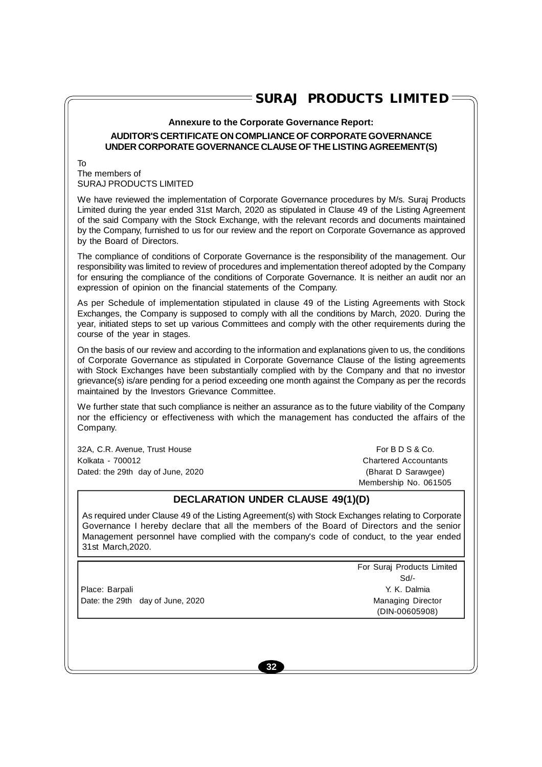## **Annexure to the Corporate Governance Report: AUDITOR'S CERTIFICATE ON COMPLIANCE OF CORPORATE GOVERNANCE UNDER CORPORATE GOVERNANCE CLAUSE OF THE LISTING AGREEMENT(S)**

 $T_0$ 

#### The members of SURAJ PRODUCTS LIMITED

We have reviewed the implementation of Corporate Governance procedures by M/s. Suraj Products Limited during the year ended 31st March, 2020 as stipulated in Clause 49 of the Listing Agreement of the said Company with the Stock Exchange, with the relevant records and documents maintained by the Company, furnished to us for our review and the report on Corporate Governance as approved by the Board of Directors.

The compliance of conditions of Corporate Governance is the responsibility of the management. Our responsibility was limited to review of procedures and implementation thereof adopted by the Company for ensuring the compliance of the conditions of Corporate Governance. It is neither an audit nor an expression of opinion on the financial statements of the Company.

As per Schedule of implementation stipulated in clause 49 of the Listing Agreements with Stock Exchanges, the Company is supposed to comply with all the conditions by March, 2020. During the year, initiated steps to set up various Committees and comply with the other requirements during the course of the year in stages.

On the basis of our review and according to the information and explanations given to us, the conditions of Corporate Governance as stipulated in Corporate Governance Clause of the listing agreements with Stock Exchanges have been substantially complied with by the Company and that no investor grievance(s) is/are pending for a period exceeding one month against the Company as per the records maintained by the Investors Grievance Committee.

We further state that such compliance is neither an assurance as to the future viability of the Company nor the efficiency or effectiveness with which the management has conducted the affairs of the Company.

32A, C.R. Avenue, Trust House For B D S & Co. Kolkata - 700012 Chartered Accountants Dated: the 29th day of June, 2020 (Bharat D Sarawgee)

Membership No. 061505

## **DECLARATION UNDER CLAUSE 49(1)(D)**

As required under Clause 49 of the Listing Agreement(s) with Stock Exchanges relating to Corporate Governance I hereby declare that all the members of the Board of Directors and the senior Management personnel have complied with the company's code of conduct, to the year ended 31st March,2020.

Place: Barpali Y. K. Dalmia Date: the 29th day of June, 2020 Managing Director

For Suraj Products Limited Sd/- (DIN-00605908)

**32**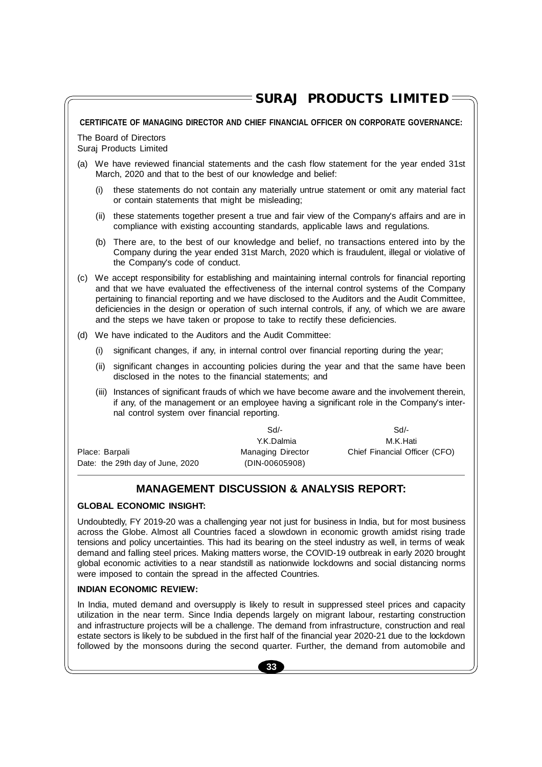### **CERTIFICATE OF MANAGING DIRECTOR AND CHIEF FINANCIAL OFFICER ON CORPORATE GOVERNANCE:**

The Board of Directors Suraj Products Limited

- (a) We have reviewed financial statements and the cash flow statement for the year ended 31st March, 2020 and that to the best of our knowledge and belief:
	- (i) these statements do not contain any materially untrue statement or omit any material fact or contain statements that might be misleading;
	- (ii) these statements together present a true and fair view of the Company's affairs and are in compliance with existing accounting standards, applicable laws and regulations.
	- (b) There are, to the best of our knowledge and belief, no transactions entered into by the Company during the year ended 31st March, 2020 which is fraudulent, illegal or violative of the Company's code of conduct.
- (c) We accept responsibility for establishing and maintaining internal controls for financial reporting and that we have evaluated the effectiveness of the internal control systems of the Company pertaining to financial reporting and we have disclosed to the Auditors and the Audit Committee, deficiencies in the design or operation of such internal controls, if any, of which we are aware and the steps we have taken or propose to take to rectify these deficiencies.
- (d) We have indicated to the Auditors and the Audit Committee:
	- (i) significant changes, if any, in internal control over financial reporting during the year;
	- (ii) significant changes in accounting policies during the year and that the same have been disclosed in the notes to the financial statements; and
	- (iii) Instances of significant frauds of which we have become aware and the involvement therein, if any, of the management or an employee having a significant role in the Company's internal control system over financial reporting.

|                                  | Sd                | Sd                            |
|----------------------------------|-------------------|-------------------------------|
|                                  | Y.K.Dalmia        | M.K.Hati                      |
| Place: Barpali                   | Managing Director | Chief Financial Officer (CFO) |
| Date: the 29th day of June, 2020 | (DIN-00605908)    |                               |

## **MANAGEMENT DISCUSSION & ANALYSIS REPORT:**

## **GLOBAL ECONOMIC INSIGHT:**

Undoubtedly, FY 2019-20 was a challenging year not just for business in India, but for most business across the Globe. Almost all Countries faced a slowdown in economic growth amidst rising trade tensions and policy uncertainties. This had its bearing on the steel industry as well, in terms of weak demand and falling steel prices. Making matters worse, the COVID-19 outbreak in early 2020 brought global economic activities to a near standstill as nationwide lockdowns and social distancing norms were imposed to contain the spread in the affected Countries.

#### **INDIAN ECONOMIC REVIEW:**

In India, muted demand and oversupply is likely to result in suppressed steel prices and capacity utilization in the near term. Since India depends largely on migrant labour, restarting construction and infrastructure projects will be a challenge. The demand from infrastructure, construction and real estate sectors is likely to be subdued in the first half of the financial year 2020-21 due to the lockdown followed by the monsoons during the second quarter. Further, the demand from automobile and

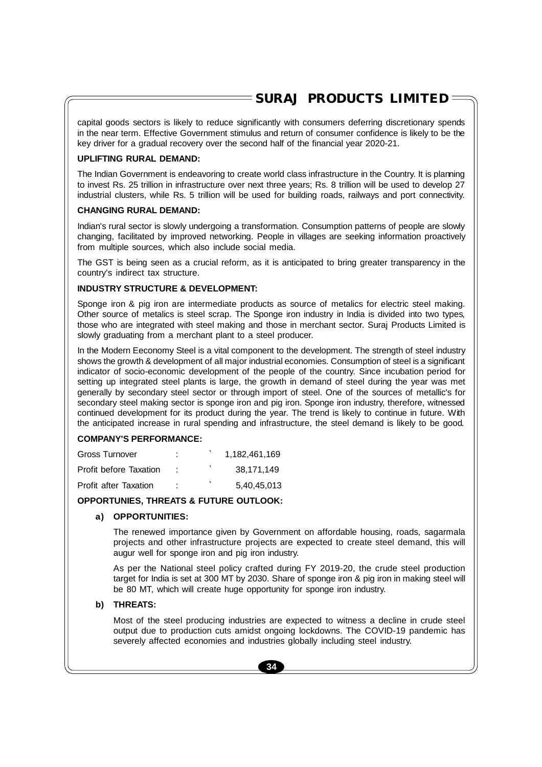capital goods sectors is likely to reduce significantly with consumers deferring discretionary spends in the near term. Effective Government stimulus and return of consumer confidence is likely to be the key driver for a gradual recovery over the second half of the financial year 2020-21.

#### **UPLIFTING RURAL DEMAND:**

The Indian Government is endeavoring to create world class infrastructure in the Country. It is planning to invest Rs. 25 trillion in infrastructure over next three years; Rs. 8 trillion will be used to develop 27 industrial clusters, while Rs. 5 trillion will be used for building roads, railways and port connectivity.

#### **CHANGING RURAL DEMAND:**

Indian's rural sector is slowly undergoing a transformation. Consumption patterns of people are slowly changing, facilitated by improved networking. People in villages are seeking information proactively from multiple sources, which also include social media.

The GST is being seen as a crucial reform, as it is anticipated to bring greater transparency in the country's indirect tax structure.

#### **INDUSTRY STRUCTURE & DEVELOPMENT:**

Sponge iron & pig iron are intermediate products as source of metalics for electric steel making. Other source of metalics is steel scrap. The Sponge iron industry in India is divided into two types, those who are integrated with steel making and those in merchant sector. Suraj Products Limited is slowly graduating from a merchant plant to a steel producer.

In the Modern Eeconomy Steel is a vital component to the development. The strength of steel industry shows the growth & development of all major industrial economies. Consumption of steel is a significant indicator of socio-economic development of the people of the country. Since incubation period for setting up integrated steel plants is large, the growth in demand of steel during the year was met generally by secondary steel sector or through import of steel. One of the sources of metallic's for secondary steel making sector is sponge iron and pig iron. Sponge iron industry, therefore, witnessed continued development for its product during the year. The trend is likely to continue in future. With the anticipated increase in rural spending and infrastructure, the steel demand is likely to be good.

#### **COMPANY'S PERFORMANCE:**

| <b>Gross Turnover</b>         | $\bullet$<br>٠ |   | 1.182.461.169 |
|-------------------------------|----------------|---|---------------|
| <b>Profit before Taxation</b> |                | 、 | 38.171.149    |
| Profit after Taxation         |                | ╮ | 5.40.45.013   |

#### **OPPORTUNIES, THREATS & FUTURE OUTLOOK:**

#### **a) OPPORTUNITIES:**

The renewed importance given by Government on affordable housing, roads, sagarmala projects and other infrastructure projects are expected to create steel demand, this will augur well for sponge iron and pig iron industry.

As per the National steel policy crafted during FY 2019-20, the crude steel production target for India is set at 300 MT by 2030. Share of sponge iron & pig iron in making steel will be 80 MT, which will create huge opportunity for sponge iron industry.

#### **b) THREATS:**

Most of the steel producing industries are expected to witness a decline in crude steel output due to production cuts amidst ongoing lockdowns. The COVID-19 pandemic has severely affected economies and industries globally including steel industry.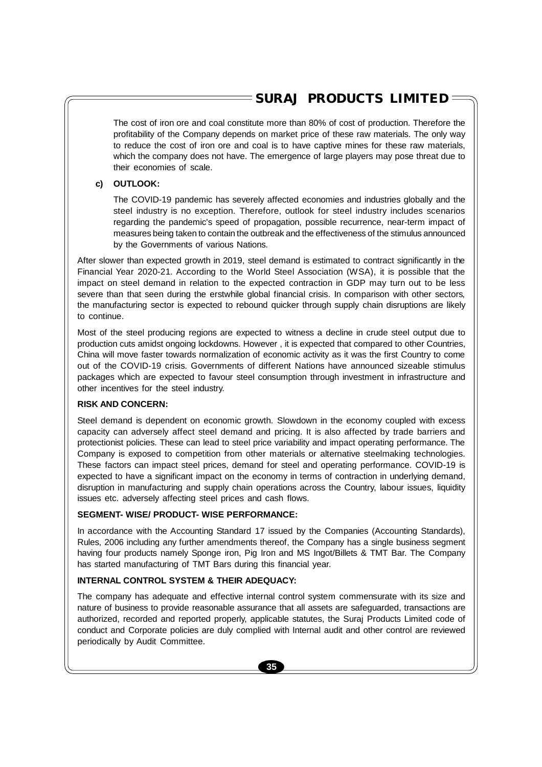The cost of iron ore and coal constitute more than 80% of cost of production. Therefore the profitability of the Company depends on market price of these raw materials. The only way to reduce the cost of iron ore and coal is to have captive mines for these raw materials, which the company does not have. The emergence of large players may pose threat due to their economies of scale.

### **c) OUTLOOK:**

The COVID-19 pandemic has severely affected economies and industries globally and the steel industry is no exception. Therefore, outlook for steel industry includes scenarios regarding the pandemic's speed of propagation, possible recurrence, near-term impact of measures being taken to contain the outbreak and the effectiveness of the stimulus announced by the Governments of various Nations.

After slower than expected growth in 2019, steel demand is estimated to contract significantly in the Financial Year 2020-21. According to the World Steel Association (WSA), it is possible that the impact on steel demand in relation to the expected contraction in GDP may turn out to be less severe than that seen during the erstwhile global financial crisis. In comparison with other sectors, the manufacturing sector is expected to rebound quicker through supply chain disruptions are likely to continue.

Most of the steel producing regions are expected to witness a decline in crude steel output due to production cuts amidst ongoing lockdowns. However , it is expected that compared to other Countries, China will move faster towards normalization of economic activity as it was the first Country to come out of the COVID-19 crisis. Governments of different Nations have announced sizeable stimulus packages which are expected to favour steel consumption through investment in infrastructure and other incentives for the steel industry.

## **RISK AND CONCERN:**

Steel demand is dependent on economic growth. Slowdown in the economy coupled with excess capacity can adversely affect steel demand and pricing. It is also affected by trade barriers and protectionist policies. These can lead to steel price variability and impact operating performance. The Company is exposed to competition from other materials or alternative steelmaking technologies. These factors can impact steel prices, demand for steel and operating performance. COVID-19 is expected to have a significant impact on the economy in terms of contraction in underlying demand, disruption in manufacturing and supply chain operations across the Country, labour issues, liquidity issues etc. adversely affecting steel prices and cash flows.

## **SEGMENT- WISE/ PRODUCT- WISE PERFORMANCE:**

In accordance with the Accounting Standard 17 issued by the Companies (Accounting Standards), Rules, 2006 including any further amendments thereof, the Company has a single business segment having four products namely Sponge iron, Pig Iron and MS Ingot/Billets & TMT Bar. The Company has started manufacturing of TMT Bars during this financial year.

## **INTERNAL CONTROL SYSTEM & THEIR ADEQUACY:**

The company has adequate and effective internal control system commensurate with its size and nature of business to provide reasonable assurance that all assets are safeguarded, transactions are authorized, recorded and reported properly, applicable statutes, the Suraj Products Limited code of conduct and Corporate policies are duly complied with Internal audit and other control are reviewed periodically by Audit Committee.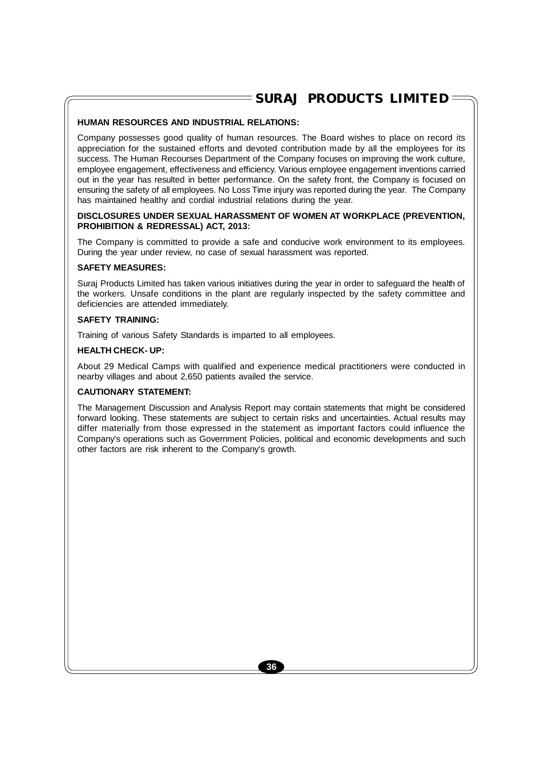## **HUMAN RESOURCES AND INDUSTRIAL RELATIONS:**

Company possesses good quality of human resources. The Board wishes to place on record its appreciation for the sustained efforts and devoted contribution made by all the employees for its success. The Human Recourses Department of the Company focuses on improving the work culture, employee engagement, effectiveness and efficiency. Various employee engagement inventions carried out in the year has resulted in better performance. On the safety front, the Company is focused on ensuring the safety of all employees. No Loss Time injury was reported during the year. The Company has maintained healthy and cordial industrial relations during the year.

#### **DISCLOSURES UNDER SEXUAL HARASSMENT OF WOMEN AT WORKPLACE (PREVENTION, PROHIBITION & REDRESSAL) ACT, 2013:**

The Company is committed to provide a safe and conducive work environment to its employees. During the year under review, no case of sexual harassment was reported.

#### **SAFETY MEASURES:**

Suraj Products Limited has taken various initiatives during the year in order to safeguard the health of the workers. Unsafe conditions in the plant are regularly inspected by the safety committee and deficiencies are attended immediately.

#### **SAFETY TRAINING:**

Training of various Safety Standards is imparted to all employees.

#### **HEALTH CHECK- UP:**

About 29 Medical Camps with qualified and experience medical practitioners were conducted in nearby villages and about 2,650 patients availed the service.

#### **CAUTIONARY STATEMENT:**

The Management Discussion and Analysis Report may contain statements that might be considered forward looking. These statements are subject to certain risks and uncertainties. Actual results may differ materially from those expressed in the statement as important factors could influence the Company's operations such as Government Policies, political and economic developments and such other factors are risk inherent to the Company's growth.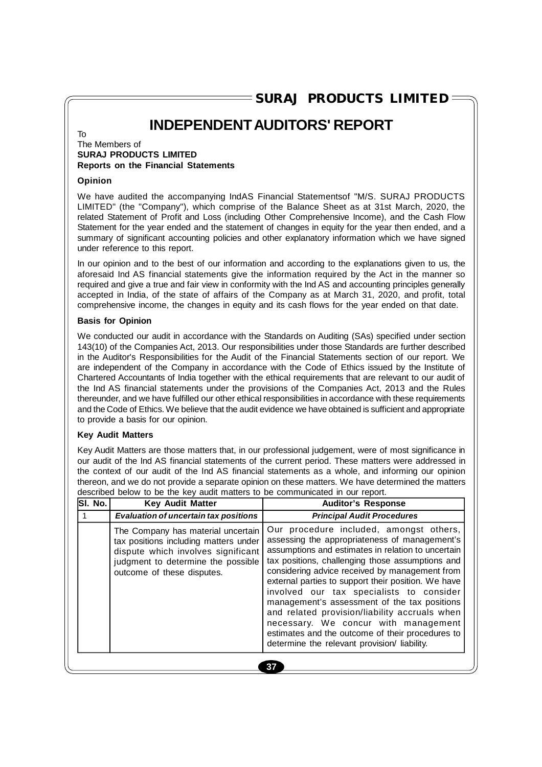## **INDEPENDENT AUDITORS' REPORT**

### The Members of **SURAJ PRODUCTS LIMITED Reports on the Financial Statements**

### **Opinion**

To

We have audited the accompanying IndAS Financial Statementsof "M/S. SURAJ PRODUCTS LIMITED" (the "Company"), which comprise of the Balance Sheet as at 31st March, 2020, the related Statement of Profit and Loss (including Other Comprehensive Income), and the Cash Flow Statement for the year ended and the statement of changes in equity for the year then ended, and a summary of significant accounting policies and other explanatory information which we have signed under reference to this report.

In our opinion and to the best of our information and according to the explanations given to us, the aforesaid Ind AS financial statements give the information required by the Act in the manner so required and give a true and fair view in conformity with the Ind AS and accounting principles generally accepted in India, of the state of affairs of the Company as at March 31, 2020, and profit, total comprehensive income, the changes in equity and its cash flows for the year ended on that date.

### **Basis for Opinion**

We conducted our audit in accordance with the Standards on Auditing (SAs) specified under section 143(10) of the Companies Act, 2013. Our responsibilities under those Standards are further described in the Auditor's Responsibilities for the Audit of the Financial Statements section of our report. We are independent of the Company in accordance with the Code of Ethics issued by the Institute of Chartered Accountants of India together with the ethical requirements that are relevant to our audit of the Ind AS financial statements under the provisions of the Companies Act, 2013 and the Rules thereunder, and we have fulfilled our other ethical responsibilities in accordance with these requirements and the Code of Ethics. We believe that the audit evidence we have obtained is sufficient and appropriate to provide a basis for our opinion.

## **Key Audit Matters**

Key Audit Matters are those matters that, in our professional judgement, were of most significance in our audit of the Ind AS financial statements of the current period. These matters were addressed in the context of our audit of the Ind AS financial statements as a whole, and informing our opinion thereon, and we do not provide a separate opinion on these matters. We have determined the matters described below to be the key audit matters to be communicated in our report.

| SI. No.<br><b>Key Audit Matter</b>                                                                                                                                                    | <b>Auditor's Response</b>                                                                                                                                                                                                                                                                                                                                                                                                                                                                                                                                                                           |
|---------------------------------------------------------------------------------------------------------------------------------------------------------------------------------------|-----------------------------------------------------------------------------------------------------------------------------------------------------------------------------------------------------------------------------------------------------------------------------------------------------------------------------------------------------------------------------------------------------------------------------------------------------------------------------------------------------------------------------------------------------------------------------------------------------|
| <b>Evaluation of uncertain tax positions</b>                                                                                                                                          | <b>Principal Audit Procedures</b>                                                                                                                                                                                                                                                                                                                                                                                                                                                                                                                                                                   |
| The Company has material uncertain<br>tax positions including matters under<br>dispute which involves significant<br>judgment to determine the possible<br>outcome of these disputes. | Our procedure included, amongst others,<br>assessing the appropriateness of management's<br>assumptions and estimates in relation to uncertain<br>tax positions, challenging those assumptions and<br>considering advice received by management from<br>external parties to support their position. We have<br>involved our tax specialists to consider<br>management's assessment of the tax positions<br>and related provision/liability accruals when<br>necessary. We concur with management<br>estimates and the outcome of their procedures to<br>determine the relevant provision/liability. |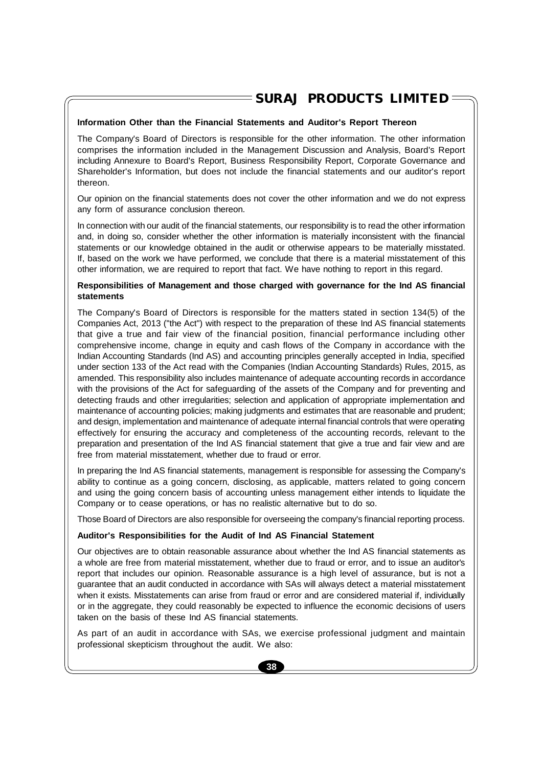## $\overline{\ }$  SURAJ PRODUCTS LIMITED  $\equiv$

### **Information Other than the Financial Statements and Auditor's Report Thereon**

The Company's Board of Directors is responsible for the other information. The other information comprises the information included in the Management Discussion and Analysis, Board's Report including Annexure to Board's Report, Business Responsibility Report, Corporate Governance and Shareholder's Information, but does not include the financial statements and our auditor's report thereon.

Our opinion on the financial statements does not cover the other information and we do not express any form of assurance conclusion thereon.

In connection with our audit of the financial statements, our responsibility is to read the other information and, in doing so, consider whether the other information is materially inconsistent with the financial statements or our knowledge obtained in the audit or otherwise appears to be materially misstated. If, based on the work we have performed, we conclude that there is a material misstatement of this other information, we are required to report that fact. We have nothing to report in this regard.

### **Responsibilities of Management and those charged with governance for the Ind AS financial statements**

The Company's Board of Directors is responsible for the matters stated in section 134(5) of the Companies Act, 2013 ("the Act") with respect to the preparation of these Ind AS financial statements that give a true and fair view of the financial position, financial performance including other comprehensive income, change in equity and cash flows of the Company in accordance with the Indian Accounting Standards (Ind AS) and accounting principles generally accepted in India, specified under section 133 of the Act read with the Companies (Indian Accounting Standards) Rules, 2015, as amended. This responsibility also includes maintenance of adequate accounting records in accordance with the provisions of the Act for safeguarding of the assets of the Company and for preventing and detecting frauds and other irregularities; selection and application of appropriate implementation and maintenance of accounting policies; making judgments and estimates that are reasonable and prudent; and design, implementation and maintenance of adequate internal financial controls that were operating effectively for ensuring the accuracy and completeness of the accounting records, relevant to the preparation and presentation of the Ind AS financial statement that give a true and fair view and are free from material misstatement, whether due to fraud or error.

In preparing the Ind AS financial statements, management is responsible for assessing the Company's ability to continue as a going concern, disclosing, as applicable, matters related to going concern and using the going concern basis of accounting unless management either intends to liquidate the Company or to cease operations, or has no realistic alternative but to do so.

Those Board of Directors are also responsible for overseeing the company's financial reporting process.

#### **Auditor's Responsibilities for the Audit of Ind AS Financial Statement**

Our objectives are to obtain reasonable assurance about whether the Ind AS financial statements as a whole are free from material misstatement, whether due to fraud or error, and to issue an auditor's report that includes our opinion. Reasonable assurance is a high level of assurance, but is not a guarantee that an audit conducted in accordance with SAs will always detect a material misstatement when it exists. Misstatements can arise from fraud or error and are considered material if, individually or in the aggregate, they could reasonably be expected to influence the economic decisions of users taken on the basis of these Ind AS financial statements.

As part of an audit in accordance with SAs, we exercise professional judgment and maintain professional skepticism throughout the audit. We also: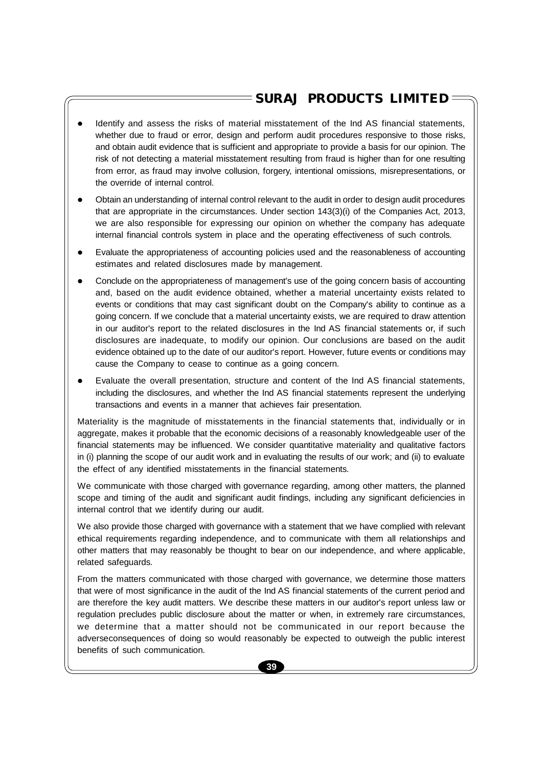- Identify and assess the risks of material misstatement of the Ind AS financial statements, whether due to fraud or error, design and perform audit procedures responsive to those risks, and obtain audit evidence that is sufficient and appropriate to provide a basis for our opinion. The risk of not detecting a material misstatement resulting from fraud is higher than for one resulting from error, as fraud may involve collusion, forgery, intentional omissions, misrepresentations, or the override of internal control.
- Obtain an understanding of internal control relevant to the audit in order to design audit procedures that are appropriate in the circumstances. Under section 143(3)(i) of the Companies Act, 2013, we are also responsible for expressing our opinion on whether the company has adequate internal financial controls system in place and the operating effectiveness of such controls.
- Evaluate the appropriateness of accounting policies used and the reasonableness of accounting estimates and related disclosures made by management.
- Conclude on the appropriateness of management's use of the going concern basis of accounting and, based on the audit evidence obtained, whether a material uncertainty exists related to events or conditions that may cast significant doubt on the Company's ability to continue as a going concern. If we conclude that a material uncertainty exists, we are required to draw attention in our auditor's report to the related disclosures in the Ind AS financial statements or, if such disclosures are inadequate, to modify our opinion. Our conclusions are based on the audit evidence obtained up to the date of our auditor's report. However, future events or conditions may cause the Company to cease to continue as a going concern.
- Evaluate the overall presentation, structure and content of the Ind AS financial statements, including the disclosures, and whether the Ind AS financial statements represent the underlying transactions and events in a manner that achieves fair presentation.

Materiality is the magnitude of misstatements in the financial statements that, individually or in aggregate, makes it probable that the economic decisions of a reasonably knowledgeable user of the financial statements may be influenced. We consider quantitative materiality and qualitative factors in (i) planning the scope of our audit work and in evaluating the results of our work; and (ii) to evaluate the effect of any identified misstatements in the financial statements.

We communicate with those charged with governance regarding, among other matters, the planned scope and timing of the audit and significant audit findings, including any significant deficiencies in internal control that we identify during our audit.

We also provide those charged with governance with a statement that we have complied with relevant ethical requirements regarding independence, and to communicate with them all relationships and other matters that may reasonably be thought to bear on our independence, and where applicable, related safeguards.

From the matters communicated with those charged with governance, we determine those matters that were of most significance in the audit of the Ind AS financial statements of the current period and are therefore the key audit matters. We describe these matters in our auditor's report unless law or regulation precludes public disclosure about the matter or when, in extremely rare circumstances, we determine that a matter should not be communicated in our report because the adverseconsequences of doing so would reasonably be expected to outweigh the public interest benefits of such communication.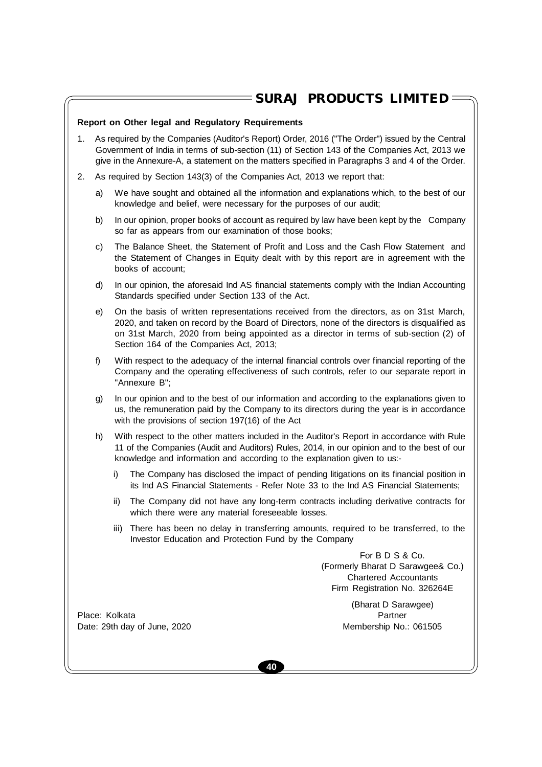## $\overline{\ }$  SURAJ PRODUCTS LIMITED  $\equiv$

### **Report on Other legal and Regulatory Requirements**

- 1. As required by the Companies (Auditor's Report) Order, 2016 ("The Order") issued by the Central Government of India in terms of sub-section (11) of Section 143 of the Companies Act, 2013 we give in the Annexure-A, a statement on the matters specified in Paragraphs 3 and 4 of the Order.
- 2. As required by Section 143(3) of the Companies Act, 2013 we report that:
	- a) We have sought and obtained all the information and explanations which, to the best of our knowledge and belief, were necessary for the purposes of our audit;
	- b) In our opinion, proper books of account as required by law have been kept by the Company so far as appears from our examination of those books;
	- c) The Balance Sheet, the Statement of Profit and Loss and the Cash Flow Statement and the Statement of Changes in Equity dealt with by this report are in agreement with the books of account;
	- d) In our opinion, the aforesaid Ind AS financial statements comply with the Indian Accounting Standards specified under Section 133 of the Act.
	- e) On the basis of written representations received from the directors, as on 31st March, 2020, and taken on record by the Board of Directors, none of the directors is disqualified as on 31st March, 2020 from being appointed as a director in terms of sub-section (2) of Section 164 of the Companies Act, 2013;
	- f) With respect to the adequacy of the internal financial controls over financial reporting of the Company and the operating effectiveness of such controls, refer to our separate report in "Annexure B";
	- g) In our opinion and to the best of our information and according to the explanations given to us, the remuneration paid by the Company to its directors during the year is in accordance with the provisions of section 197(16) of the Act
	- h) With respect to the other matters included in the Auditor's Report in accordance with Rule 11 of the Companies (Audit and Auditors) Rules, 2014, in our opinion and to the best of our knowledge and information and according to the explanation given to us:
		- i) The Company has disclosed the impact of pending litigations on its financial position in its Ind AS Financial Statements - Refer Note 33 to the Ind AS Financial Statements;
		- ii) The Company did not have any long-term contracts including derivative contracts for which there were any material foreseeable losses.
		- iii) There has been no delay in transferring amounts, required to be transferred, to the Investor Education and Protection Fund by the Company

For B D S & Co. (Formerly Bharat D Sarawgee& Co.) Chartered Accountants Firm Registration No. 326264E

Place: Kolkata Partner Place: Partner Partner Partner Partner Partner Partner Partner Date: 29th day of June, 2020 Membership No.: 061505

(Bharat D Sarawgee)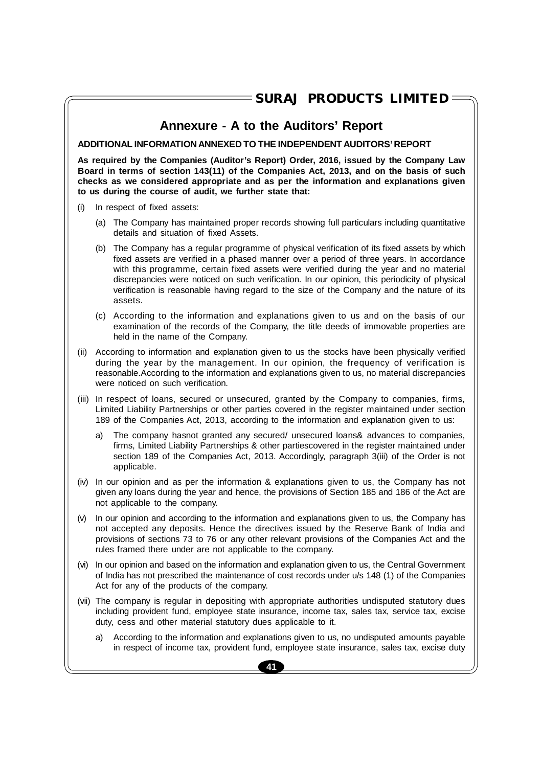## **Annexure - A to the Auditors' Report**

**ADDITIONAL INFORMATION ANNEXED TO THE INDEPENDENT AUDITORS' REPORT**

**As required by the Companies (Auditor's Report) Order, 2016, issued by the Company Law Board in terms of section 143(11) of the Companies Act, 2013, and on the basis of such checks as we considered appropriate and as per the information and explanations given to us during the course of audit, we further state that:**

- (i) In respect of fixed assets:
	- (a) The Company has maintained proper records showing full particulars including quantitative details and situation of fixed Assets.
	- (b) The Company has a regular programme of physical verification of its fixed assets by which fixed assets are verified in a phased manner over a period of three years. In accordance with this programme, certain fixed assets were verified during the year and no material discrepancies were noticed on such verification. In our opinion, this periodicity of physical verification is reasonable having regard to the size of the Company and the nature of its assets.
	- (c) According to the information and explanations given to us and on the basis of our examination of the records of the Company, the title deeds of immovable properties are held in the name of the Company.
- (ii) According to information and explanation given to us the stocks have been physically verified during the year by the management. In our opinion, the frequency of verification is reasonable.According to the information and explanations given to us, no material discrepancies were noticed on such verification.
- (iii) In respect of loans, secured or unsecured, granted by the Company to companies, firms, Limited Liability Partnerships or other parties covered in the register maintained under section 189 of the Companies Act, 2013, according to the information and explanation given to us:
	- a) The company hasnot granted any secured/ unsecured loans& advances to companies, firms, Limited Liability Partnerships & other partiescovered in the register maintained under section 189 of the Companies Act, 2013. Accordingly, paragraph 3(iii) of the Order is not applicable.
- (iv) In our opinion and as per the information & explanations given to us, the Company has not given any loans during the year and hence, the provisions of Section 185 and 186 of the Act are not applicable to the company.
- (v) In our opinion and according to the information and explanations given to us, the Company has not accepted any deposits. Hence the directives issued by the Reserve Bank of India and provisions of sections 73 to 76 or any other relevant provisions of the Companies Act and the rules framed there under are not applicable to the company.
- (vi) In our opinion and based on the information and explanation given to us, the Central Government of India has not prescribed the maintenance of cost records under u/s 148 (1) of the Companies Act for any of the products of the company.
- (vii) The company is regular in depositing with appropriate authorities undisputed statutory dues including provident fund, employee state insurance, income tax, sales tax, service tax, excise duty, cess and other material statutory dues applicable to it.
	- a) According to the information and explanations given to us, no undisputed amounts payable in respect of income tax, provident fund, employee state insurance, sales tax, excise duty

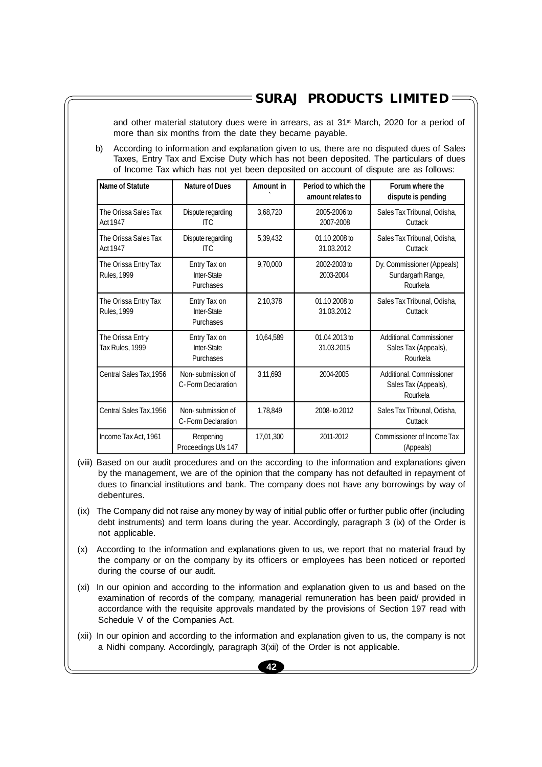and other material statutory dues were in arrears, as at 31<sup>st</sup> March, 2020 for a period of more than six months from the date they became payable.

b) According to information and explanation given to us, there are no disputed dues of Sales Taxes, Entry Tax and Excise Duty which has not been deposited. The particulars of dues of Income Tax which has not yet been deposited on account of dispute are as follows:

| <b>Name of Statute</b>                     | <b>Nature of Dues</b>                    | <b>Amount in</b> | Period to which the<br>amount relates to | Forum where the<br>dispute is pending                        |
|--------------------------------------------|------------------------------------------|------------------|------------------------------------------|--------------------------------------------------------------|
| The Orissa Sales Tax<br>Act 1947           | Dispute regarding<br><b>ITC</b>          | 3.68.720         | 2005-2006 to<br>2007-2008                | Sales Tax Tribunal, Odisha,<br>Cuttack                       |
| The Orissa Sales Tax<br>Act 1947           | Dispute regarding<br>ITC.                | 5,39,432         | 01.10.2008 to<br>31.03.2012              | Sales Tax Tribunal, Odisha,<br>Cuttack                       |
| The Orissa Entry Tax<br><b>Rules, 1999</b> | Entry Tax on<br>Inter-State<br>Purchases | 9,70,000         | 2002-2003 to<br>2003-2004                | Dy. Commissioner (Appeals)<br>Sundargarh Range,<br>Rourkela  |
| The Orissa Entry Tax<br><b>Rules, 1999</b> | Entry Tax on<br>Inter-State<br>Purchases | 2,10,378         | 01.10.2008 to<br>31.03.2012              | Sales Tax Tribunal, Odisha,<br>Cuttack                       |
| The Orissa Entry<br>Tax Rules, 1999        | Entry Tax on<br>Inter-State<br>Purchases | 10,64,589        | 01.04.2013 to<br>31.03.2015              | Additional, Commissioner<br>Sales Tax (Appeals),<br>Rourkela |
| Central Sales Tax, 1956                    | Non-submission of<br>C-Form Declaration  | 3,11,693         | 2004-2005                                | Additional, Commissioner<br>Sales Tax (Appeals),<br>Rourkela |
| Central Sales Tax, 1956                    | Non-submission of<br>C-Form Declaration  | 1,78,849         | 2008- to 2012                            | Sales Tax Tribunal, Odisha,<br>Cuttack                       |
| Income Tax Act, 1961                       | Reopening<br>Proceedings U/s 147         | 17,01,300        | 2011-2012                                | Commissioner of Income Tax<br>(Appeals)                      |

(viii) Based on our audit procedures and on the according to the information and explanations given by the management, we are of the opinion that the company has not defaulted in repayment of dues to financial institutions and bank. The company does not have any borrowings by way of debentures.

- (ix) The Company did not raise any money by way of initial public offer or further public offer (including debt instruments) and term loans during the year. Accordingly, paragraph 3 (ix) of the Order is not applicable.
- (x) According to the information and explanations given to us, we report that no material fraud by the company or on the company by its officers or employees has been noticed or reported during the course of our audit.
- (xi) In our opinion and according to the information and explanation given to us and based on the examination of records of the company, managerial remuneration has been paid/ provided in accordance with the requisite approvals mandated by the provisions of Section 197 read with Schedule V of the Companies Act.
- (xii) In our opinion and according to the information and explanation given to us, the company is not a Nidhi company. Accordingly, paragraph 3(xii) of the Order is not applicable.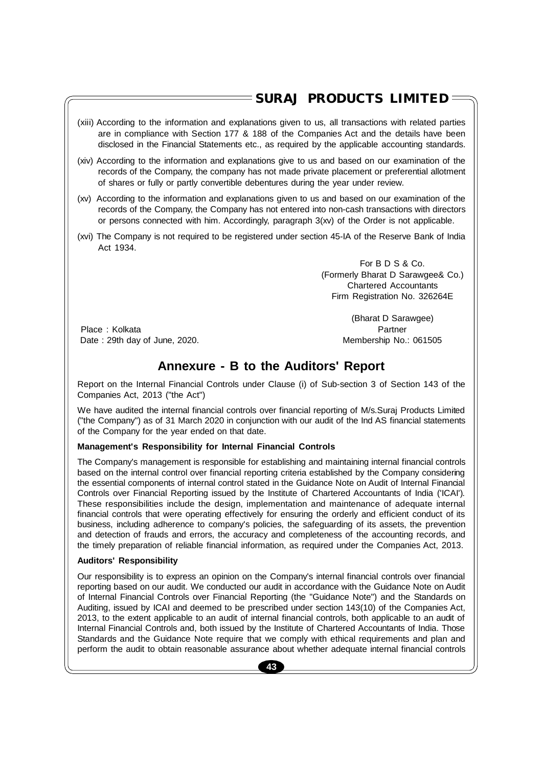- (xiii) According to the information and explanations given to us, all transactions with related parties are in compliance with Section 177 & 188 of the Companies Act and the details have been disclosed in the Financial Statements etc., as required by the applicable accounting standards.
- (xiv) According to the information and explanations give to us and based on our examination of the records of the Company, the company has not made private placement or preferential allotment of shares or fully or partly convertible debentures during the year under review.
- (xv) According to the information and explanations given to us and based on our examination of the records of the Company, the Company has not entered into non-cash transactions with directors or persons connected with him. Accordingly, paragraph 3(xv) of the Order is not applicable.
- (xvi) The Company is not required to be registered under section 45-IA of the Reserve Bank of India Act 1934.

For B D S & Co. (Formerly Bharat D Sarawgee& Co.) Chartered Accountants Firm Registration No. 326264E

Place : Kolkata **Partner** Partner **Place : Kolkata** Partner **Partner** Date : 29th day of June, 2020. Membership No.: 061505

(Bharat D Sarawgee)

## **Annexure - B to the Auditors' Report**

Report on the Internal Financial Controls under Clause (i) of Sub-section 3 of Section 143 of the Companies Act, 2013 ("the Act")

We have audited the internal financial controls over financial reporting of M/s. Suraj Products Limited ("the Company") as of 31 March 2020 in conjunction with our audit of the Ind AS financial statements of the Company for the year ended on that date.

## **Management's Responsibility for Internal Financial Controls**

The Company's management is responsible for establishing and maintaining internal financial controls based on the internal control over financial reporting criteria established by the Company considering the essential components of internal control stated in the Guidance Note on Audit of Internal Financial Controls over Financial Reporting issued by the Institute of Chartered Accountants of India ('ICAI'). These responsibilities include the design, implementation and maintenance of adequate internal financial controls that were operating effectively for ensuring the orderly and efficient conduct of its business, including adherence to company's policies, the safeguarding of its assets, the prevention and detection of frauds and errors, the accuracy and completeness of the accounting records, and the timely preparation of reliable financial information, as required under the Companies Act, 2013.

## **Auditors' Responsibility**

Our responsibility is to express an opinion on the Company's internal financial controls over financial reporting based on our audit. We conducted our audit in accordance with the Guidance Note on Audit of Internal Financial Controls over Financial Reporting (the "Guidance Note") and the Standards on Auditing, issued by ICAI and deemed to be prescribed under section 143(10) of the Companies Act, 2013, to the extent applicable to an audit of internal financial controls, both applicable to an audit of Internal Financial Controls and, both issued by the Institute of Chartered Accountants of India. Those Standards and the Guidance Note require that we comply with ethical requirements and plan and perform the audit to obtain reasonable assurance about whether adequate internal financial controls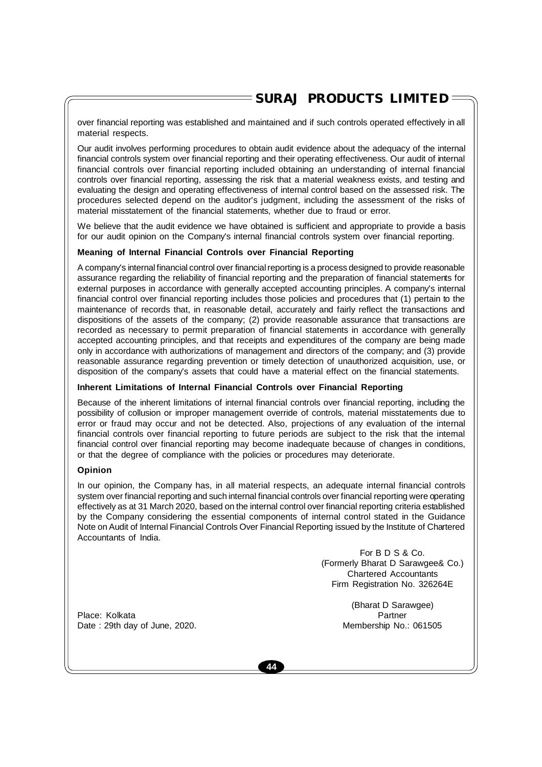over financial reporting was established and maintained and if such controls operated effectively in all material respects.

Our audit involves performing procedures to obtain audit evidence about the adequacy of the internal financial controls system over financial reporting and their operating effectiveness. Our audit of internal financial controls over financial reporting included obtaining an understanding of internal financial controls over financial reporting, assessing the risk that a material weakness exists, and testing and evaluating the design and operating effectiveness of internal control based on the assessed risk. The procedures selected depend on the auditor's judgment, including the assessment of the risks of material misstatement of the financial statements, whether due to fraud or error.

We believe that the audit evidence we have obtained is sufficient and appropriate to provide a basis for our audit opinion on the Company's internal financial controls system over financial reporting.

#### **Meaning of Internal Financial Controls over Financial Reporting**

A company's internal financial control over financial reporting is a process designed to provide reasonable assurance regarding the reliability of financial reporting and the preparation of financial statements for external purposes in accordance with generally accepted accounting principles. A company's internal financial control over financial reporting includes those policies and procedures that (1) pertain to the maintenance of records that, in reasonable detail, accurately and fairly reflect the transactions and dispositions of the assets of the company; (2) provide reasonable assurance that transactions are recorded as necessary to permit preparation of financial statements in accordance with generally accepted accounting principles, and that receipts and expenditures of the company are being made only in accordance with authorizations of management and directors of the company; and (3) provide reasonable assurance regarding prevention or timely detection of unauthorized acquisition, use, or disposition of the company's assets that could have a material effect on the financial statements.

#### **Inherent Limitations of Internal Financial Controls over Financial Reporting**

Because of the inherent limitations of internal financial controls over financial reporting, including the possibility of collusion or improper management override of controls, material misstatements due to error or fraud may occur and not be detected. Also, projections of any evaluation of the internal financial controls over financial reporting to future periods are subject to the risk that the internal financial control over financial reporting may become inadequate because of changes in conditions, or that the degree of compliance with the policies or procedures may deteriorate.

#### **Opinion**

In our opinion, the Company has, in all material respects, an adequate internal financial controls system over financial reporting and such internal financial controls over financial reporting were operating effectively as at 31 March 2020, based on the internal control over financial reporting criteria established by the Company considering the essential components of internal control stated in the Guidance Note on Audit of Internal Financial Controls Over Financial Reporting issued by the Institute of Chartered Accountants of India.

> For B D S & Co. (Formerly Bharat D Sarawgee& Co.) Chartered Accountants Firm Registration No. 326264E

Place: Kolkata Partner Date : 29th day of June, 2020. Contract the Membership No.: 061505

(Bharat D Sarawgee)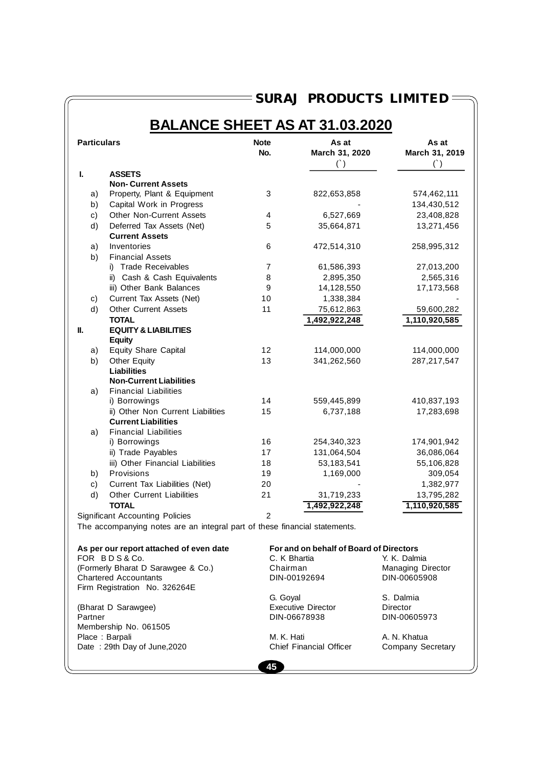## $=$  SURAJ PRODUCTS LIMITED  $=$ Particulars<br> **Particulars** As at **As at**<br> **No.** March 31, 2020 March 31, 2019 **No. March 31, 2020 March 31, 2019 BALANCE SHEET AS AT 31.03.2020**

|         |                                                                            |                | ( )                                     | $(\hat{ } )$             |
|---------|----------------------------------------------------------------------------|----------------|-----------------------------------------|--------------------------|
| I.      | <b>ASSETS</b>                                                              |                |                                         |                          |
|         | <b>Non-Current Assets</b>                                                  |                |                                         |                          |
| a)      | Property, Plant & Equipment                                                | 3              | 822,653,858                             | 574,462,111              |
| b)      | Capital Work in Progress                                                   |                |                                         | 134,430,512              |
| c)      | Other Non-Current Assets                                                   | 4              | 6,527,669                               | 23,408,828               |
| d)      | Deferred Tax Assets (Net)                                                  | 5              | 35,664,871                              | 13,271,456               |
|         | <b>Current Assets</b>                                                      |                |                                         |                          |
| a)      | Inventories                                                                | 6              | 472,514,310                             | 258,995,312              |
| b)      | <b>Financial Assets</b>                                                    |                |                                         |                          |
|         | i) Trade Receivables                                                       | $\overline{7}$ | 61,586,393                              | 27,013,200               |
|         | ii) Cash & Cash Equivalents                                                | 8              | 2,895,350                               | 2,565,316                |
|         | iii) Other Bank Balances                                                   | $\mathsf g$    | 14,128,550                              | 17,173,568               |
| c)      | Current Tax Assets (Net)                                                   | 10             | 1,338,384                               |                          |
| d)      | <b>Other Current Assets</b>                                                | 11             | 75,612,863                              | 59,600,282               |
|         | <b>TOTAL</b>                                                               |                | 1,492,922,248                           | 1,110,920,585            |
| Ш.      | <b>EQUITY &amp; LIABILITIES</b>                                            |                |                                         |                          |
|         | <b>Equity</b>                                                              |                |                                         |                          |
| a)      | <b>Equity Share Capital</b>                                                | 12             | 114,000,000                             | 114,000,000              |
| b)      | Other Equity                                                               | 13             | 341,262,560                             | 287,217,547              |
|         | <b>Liabilities</b>                                                         |                |                                         |                          |
|         | <b>Non-Current Liabilities</b>                                             |                |                                         |                          |
| a)      | <b>Financial Liabilities</b>                                               | 14             |                                         | 410,837,193              |
|         | i) Borrowings<br>ii) Other Non Current Liabilities                         | 15             | 559,445,899                             |                          |
|         | <b>Current Liabilities</b>                                                 |                | 6,737,188                               | 17,283,698               |
|         | <b>Financial Liabilities</b>                                               |                |                                         |                          |
| a)      | i) Borrowings                                                              | 16             | 254,340,323                             | 174,901,942              |
|         | ii) Trade Payables                                                         | 17             | 131,064,504                             | 36,086,064               |
|         | iii) Other Financial Liabilities                                           | 18             | 53,183,541                              | 55,106,828               |
| b)      | Provisions                                                                 | 19             | 1,169,000                               | 309,054                  |
| c)      | Current Tax Liabilities (Net)                                              | 20             |                                         | 1,382,977                |
| d)      | <b>Other Current Liabilities</b>                                           | 21             | 31,719,233                              | 13,795,282               |
|         | <b>TOTAL</b>                                                               |                | 1,492,922,248                           | 1,110,920,585            |
|         | <b>Significant Accounting Policies</b>                                     | $\overline{2}$ |                                         |                          |
|         |                                                                            |                |                                         |                          |
|         | The accompanying notes are an integral part of these financial statements. |                |                                         |                          |
|         | As per our report attached of even date                                    |                | For and on behalf of Board of Directors |                          |
|         | FOR BDS&Co.                                                                |                | C. K Bhartia                            | Y. K. Dalmia             |
|         | (Formerly Bharat D Sarawgee & Co.)                                         | Chairman       |                                         | Managing Director        |
|         | <b>Chartered Accountants</b>                                               |                | DIN-00192694                            | DIN-00605908             |
|         | Firm Registration No. 326264E                                              |                |                                         |                          |
|         |                                                                            | G. Goyal       |                                         | S. Dalmia                |
|         | (Bharat D Sarawgee)                                                        |                | <b>Executive Director</b>               | Director                 |
| Partner |                                                                            |                | DIN-06678938                            | DIN-00605973             |
|         | Membership No. 061505                                                      |                |                                         |                          |
|         | Place: Barpali                                                             | M. K. Hati     |                                         | A. N. Khatua             |
|         | Date: 29th Day of June, 2020                                               |                | <b>Chief Financial Officer</b>          | <b>Company Secretary</b> |
|         |                                                                            |                |                                         |                          |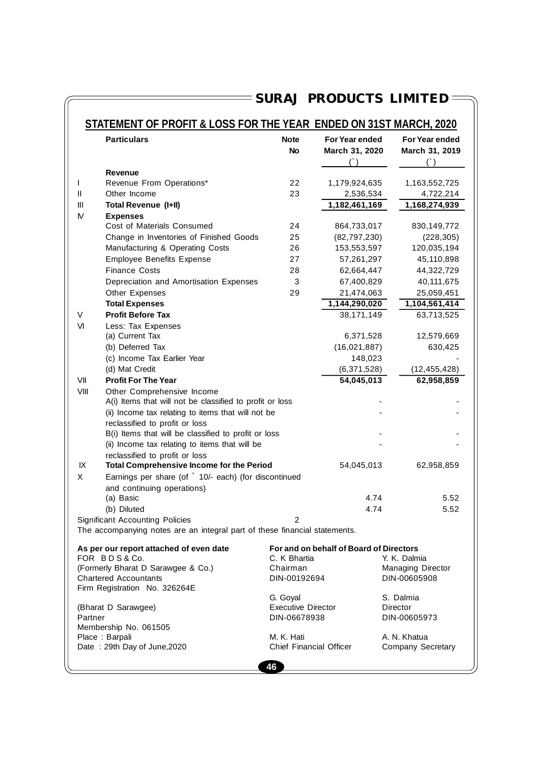## $\overline{\phantom{0}}$ SURAJ PRODUCTS LIMITED

|                | <b>STATEMENT OF PROFIT &amp; LOSS FOR THE YEAR ENDED ON 31ST MARCH, 2020</b>                                                                                                                                                                               |                                          |                                         |                                                          |
|----------------|------------------------------------------------------------------------------------------------------------------------------------------------------------------------------------------------------------------------------------------------------------|------------------------------------------|-----------------------------------------|----------------------------------------------------------|
|                | <b>Particulars</b>                                                                                                                                                                                                                                         | <b>Note</b><br>No                        | For Year ended<br>March 31, 2020        | For Year ended<br>March 31, 2019<br>$($ )                |
|                | Revenue                                                                                                                                                                                                                                                    |                                          |                                         |                                                          |
| $\mathbf{I}$   | Revenue From Operations*                                                                                                                                                                                                                                   | 22                                       | 1,179,924,635                           | 1,163,552,725                                            |
| $\mathbf{II}$  | Other Income                                                                                                                                                                                                                                               | 23                                       | 2,536,534                               | 4,722,214                                                |
| $\mathbf{III}$ | Total Revenue (I+II)                                                                                                                                                                                                                                       |                                          | 1,182,461,169                           | 1,168,274,939                                            |
| ${\mathsf N}$  | <b>Expenses</b>                                                                                                                                                                                                                                            |                                          |                                         |                                                          |
|                | Cost of Materials Consumed                                                                                                                                                                                                                                 | 24                                       | 864,733,017                             | 830,149,772                                              |
|                | Change in Inventories of Finished Goods                                                                                                                                                                                                                    | 25                                       | (82,797,230)                            | (228, 305)                                               |
|                | Manufacturing & Operating Costs                                                                                                                                                                                                                            | 26                                       | 153,553,597                             | 120,035,194                                              |
|                | <b>Employee Benefits Expense</b>                                                                                                                                                                                                                           | 27                                       | 57,261,297                              | 45,110,898                                               |
|                | <b>Finance Costs</b>                                                                                                                                                                                                                                       | 28                                       | 62,664,447                              | 44,322,729                                               |
|                | Depreciation and Amortisation Expenses                                                                                                                                                                                                                     | 3                                        | 67,400,829                              | 40,111,675                                               |
|                | Other Expenses                                                                                                                                                                                                                                             | 29                                       | 21,474,063                              | 25,059,451                                               |
|                | <b>Total Expenses</b>                                                                                                                                                                                                                                      |                                          | 1,144,290,020                           | 1,104,561,414                                            |
| V              | <b>Profit Before Tax</b>                                                                                                                                                                                                                                   |                                          | 38,171,149                              | 63,713,525                                               |
| VI             | Less: Tax Expenses                                                                                                                                                                                                                                         |                                          |                                         |                                                          |
|                | (a) Current Tax                                                                                                                                                                                                                                            |                                          | 6,371,528                               | 12,579,669                                               |
|                | (b) Deferred Tax                                                                                                                                                                                                                                           |                                          | (16,021,887)                            | 630,425                                                  |
|                | (c) Income Tax Earlier Year                                                                                                                                                                                                                                |                                          | 148,023                                 |                                                          |
|                | (d) Mat Credit                                                                                                                                                                                                                                             |                                          | (6,371,528)                             |                                                          |
| VII            | <b>Profit For The Year</b>                                                                                                                                                                                                                                 |                                          | 54,045,013                              | (12, 455, 428)<br>62,958,859                             |
|                | A(i) Items that will not be classified to profit or loss<br>(ii) Income tax relating to items that will not be<br>reclassified to profit or loss<br>B(i) Items that will be classified to profit or loss<br>(ii) Income tax relating to items that will be |                                          |                                         |                                                          |
| IX<br>X        | reclassified to profit or loss<br><b>Total Comprehensive Income for the Period</b><br>Earnings per share (of ` 10/- each) (for discontinued                                                                                                                |                                          | 54,045,013                              | 62,958,859                                               |
|                | and continuing operations)                                                                                                                                                                                                                                 |                                          |                                         |                                                          |
|                | (a) Basic                                                                                                                                                                                                                                                  |                                          | 4.74                                    | 5.52                                                     |
|                | (b) Diluted                                                                                                                                                                                                                                                |                                          | 4.74                                    | 5.52                                                     |
|                | <b>Significant Accounting Policies</b><br>The accompanying notes are an integral part of these financial statements.                                                                                                                                       | $\overline{\mathbf{c}}$                  |                                         |                                                          |
|                | As per our report attached of even date                                                                                                                                                                                                                    |                                          | For and on behalf of Board of Directors |                                                          |
|                | FOR BDS&Co.<br>(Formerly Bharat D Sarawgee & Co.)<br><b>Chartered Accountants</b><br>Firm Registration No. 326264E                                                                                                                                         | C. K Bhartia<br>Chairman<br>DIN-00192694 |                                         | Y. K. Dalmia<br><b>Managing Director</b><br>DIN-00605908 |
|                | (Bharat D Sarawgee)                                                                                                                                                                                                                                        | G. Goyal<br><b>Executive Director</b>    |                                         | S. Dalmia<br>Director                                    |
| Partner        | Membership No. 061505                                                                                                                                                                                                                                      | DIN-06678938<br>M. K. Hati               |                                         | DIN-00605973<br>A. N. Khatua                             |
|                | Place: Barpali<br>Date: 29th Day of June, 2020                                                                                                                                                                                                             | <b>Chief Financial Officer</b>           |                                         | <b>Company Secretary</b>                                 |
|                |                                                                                                                                                                                                                                                            |                                          |                                         |                                                          |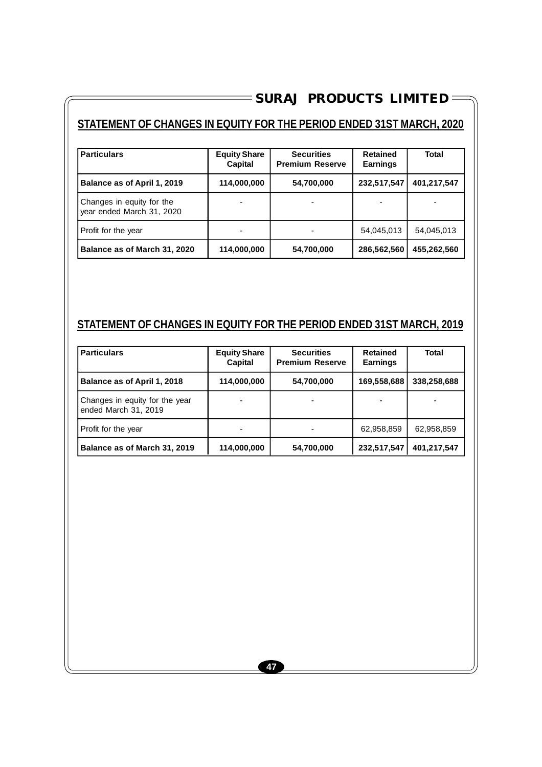## $\equiv$ SURAJ PRODUCTS LIMITED

## **STATEMENT OF CHANGES IN EQUITY FOR THE PERIOD ENDED 31ST MARCH, 2020**

| <b>Particulars</b>                                     | <b>Equity Share</b><br>Capital | <b>Securities</b><br><b>Premium Reserve</b> | <b>Retained</b><br><b>Earnings</b> | <b>Total</b> |
|--------------------------------------------------------|--------------------------------|---------------------------------------------|------------------------------------|--------------|
| Balance as of April 1, 2019                            | 114,000,000                    | 54,700,000                                  | 232,517,547                        | 401,217,547  |
| Changes in equity for the<br>year ended March 31, 2020 |                                |                                             |                                    |              |
| Profit for the year                                    |                                |                                             | 54,045,013                         | 54,045,013   |
| Balance as of March 31, 2020                           | 114,000,000                    | 54,700,000                                  | 286,562,560                        | 455,262,560  |

## **STATEMENT OF CHANGES IN EQUITY FOR THE PERIOD ENDED 31ST MARCH, 2019**

| <b>Particulars</b>                                     | <b>Equity Share</b><br>Capital | <b>Securities</b><br><b>Premium Reserve</b> | <b>Retained</b><br><b>Earnings</b> | <b>Total</b> |
|--------------------------------------------------------|--------------------------------|---------------------------------------------|------------------------------------|--------------|
| Balance as of April 1, 2018                            | 114,000,000                    | 54,700,000                                  | 169,558,688                        | 338,258,688  |
| Changes in equity for the year<br>ended March 31, 2019 |                                |                                             |                                    |              |
| Profit for the year                                    |                                | -                                           | 62,958,859                         | 62,958,859   |
| Balance as of March 31, 2019                           | 114,000,000                    | 54,700,000                                  | 232,517,547                        | 401,217,547  |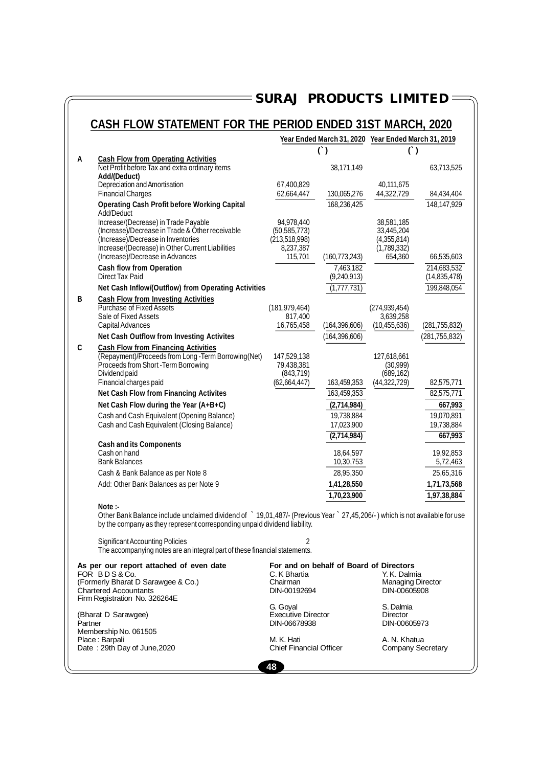## **CASH FLOW STATEMENT FOR THE PERIOD ENDED 31ST MARCH, 2020**

|   |                                                                                                                             |                           | Year Ended March 31, 2020 Year Ended March 31, 2019 |                                                              |                 |
|---|-----------------------------------------------------------------------------------------------------------------------------|---------------------------|-----------------------------------------------------|--------------------------------------------------------------|-----------------|
|   |                                                                                                                             |                           | $\left( \right)$                                    | $\left( \begin{array}{c} \cdot \\ \cdot \end{array} \right)$ |                 |
| Α | <b>Cash Flow from Operating Activities</b>                                                                                  |                           |                                                     |                                                              |                 |
|   | Net Profit before Tax and extra ordinary items                                                                              |                           | 38,171,149                                          |                                                              | 63,713,525      |
|   | Add/(Deduct)<br>Depreciation and Amortisation                                                                               | 67,400,829                |                                                     | 40,111,675                                                   |                 |
|   | <b>Financial Charges</b>                                                                                                    | 62,664,447                | 130,065,276                                         | 44,322,729                                                   | 84,434,404      |
|   | <b>Operating Cash Profit before Working Capital</b>                                                                         |                           | 168,236,425                                         |                                                              | 148, 147, 929   |
|   | Add/Deduct                                                                                                                  |                           |                                                     |                                                              |                 |
|   | Increase/(Decrease) in Trade Payable                                                                                        | 94,978,440                |                                                     | 38,581,185                                                   |                 |
|   | (Increase)/Decrease in Trade & Other receivable                                                                             | (50, 585, 773)            |                                                     | 33,445,204                                                   |                 |
|   | (Increase)/Decrease in Inventories                                                                                          | (213,518,998)             |                                                     | (4,355,814)                                                  |                 |
|   | Increase/(Decrease) in Other Current Liabilities                                                                            | 8,237,387                 |                                                     | (1,789,332)                                                  |                 |
|   | (Increase)/Decrease in Advances                                                                                             | 115,701                   | (160, 773, 243)                                     | 654,360                                                      | 66,535,603      |
|   | <b>Cash flow from Operation</b>                                                                                             |                           | 7,463,182                                           |                                                              | 214,683,532     |
|   | <b>Direct Tax Paid</b>                                                                                                      |                           | (9,240,913)                                         |                                                              | (14, 835, 478)  |
|   | Net Cash Inflow/(Outflow) from Operating Activities                                                                         |                           | (1,777,731)                                         |                                                              | 199,848,054     |
| B | <b>Cash Flow from Investing Activities</b>                                                                                  |                           |                                                     |                                                              |                 |
|   | Purchase of Fixed Assets                                                                                                    | (181, 979, 464)           |                                                     | (274, 939, 454)                                              |                 |
|   | Sale of Fixed Assets                                                                                                        | 817,400                   |                                                     | 3,639,258                                                    |                 |
|   | Capital Advances                                                                                                            | 16,765,458                | (164, 396, 606)                                     | (10, 455, 636)                                               | (281, 755, 832) |
|   | <b>Net Cash Outflow from Investing Activites</b>                                                                            |                           | (164, 396, 606)                                     |                                                              | (281, 755, 832) |
| C | <b>Cash Flow from Financing Activities</b>                                                                                  |                           |                                                     |                                                              |                 |
|   | (Repayment)/Proceeds from Long - Term Borrowing (Net)                                                                       | 147,529,138<br>79,438,381 |                                                     | 127,618,661<br>(30,999)                                      |                 |
|   | Proceeds from Short - Term Borrowing<br>Dividend paid                                                                       | (843, 719)                |                                                     | (689, 162)                                                   |                 |
|   | Financial charges paid                                                                                                      | (62,664,447)              | 163,459,353                                         | (44, 322, 729)                                               | 82,575,771      |
|   | <b>Net Cash Flow from Financing Activites</b>                                                                               |                           | 163,459,353                                         |                                                              | 82,575,771      |
|   | Net Cash Flow during the Year $(A+B+C)$                                                                                     |                           | (2,714,984)                                         |                                                              | 667,993         |
|   | Cash and Cash Equivalent (Opening Balance)                                                                                  |                           | 19,738,884                                          |                                                              | 19,070,891      |
|   | Cash and Cash Equivalent (Closing Balance)                                                                                  |                           | 17,023,900                                          |                                                              | 19,738,884      |
|   |                                                                                                                             |                           | (2,714,984)                                         |                                                              | 667,993         |
|   | <b>Cash and its Components</b>                                                                                              |                           |                                                     |                                                              |                 |
|   | Cash on hand                                                                                                                |                           | 18,64,597                                           |                                                              | 19,92,853       |
|   | <b>Bank Balances</b>                                                                                                        |                           | 10,30,753                                           |                                                              | 5,72,463        |
|   | Cash & Bank Balance as per Note 8                                                                                           |                           | 28,95,350                                           |                                                              | 25,65,316       |
|   | Add: Other Bank Balances as per Note 9                                                                                      |                           | 1,41,28,550                                         |                                                              | 1,71,73,568     |
|   |                                                                                                                             |                           | 1,70,23,900                                         |                                                              | 1,97,38,884     |
|   | Note $\cdot$                                                                                                                |                           |                                                     |                                                              |                 |
|   | Other Bank Balance include unclaimed dividend of ` 19,01,487/- (Previous Year ` 27,45,206/-) which is not available for use |                           |                                                     |                                                              |                 |
|   | by the company as they represent corresponding unpaid dividend liability.                                                   |                           |                                                     |                                                              |                 |
|   | <b>Significant Accounting Policies</b>                                                                                      | $\overline{2}$            |                                                     |                                                              |                 |
|   | The accompanying notes are an integral part of these financial statements.                                                  |                           |                                                     |                                                              |                 |
|   | As per our report attached of even date<br>FOR BDS&Co.                                                                      | C. K Bhartia              | For and on behalf of Board of Directors             | Y. K. Dalmia                                                 |                 |
|   | (Formerly Bharat D Sarawgee & Co.)                                                                                          | Chairman                  |                                                     | <b>Managing Director</b>                                     |                 |
|   | <b>Chartered Accountants</b>                                                                                                | DIN-00192694              |                                                     | DIN-00605908                                                 |                 |
|   | Firm Registration No. 326264E                                                                                               |                           |                                                     |                                                              |                 |

(Bharat D Sarawgee) The Contract Director Executive Director Contractor Director Print Registration No. 326264E<br>
(Bharat D Sarawgee) G. Goyal G. Goyal S. Dalmia<br>
Partner DIN-06678938 DIN-00605973 Membership No. 061505 Place : Barpali M. K. Hati A. A. N. Khatua M. K. Hati A. A. A. Khatua A. N. Khatua Date : 29th Day of June,2020 Chief Financial Officer Company Secretary

G. Goyal S. Dalmia

**48**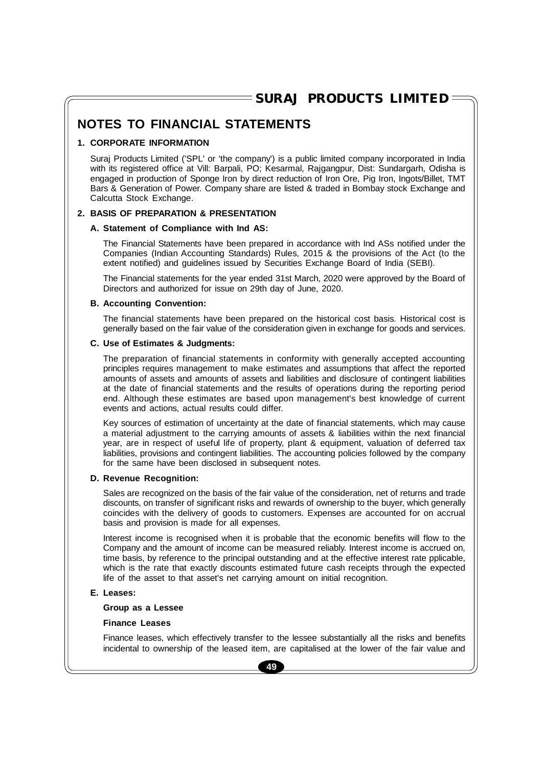## **NOTES TO FINANCIAL STATEMENTS**

### **1. CORPORATE INFORMATION**

Suraj Products Limited ('SPL' or 'the company') is a public limited company incorporated in India with its registered office at Vill: Barpali, PO; Kesarmal, Rajgangpur, Dist: Sundargarh, Odisha is engaged in production of Sponge Iron by direct reduction of Iron Ore, Pig Iron, Ingots/Billet, TMT Bars & Generation of Power. Company share are listed & traded in Bombay stock Exchange and Calcutta Stock Exchange.

### **2. BASIS OF PREPARATION & PRESENTATION**

#### **A. Statement of Compliance with Ind AS:**

The Financial Statements have been prepared in accordance with Ind ASs notified under the Companies (Indian Accounting Standards) Rules, 2015 & the provisions of the Act (to the extent notified) and guidelines issued by Securities Exchange Board of India (SEBI).

The Financial statements for the year ended 31st March, 2020 were approved by the Board of Directors and authorized for issue on 29th day of June, 2020.

#### **B. Accounting Convention:**

The financial statements have been prepared on the historical cost basis. Historical cost is generally based on the fair value of the consideration given in exchange for goods and services.

#### **C. Use of Estimates & Judgments:**

The preparation of financial statements in conformity with generally accepted accounting principles requires management to make estimates and assumptions that affect the reported amounts of assets and amounts of assets and liabilities and disclosure of contingent liabilities at the date of financial statements and the results of operations during the reporting period end. Although these estimates are based upon management's best knowledge of current events and actions, actual results could differ.

Key sources of estimation of uncertainty at the date of financial statements, which may cause a material adjustment to the carrying amounts of assets & liabilities within the next financial year, are in respect of useful life of property, plant & equipment, valuation of deferred tax liabilities, provisions and contingent liabilities. The accounting policies followed by the company for the same have been disclosed in subsequent notes.

#### **D. Revenue Recognition:**

Sales are recognized on the basis of the fair value of the consideration, net of returns and trade discounts, on transfer of significant risks and rewards of ownership to the buyer, which generally coincides with the delivery of goods to customers. Expenses are accounted for on accrual basis and provision is made for all expenses.

Interest income is recognised when it is probable that the economic benefits will flow to the Company and the amount of income can be measured reliably. Interest income is accrued on, time basis, by reference to the principal outstanding and at the effective interest rate pplicable, which is the rate that exactly discounts estimated future cash receipts through the expected life of the asset to that asset's net carrying amount on initial recognition.

## **E. Leases:**

#### **Group as a Lessee**

#### **Finance Leases**

Finance leases, which effectively transfer to the lessee substantially all the risks and benefits incidental to ownership of the leased item, are capitalised at the lower of the fair value and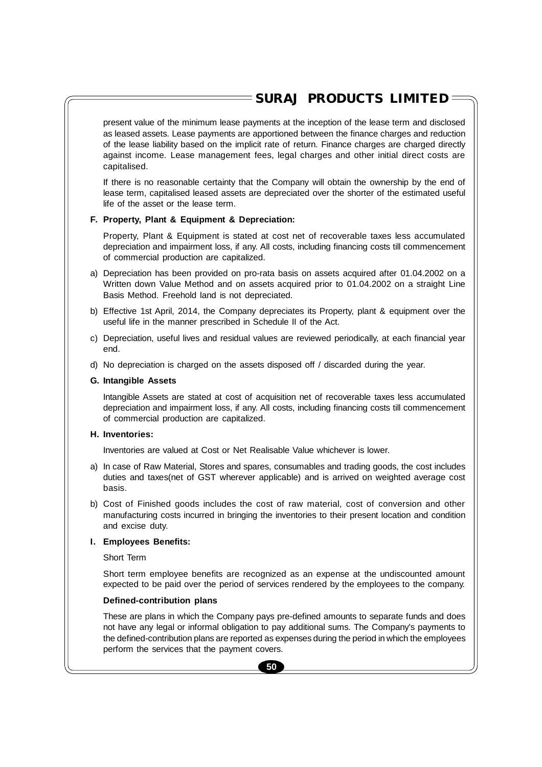present value of the minimum lease payments at the inception of the lease term and disclosed as leased assets. Lease payments are apportioned between the finance charges and reduction of the lease liability based on the implicit rate of return. Finance charges are charged directly against income. Lease management fees, legal charges and other initial direct costs are capitalised.

If there is no reasonable certainty that the Company will obtain the ownership by the end of lease term, capitalised leased assets are depreciated over the shorter of the estimated useful life of the asset or the lease term.

#### **F. Property, Plant & Equipment & Depreciation:**

Property, Plant & Equipment is stated at cost net of recoverable taxes less accumulated depreciation and impairment loss, if any. All costs, including financing costs till commencement of commercial production are capitalized.

- a) Depreciation has been provided on pro-rata basis on assets acquired after 01.04.2002 on a Written down Value Method and on assets acquired prior to 01.04.2002 on a straight Line Basis Method. Freehold land is not depreciated.
- b) Effective 1st April, 2014, the Company depreciates its Property, plant & equipment over the useful life in the manner prescribed in Schedule II of the Act.
- c) Depreciation, useful lives and residual values are reviewed periodically, at each financial year end.
- d) No depreciation is charged on the assets disposed off / discarded during the year.

#### **G. Intangible Assets**

Intangible Assets are stated at cost of acquisition net of recoverable taxes less accumulated depreciation and impairment loss, if any. All costs, including financing costs till commencement of commercial production are capitalized.

#### **H. Inventories:**

Inventories are valued at Cost or Net Realisable Value whichever is lower.

- a) In case of Raw Material, Stores and spares, consumables and trading goods, the cost includes duties and taxes(net of GST wherever applicable) and is arrived on weighted average cost basis.
- b) Cost of Finished goods includes the cost of raw material, cost of conversion and other manufacturing costs incurred in bringing the inventories to their present location and condition and excise duty.

#### **I. Employees Benefits:**

Short Term

Short term employee benefits are recognized as an expense at the undiscounted amount expected to be paid over the period of services rendered by the employees to the company.

#### **Defined-contribution plans**

These are plans in which the Company pays pre-defined amounts to separate funds and does not have any legal or informal obligation to pay additional sums. The Company's payments to the defined-contribution plans are reported as expenses during the period in which the employees perform the services that the payment covers.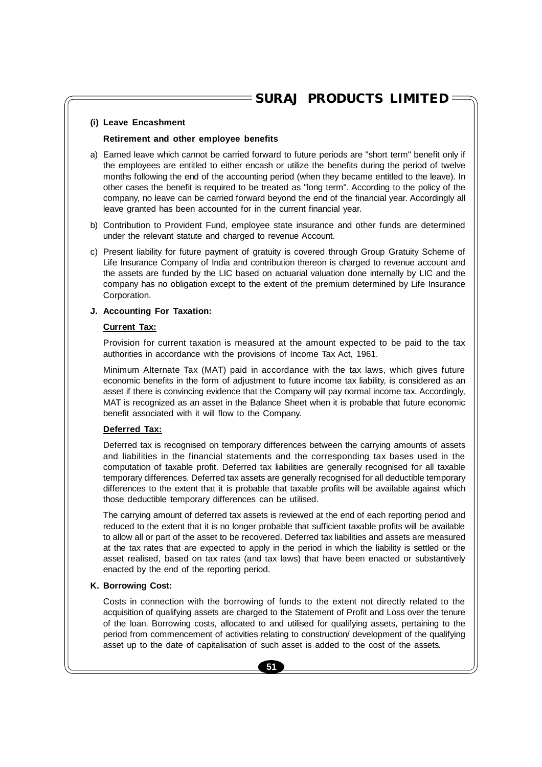### **(i) Leave Encashment**

#### **Retirement and other employee benefits**

- a) Earned leave which cannot be carried forward to future periods are "short term" benefit only if the employees are entitled to either encash or utilize the benefits during the period of twelve months following the end of the accounting period (when they became entitled to the leave). In other cases the benefit is required to be treated as "long term". According to the policy of the company, no leave can be carried forward beyond the end of the financial year. Accordingly all leave granted has been accounted for in the current financial year.
- b) Contribution to Provident Fund, employee state insurance and other funds are determined under the relevant statute and charged to revenue Account.
- c) Present liability for future payment of gratuity is covered through Group Gratuity Scheme of Life Insurance Company of India and contribution thereon is charged to revenue account and the assets are funded by the LIC based on actuarial valuation done internally by LIC and the company has no obligation except to the extent of the premium determined by Life Insurance Corporation.

#### **J. Accounting For Taxation:**

#### **Current Tax:**

Provision for current taxation is measured at the amount expected to be paid to the tax authorities in accordance with the provisions of Income Tax Act, 1961.

Minimum Alternate Tax (MAT) paid in accordance with the tax laws, which gives future economic benefits in the form of adjustment to future income tax liability, is considered as an asset if there is convincing evidence that the Company will pay normal income tax. Accordingly, MAT is recognized as an asset in the Balance Sheet when it is probable that future economic benefit associated with it will flow to the Company.

#### **Deferred Tax:**

Deferred tax is recognised on temporary differences between the carrying amounts of assets and liabilities in the financial statements and the corresponding tax bases used in the computation of taxable profit. Deferred tax liabilities are generally recognised for all taxable temporary differences. Deferred tax assets are generally recognised for all deductible temporary differences to the extent that it is probable that taxable profits will be available against which those deductible temporary differences can be utilised.

The carrying amount of deferred tax assets is reviewed at the end of each reporting period and reduced to the extent that it is no longer probable that sufficient taxable profits will be available to allow all or part of the asset to be recovered. Deferred tax liabilities and assets are measured at the tax rates that are expected to apply in the period in which the liability is settled or the asset realised, based on tax rates (and tax laws) that have been enacted or substantively enacted by the end of the reporting period.

#### **K. Borrowing Cost:**

Costs in connection with the borrowing of funds to the extent not directly related to the acquisition of qualifying assets are charged to the Statement of Profit and Loss over the tenure of the loan. Borrowing costs, allocated to and utilised for qualifying assets, pertaining to the period from commencement of activities relating to construction/ development of the qualifying asset up to the date of capitalisation of such asset is added to the cost of the assets.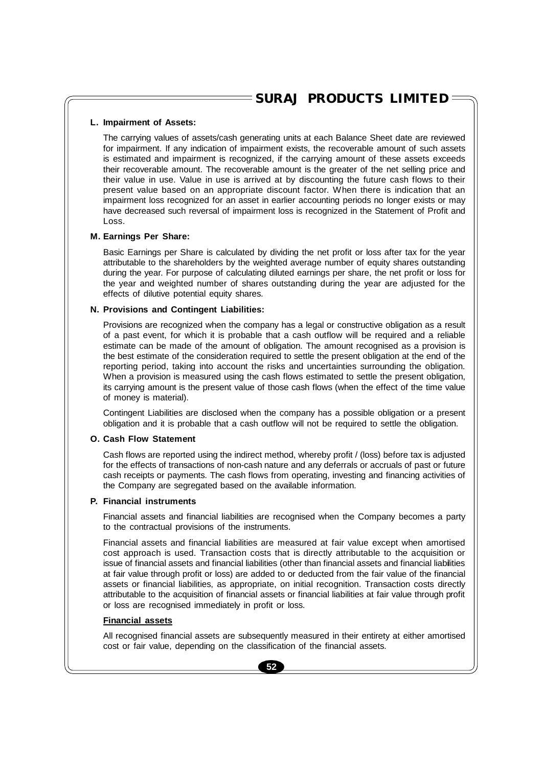#### **L. Impairment of Assets:**

The carrying values of assets/cash generating units at each Balance Sheet date are reviewed for impairment. If any indication of impairment exists, the recoverable amount of such assets is estimated and impairment is recognized, if the carrying amount of these assets exceeds their recoverable amount. The recoverable amount is the greater of the net selling price and their value in use. Value in use is arrived at by discounting the future cash flows to their present value based on an appropriate discount factor. When there is indication that an impairment loss recognized for an asset in earlier accounting periods no longer exists or may have decreased such reversal of impairment loss is recognized in the Statement of Profit and Loss.

#### **M. Earnings Per Share:**

Basic Earnings per Share is calculated by dividing the net profit or loss after tax for the year attributable to the shareholders by the weighted average number of equity shares outstanding during the year. For purpose of calculating diluted earnings per share, the net profit or loss for the year and weighted number of shares outstanding during the year are adjusted for the effects of dilutive potential equity shares.

#### **N. Provisions and Contingent Liabilities:**

Provisions are recognized when the company has a legal or constructive obligation as a result of a past event, for which it is probable that a cash outflow will be required and a reliable estimate can be made of the amount of obligation. The amount recognised as a provision is the best estimate of the consideration required to settle the present obligation at the end of the reporting period, taking into account the risks and uncertainties surrounding the obligation. When a provision is measured using the cash flows estimated to settle the present obligation, its carrying amount is the present value of those cash flows (when the effect of the time value of money is material).

Contingent Liabilities are disclosed when the company has a possible obligation or a present obligation and it is probable that a cash outflow will not be required to settle the obligation.

#### **O. Cash Flow Statement**

Cash flows are reported using the indirect method, whereby profit / (loss) before tax is adjusted for the effects of transactions of non-cash nature and any deferrals or accruals of past or future cash receipts or payments. The cash flows from operating, investing and financing activities of the Company are segregated based on the available information.

#### **P. Financial instruments**

Financial assets and financial liabilities are recognised when the Company becomes a party to the contractual provisions of the instruments.

Financial assets and financial liabilities are measured at fair value except when amortised cost approach is used. Transaction costs that is directly attributable to the acquisition or issue of financial assets and financial liabilities (other than financial assets and financial liabilities at fair value through profit or loss) are added to or deducted from the fair value of the financial assets or financial liabilities, as appropriate, on initial recognition. Transaction costs directly attributable to the acquisition of financial assets or financial liabilities at fair value through profit or loss are recognised immediately in profit or loss.

#### **Financial assets**

All recognised financial assets are subsequently measured in their entirety at either amortised cost or fair value, depending on the classification of the financial assets.

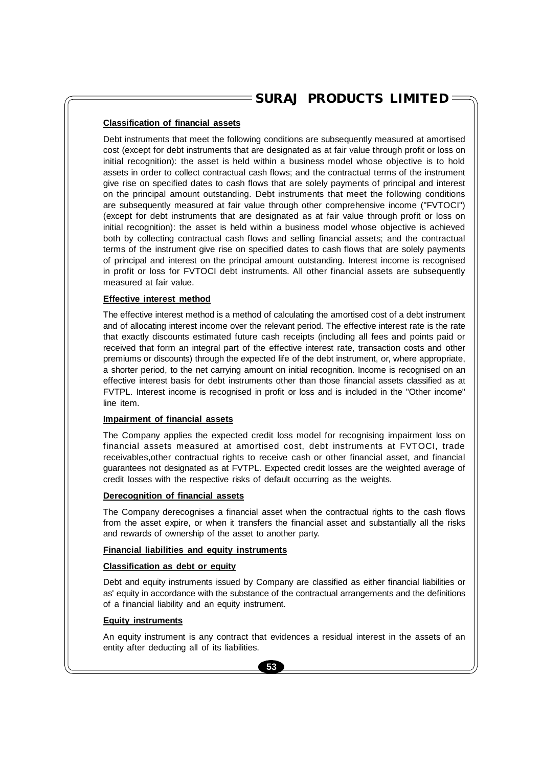### **Classification of financial assets**

Debt instruments that meet the following conditions are subsequently measured at amortised cost (except for debt instruments that are designated as at fair value through profit or loss on initial recognition): the asset is held within a business model whose objective is to hold assets in order to collect contractual cash flows; and the contractual terms of the instrument give rise on specified dates to cash flows that are solely payments of principal and interest on the principal amount outstanding. Debt instruments that meet the following conditions are subsequently measured at fair value through other comprehensive income ("FVTOCI") (except for debt instruments that are designated as at fair value through profit or loss on initial recognition): the asset is held within a business model whose objective is achieved both by collecting contractual cash flows and selling financial assets; and the contractual terms of the instrument give rise on specified dates to cash flows that are solely payments of principal and interest on the principal amount outstanding. Interest income is recognised in profit or loss for FVTOCI debt instruments. All other financial assets are subsequently measured at fair value.

#### **Effective interest method**

The effective interest method is a method of calculating the amortised cost of a debt instrument and of allocating interest income over the relevant period. The effective interest rate is the rate that exactly discounts estimated future cash receipts (including all fees and points paid or received that form an integral part of the effective interest rate, transaction costs and other premiums or discounts) through the expected life of the debt instrument, or, where appropriate, a shorter period, to the net carrying amount on initial recognition. Income is recognised on an effective interest basis for debt instruments other than those financial assets classified as at FVTPL. Interest income is recognised in profit or loss and is included in the "Other income" line item.

#### **Impairment of financial assets**

The Company applies the expected credit loss model for recognising impairment loss on financial assets measured at amortised cost, debt instruments at FVTOCI, trade receivables,other contractual rights to receive cash or other financial asset, and financial guarantees not designated as at FVTPL. Expected credit losses are the weighted average of credit losses with the respective risks of default occurring as the weights.

#### **Derecognition of financial assets**

The Company derecognises a financial asset when the contractual rights to the cash flows from the asset expire, or when it transfers the financial asset and substantially all the risks and rewards of ownership of the asset to another party.

#### **Financial liabilities and equity instruments**

#### **Classification as debt or equity**

Debt and equity instruments issued by Company are classified as either financial liabilities or as' equity in accordance with the substance of the contractual arrangements and the definitions of a financial liability and an equity instrument.

#### **Equity instruments**

An equity instrument is any contract that evidences a residual interest in the assets of an entity after deducting all of its liabilities.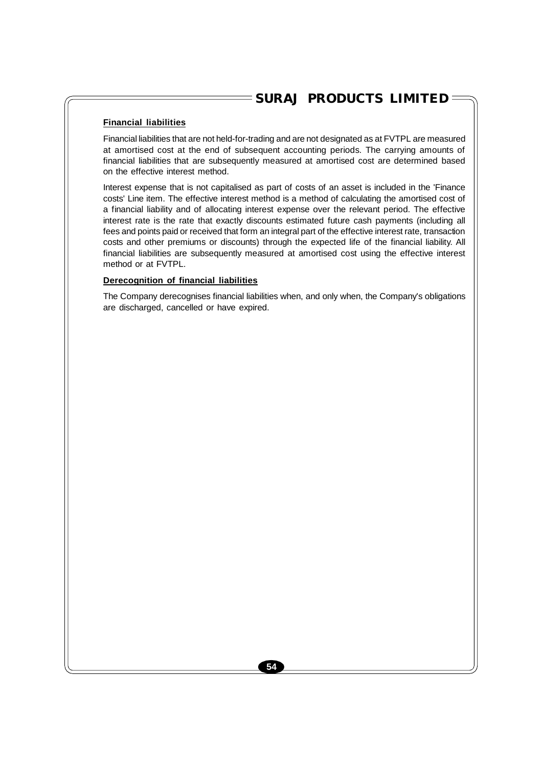### **Financial liabilities**

Financial liabilities that are not held-for-trading and are not designated as at FVTPL are measured at amortised cost at the end of subsequent accounting periods. The carrying amounts of financial liabilities that are subsequently measured at amortised cost are determined based on the effective interest method.

Interest expense that is not capitalised as part of costs of an asset is included in the 'Finance costs' Line item. The effective interest method is a method of calculating the amortised cost of a financial liability and of allocating interest expense over the relevant period. The effective interest rate is the rate that exactly discounts estimated future cash payments (including all fees and points paid or received that form an integral part of the effective interest rate, transaction costs and other premiums or discounts) through the expected life of the financial liability. All financial liabilities are subsequently measured at amortised cost using the effective interest method or at FVTPL.

#### **Derecognition of financial liabilities**

The Company derecognises financial liabilities when, and only when, the Company's obligations are discharged, cancelled or have expired.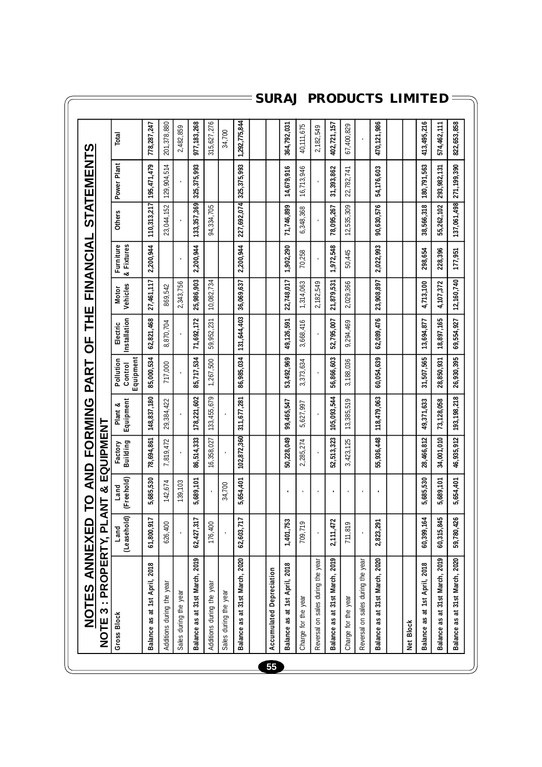| NOTE 3 : PROPERTY, PL/            |                     | œ<br>$\overline{z}$ | <b>EQUIPMENT</b>    |                      |                                   |                          |                          |                         |               |               |               |
|-----------------------------------|---------------------|---------------------|---------------------|----------------------|-----------------------------------|--------------------------|--------------------------|-------------------------|---------------|---------------|---------------|
| Gross Block                       | (Leasehold)<br>Land | (Freehold)<br>Land  | Building<br>Factory | Equipment<br>Plant & | Equipment<br>Pollution<br>Control | Installation<br>Electric | Vehicles<br><b>Motor</b> | Furniture<br>& Fixtures | <b>Others</b> | Power Plant   | Total         |
| Balance as at 1st April, 2018     | 61,800,917          | 5,685,530           | 78,694,861          | 148,837,180          | 85,000,534                        | 62,821,468               | 27,461,117               | 2,200,944               | 110,313,217   | 195,471,479   | 778,287,247   |
| Additions during the year         | 626,400             | 142,674             | 7,819,472           | 29,384,422           | 717,000                           | 8,870,704                | 869,542                  |                         | 23,044,152    | 129,904,514   | 201,378,880   |
| Sales during the year             |                     | 139,103             |                     |                      |                                   |                          | 2,343,756                |                         |               |               | 2,482,859     |
| Balance as at 31st March, 2019    | 62,427,317          | 5,689,101           | 86,514,333          | 178,221,602          | 85,717,534                        | 71,692,172               | 25,986,903               | 2,200,944               | 133,357,369   | 325, 375, 993 | 977, 183, 268 |
| Additions during the year         | 176,400             |                     | 16,358,027          | 133,455,679          | 1,267,500                         | 59,952,231               | 10,082,734               |                         | 94,334,705    |               | 315,627,276   |
| Sales during the year             |                     | 34,700              |                     |                      |                                   |                          |                          |                         |               |               | 34,700        |
| Balance as at 31st March, 2020    | 62,603,717          | 5,654,401           | 102,872,360         | 311,677,281          | 86,985,034                        | 131,644,403              | 36,069,637               | 2,200,944               | 227,692,074   | 325, 375, 993 | 1,292,775,844 |
| <b>Accumulated Depreciation</b>   |                     |                     |                     |                      |                                   |                          |                          |                         |               |               |               |
| Balance as at 1st April, 2018     | 1,401,753           |                     | 50,228,049          | 99,465,547           | 53,492,969                        | 49,126,591               | 22,748,017               | 1,902,290               | 71,746,899    | 14,679,916    | 364,792,031   |
| Charge for the year               | 709,719             |                     | 2,285,274           | 5,627,997            | 3,373,634                         | 3,668,416                | 1,314,063                | 70,258                  | 6,348,368     | 16,713,946    | 40,111,675    |
| Reversal on sales during the year |                     |                     |                     |                      |                                   |                          | 2,182,549                |                         |               |               | 2,182,549     |
| Balance as at 31st March, 2019    | 2,111,472           |                     | 52,513,323          | 105,093,544          | 56,866,603                        | 52,795,007               | 21,879,531               | 1,972,548               | 78,095,267    | 31,393,862    | 402,721,157   |
| Charge for the year               | 711,819             |                     | 3,423,125           | 13,385,519           | 3,188,036                         | 9,294,469                | 2,029,366                | 50,445                  | 12,535,309    | 22,782,741    | 67,400,829    |
| Reversal on sales during the year |                     |                     |                     |                      |                                   |                          |                          |                         |               |               |               |
| Balance as at 31st March, 2020    | 2,823,291           |                     | 55,936,448          | 118,479,063          | 60,054,639                        | 62,089,476               | 23,908,897               | 2,022,993               | 90,630,576    | 54,176,603    | 470, 121, 986 |
|                                   |                     |                     |                     |                      |                                   |                          |                          |                         |               |               |               |
| Net Block                         |                     |                     |                     |                      |                                   |                          |                          |                         |               |               |               |
| Balance as at 1st April, 2018     | 60,399,164          | 5,685,530           | 28,466,812          | 49,371,633           | 31,507,565                        | 13,694,877               | 4,713,100                | 298,654                 | 38,566,318    | 180,791,563   | 413,495,216   |
| Balance as at 31st March, 2019    | 60,315,845          | 5,689,101           | 34,001,010          | 73,128,058           | 28,850,931                        | 18,897,165               | 4,107,372                | 228,396                 | 55,262,102    | 293,982,131   | 574,462,111   |
| Balance as at 31st March, 2020    | 59,780,426          | 5,654,401           | 46,935,912          | 193, 198, 218        | 26,930,395                        | 69,554,927               | 12,160,740               | 177,951                 | 137,061,498   | 271, 199, 390 | 822,653,858   |

## $\overline{\phantom{a}}$ SURAJ PRODUCTS LIMITED $\overline{\phantom{a}}$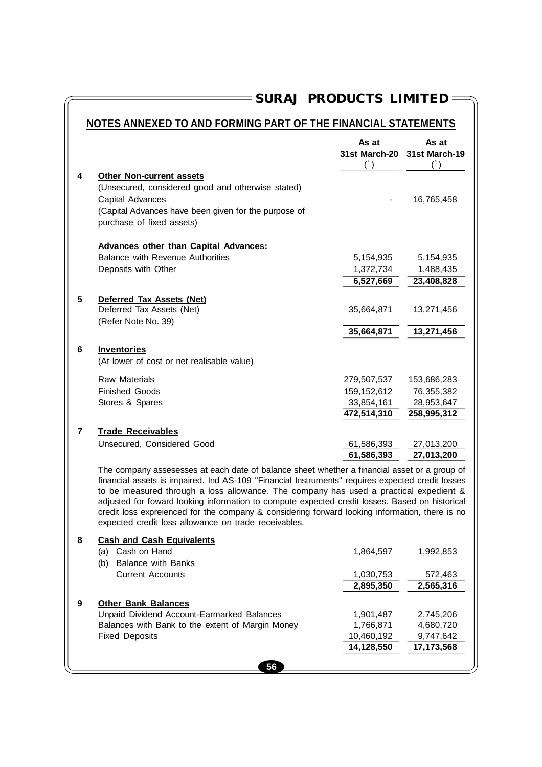## $\overline{\phantom{0}}$  SURAJ PRODUCTS LIMITED

## **NOTES ANNEXED TO AND FORMING PART OF THE FINANCIAL STATEMENTS**

|                         |                                                                                                                                                                                                                                                                                                                                                                                                                                                                                                                                                       | As at<br>31st March-20<br>$($ ) | As at<br>31st March-19 |
|-------------------------|-------------------------------------------------------------------------------------------------------------------------------------------------------------------------------------------------------------------------------------------------------------------------------------------------------------------------------------------------------------------------------------------------------------------------------------------------------------------------------------------------------------------------------------------------------|---------------------------------|------------------------|
| 4                       | <b>Other Non-current assets</b>                                                                                                                                                                                                                                                                                                                                                                                                                                                                                                                       |                                 |                        |
|                         | (Unsecured, considered good and otherwise stated)                                                                                                                                                                                                                                                                                                                                                                                                                                                                                                     |                                 |                        |
|                         | Capital Advances                                                                                                                                                                                                                                                                                                                                                                                                                                                                                                                                      |                                 | 16,765,458             |
|                         | (Capital Advances have been given for the purpose of<br>purchase of fixed assets)                                                                                                                                                                                                                                                                                                                                                                                                                                                                     |                                 |                        |
|                         | <b>Advances other than Capital Advances:</b>                                                                                                                                                                                                                                                                                                                                                                                                                                                                                                          |                                 |                        |
|                         | <b>Balance with Revenue Authorities</b>                                                                                                                                                                                                                                                                                                                                                                                                                                                                                                               | 5,154,935                       | 5,154,935              |
|                         | Deposits with Other                                                                                                                                                                                                                                                                                                                                                                                                                                                                                                                                   | 1,372,734                       | 1,488,435              |
|                         |                                                                                                                                                                                                                                                                                                                                                                                                                                                                                                                                                       | 6,527,669                       | 23,408,828             |
| 5                       | Deferred Tax Assets (Net)                                                                                                                                                                                                                                                                                                                                                                                                                                                                                                                             |                                 |                        |
|                         | Deferred Tax Assets (Net)                                                                                                                                                                                                                                                                                                                                                                                                                                                                                                                             | 35,664,871                      | 13,271,456             |
|                         | (Refer Note No. 39)                                                                                                                                                                                                                                                                                                                                                                                                                                                                                                                                   |                                 |                        |
|                         |                                                                                                                                                                                                                                                                                                                                                                                                                                                                                                                                                       | 35,664,871                      | 13,271,456             |
| 6                       | <b>Inventories</b>                                                                                                                                                                                                                                                                                                                                                                                                                                                                                                                                    |                                 |                        |
|                         | (At lower of cost or net realisable value)                                                                                                                                                                                                                                                                                                                                                                                                                                                                                                            |                                 |                        |
|                         | Raw Materials                                                                                                                                                                                                                                                                                                                                                                                                                                                                                                                                         | 279,507,537                     | 153,686,283            |
|                         | <b>Finished Goods</b>                                                                                                                                                                                                                                                                                                                                                                                                                                                                                                                                 | 159,152,612                     | 76,355,382             |
|                         | Stores & Spares                                                                                                                                                                                                                                                                                                                                                                                                                                                                                                                                       | 33,854,161                      | 28,953,647             |
|                         |                                                                                                                                                                                                                                                                                                                                                                                                                                                                                                                                                       | 472,514,310                     | 258,995,312            |
| $\overline{\mathbf{r}}$ | <b>Trade Receivables</b>                                                                                                                                                                                                                                                                                                                                                                                                                                                                                                                              |                                 |                        |
|                         | Unsecured, Considered Good                                                                                                                                                                                                                                                                                                                                                                                                                                                                                                                            | 61,586,393                      | 27,013,200             |
|                         |                                                                                                                                                                                                                                                                                                                                                                                                                                                                                                                                                       | 61,586,393                      | 27,013,200             |
|                         | The company assesesses at each date of balance sheet whether a financial asset or a group of<br>financial assets is impaired. Ind AS-109 "Financial Instruments" requires expected credit losses<br>to be measured through a loss allowance. The company has used a practical expedient &<br>adjusted for foward looking information to compute expected credit losses. Based on historical<br>credit loss expreienced for the company & considering forward looking information, there is no<br>expected credit loss allowance on trade receivables. |                                 |                        |

| 8 | <b>Cash and Cash Equivalents</b>                 |            |            |
|---|--------------------------------------------------|------------|------------|
|   | Cash on Hand<br>(a)                              | 1,864,597  | 1,992,853  |
|   | <b>Balance with Banks</b><br>(b)                 |            |            |
|   | <b>Current Accounts</b>                          | 1,030,753  | 572,463    |
|   |                                                  | 2,895,350  | 2,565,316  |
| 9 | <b>Other Bank Balances</b>                       |            |            |
|   | Unpaid Dividend Account-Earmarked Balances       | 1,901,487  | 2,745,206  |
|   | Balances with Bank to the extent of Margin Money | 1,766,871  | 4,680,720  |
|   | <b>Fixed Deposits</b>                            | 10,460,192 | 9,747,642  |
|   |                                                  | 14,128,550 | 17,173,568 |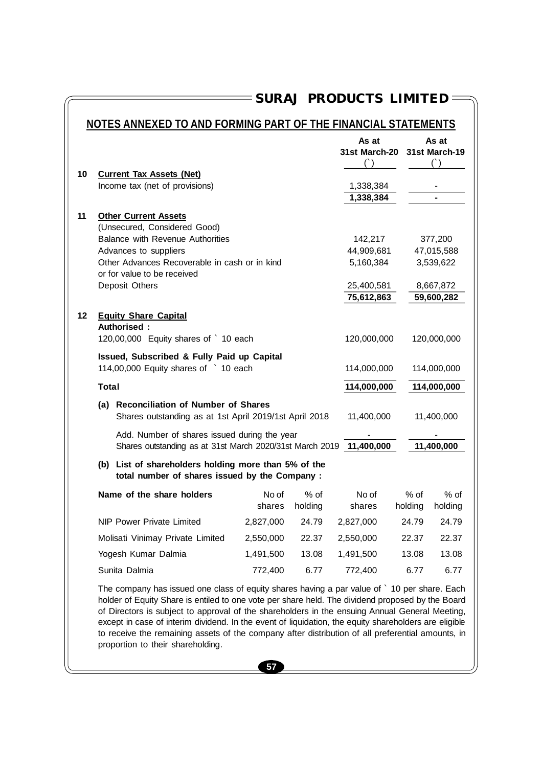## **NOTES ANNEXED TO AND FORMING PART OF THE FINANCIAL STATEMENTS**

|    |       |                                                                                                                                                                                                  |                 |                   | As at<br>31st March-20<br>$($ ) |                   | As at<br>31st March-19<br>$($ ) |
|----|-------|--------------------------------------------------------------------------------------------------------------------------------------------------------------------------------------------------|-----------------|-------------------|---------------------------------|-------------------|---------------------------------|
| 10 |       | <b>Current Tax Assets (Net)</b>                                                                                                                                                                  |                 |                   |                                 |                   |                                 |
|    |       | Income tax (net of provisions)                                                                                                                                                                   |                 |                   | 1,338,384                       |                   |                                 |
|    |       |                                                                                                                                                                                                  |                 |                   | 1,338,384                       |                   | ä,                              |
| 11 |       | <b>Other Current Assets</b>                                                                                                                                                                      |                 |                   |                                 |                   |                                 |
|    |       | (Unsecured, Considered Good)                                                                                                                                                                     |                 |                   |                                 |                   |                                 |
|    |       | <b>Balance with Revenue Authorities</b>                                                                                                                                                          |                 |                   | 142,217                         |                   | 377,200                         |
|    |       | Advances to suppliers<br>Other Advances Recoverable in cash or in kind                                                                                                                           |                 |                   | 44,909,681<br>5,160,384         |                   | 47,015,588<br>3,539,622         |
|    |       | or for value to be received                                                                                                                                                                      |                 |                   |                                 |                   |                                 |
|    |       | Deposit Others                                                                                                                                                                                   |                 |                   | 25,400,581                      |                   | 8,667,872                       |
|    |       |                                                                                                                                                                                                  |                 |                   | 75,612,863                      |                   | 59,600,282                      |
| 12 |       | <b>Equity Share Capital</b><br>Authorised:<br>120,00,000 Equity shares of ` 10 each                                                                                                              |                 |                   | 120,000,000                     |                   | 120,000,000                     |
|    |       | Issued, Subscribed & Fully Paid up Capital<br>114,00,000 Equity shares of ` 10 each                                                                                                              |                 |                   | 114,000,000                     |                   | 114,000,000                     |
|    | Total |                                                                                                                                                                                                  |                 |                   | 114,000,000                     |                   | 114,000,000                     |
|    |       | (a) Reconciliation of Number of Shares<br>Shares outstanding as at 1st April 2019/1st April 2018                                                                                                 |                 |                   | 11,400,000                      |                   | 11,400,000                      |
|    |       | Add. Number of shares issued during the year<br>Shares outstanding as at 31st March 2020/31st March 2019 11,400,000                                                                              |                 |                   |                                 |                   | 11,400,000                      |
|    |       | (b) List of shareholders holding more than 5% of the<br>total number of shares issued by the Company :                                                                                           |                 |                   |                                 |                   |                                 |
|    |       | Name of the share holders                                                                                                                                                                        | No of<br>shares | $%$ of<br>holding | No of<br>shares                 | $%$ of<br>holding | $%$ of<br>holding               |
|    |       | <b>NIP Power Private Limited</b>                                                                                                                                                                 | 2,827,000       | 24.79             | 2,827,000                       | 24.79             | 24.79                           |
|    |       | Molisati Vinimay Private Limited                                                                                                                                                                 | 2,550,000       | 22.37             | 2,550,000                       | 22.37             | 22.37                           |
|    |       | Yogesh Kumar Dalmia                                                                                                                                                                              | 1,491,500       | 13.08             | 1,491,500                       | 13.08             | 13.08                           |
|    |       | Sunita Dalmia                                                                                                                                                                                    | 772,400         | 6.77              | 772,400                         | 6.77              | 6.77                            |
|    |       | The company has issued one class of equity shares having a par value of ` 10 per share. Each<br>holder of Equity Share is entiled to one vote per share held. The dividend proposed by the Board |                 |                   |                                 |                   |                                 |

of Directors is subject to approval of the shareholders in the ensuing Annual General Meeting, except in case of interim dividend. In the event of liquidation, the equity shareholders are eligible to receive the remaining assets of the company after distribution of all preferential amounts, in proportion to their shareholding.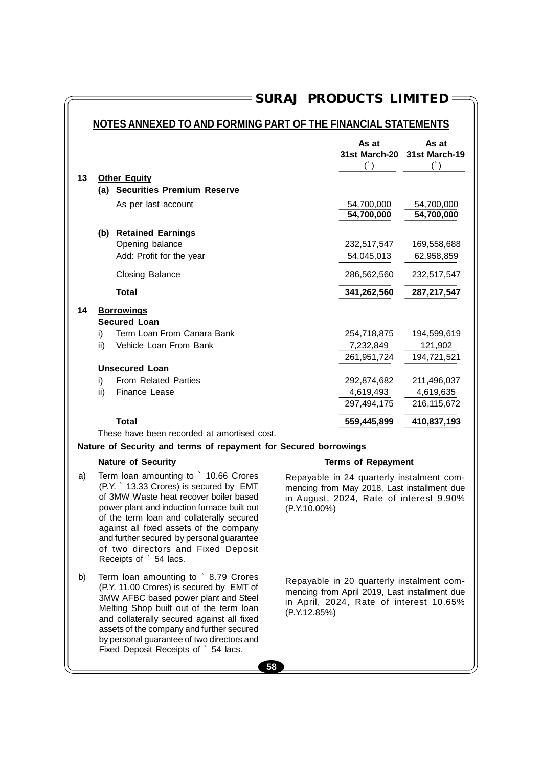## **NOTES ANNEXED TO AND FORMING PART OF THE FINANCIAL STATEMENTS**

|    |     |                                   | As at<br>$($ )           | As at<br>31st March-20 31st March-19<br>$($ ) |
|----|-----|-----------------------------------|--------------------------|-----------------------------------------------|
| 13 |     | <b>Other Equity</b>               |                          |                                               |
|    | (a) | <b>Securities Premium Reserve</b> |                          |                                               |
|    |     | As per last account               | 54,700,000<br>54,700,000 | 54,700,000<br>54,700,000                      |
|    | (b) | <b>Retained Earnings</b>          |                          |                                               |
|    |     | Opening balance                   | 232,517,547              | 169,558,688                                   |
|    |     | Add: Profit for the year          | 54,045,013               | 62,958,859                                    |
|    |     | <b>Closing Balance</b>            | 286,562,560              | 232,517,547                                   |
|    |     | Total                             | 341,262,560              | 287,217,547                                   |
| 14 |     | <b>Borrowings</b>                 |                          |                                               |
|    |     | <b>Secured Loan</b>               |                          |                                               |
|    | i)  | Term Loan From Canara Bank        | 254,718,875              | 194,599,619                                   |
|    | ii) | Vehicle Loan From Bank            | 7,232,849                | 121,902                                       |
|    |     |                                   | 261,951,724              | 194,721,521                                   |
|    |     | Unsecured Loan                    |                          |                                               |
|    | i)  | <b>From Related Parties</b>       | 292,874,682              | 211,496,037                                   |
|    | ii) | Finance Lease                     | 4,619,493                | 4,619,635                                     |
|    |     |                                   | 297,494,175              | 216,115,672                                   |
|    |     | Total                             | 559,445,899              | 410,837,193                                   |

These have been recorded at amortised cost.

#### **Nature of Security and terms of repayment for Secured borrowings**

#### **Nature of Security Terms of Repayment**

- a) Term loan amounting to ` 10.66 Crores (P.Y. ` 13.33 Crores) is secured by EMT of 3MW Waste heat recover boiler based power plant and induction furnace built out of the term loan and collaterally secured against all fixed assets of the company and further secured by personal guarantee of two directors and Fixed Deposit Receipts of ` 54 lacs.
- b) Term loan amounting to `8.79 Crores (P.Y. 11.00 Crores) is secured by EMT of 3MW AFBC based power plant and Steel Melting Shop built out of the term loan and collaterally secured against all fixed assets of the company and further secured by personal guarantee of two directors and Fixed Deposit Receipts of ` 54 lacs.

Repayable in 24 quarterly instalment commencing from May 2018, Last installment due in August, 2024, Rate of interest 9.90% (P.Y.10.00%)

Repayable in 20 quarterly instalment commencing from April 2019, Last installment due in April, 2024, Rate of interest 10.65% (P.Y.12.85%)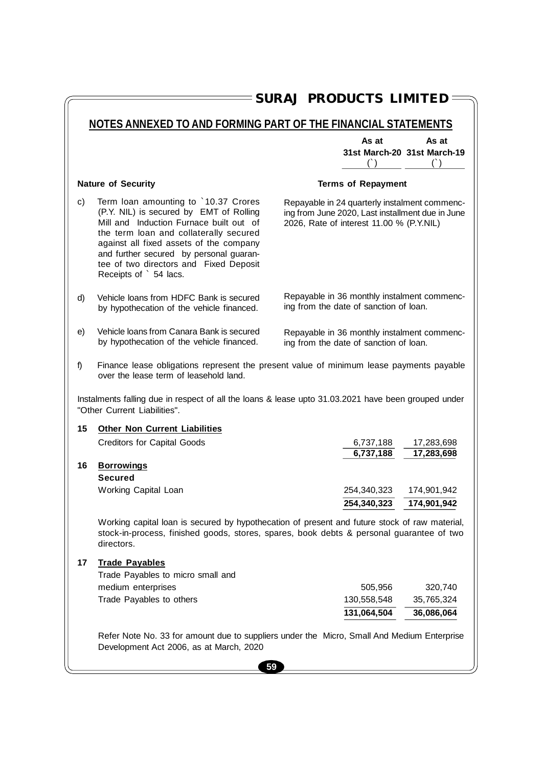|    |                                                                                                                                                                                                                                                                                                                                | <b>SURAJ PRODUCTS LIMITED</b>            |                            |                                                                                                   |
|----|--------------------------------------------------------------------------------------------------------------------------------------------------------------------------------------------------------------------------------------------------------------------------------------------------------------------------------|------------------------------------------|----------------------------|---------------------------------------------------------------------------------------------------|
|    | NOTES ANNEXED TO AND FORMING PART OF THE FINANCIAL STATEMENTS                                                                                                                                                                                                                                                                  |                                          |                            |                                                                                                   |
|    |                                                                                                                                                                                                                                                                                                                                |                                          | As at<br>$($ )             | As at<br>31st March-20 31st March-19<br>$($ )                                                     |
|    | <b>Nature of Security</b>                                                                                                                                                                                                                                                                                                      |                                          | <b>Terms of Repayment</b>  |                                                                                                   |
| c) | Term loan amounting to `10.37 Crores<br>(P.Y. NIL) is secured by EMT of Rolling<br>Mill and Induction Furnace built out of<br>the term loan and collaterally secured<br>against all fixed assets of the company<br>and further secured by personal guaran-<br>tee of two directors and Fixed Deposit<br>Receipts of ` 54 lacs. | 2026, Rate of interest 11.00 % (P.Y.NIL) |                            | Repayable in 24 quarterly instalment commenc-<br>ing from June 2020, Last installment due in June |
| d) | Vehicle loans from HDFC Bank is secured<br>by hypothecation of the vehicle financed.                                                                                                                                                                                                                                           | ing from the date of sanction of loan.   |                            | Repayable in 36 monthly instalment commenc-                                                       |
| e) | Vehicle loans from Canara Bank is secured<br>by hypothecation of the vehicle financed.                                                                                                                                                                                                                                         | ing from the date of sanction of loan.   |                            | Repayable in 36 monthly instalment commenc-                                                       |
| f) | Finance lease obligations represent the present value of minimum lease payments payable<br>over the lease term of leasehold land.                                                                                                                                                                                              |                                          |                            |                                                                                                   |
|    | Instalments falling due in respect of all the loans & lease upto 31.03.2021 have been grouped under<br>"Other Current Liabilities".                                                                                                                                                                                            |                                          |                            |                                                                                                   |
| 15 | <b>Other Non Current Liabilities</b>                                                                                                                                                                                                                                                                                           |                                          |                            |                                                                                                   |
|    | <b>Creditors for Capital Goods</b>                                                                                                                                                                                                                                                                                             |                                          | 6,737,188                  | 17,283,698                                                                                        |
| 16 | <b>Borrowings</b><br><b>Secured</b>                                                                                                                                                                                                                                                                                            |                                          | $\overline{6,}737,188$     | 17,283,698                                                                                        |
|    | Working Capital Loan                                                                                                                                                                                                                                                                                                           |                                          | 254,340,323<br>254,340,323 | 174,901,942<br>174,901,942                                                                        |
|    | Working capital loan is secured by hypothecation of present and future stock of raw material,<br>stock-in-process, finished goods, stores, spares, book debts & personal guarantee of two<br>directors.                                                                                                                        |                                          |                            |                                                                                                   |
| 17 | <b>Trade Payables</b><br>Trade Payables to micro small and                                                                                                                                                                                                                                                                     |                                          |                            |                                                                                                   |
|    | medium enterprises                                                                                                                                                                                                                                                                                                             |                                          | 505,956                    | 320,740                                                                                           |
|    | Trade Payables to others                                                                                                                                                                                                                                                                                                       |                                          | 130,558,548<br>131,064,504 | 35,765,324<br>36,086,064                                                                          |
|    |                                                                                                                                                                                                                                                                                                                                |                                          |                            |                                                                                                   |
|    | Refer Note No. 33 for amount due to suppliers under the Micro, Small And Medium Enterprise<br>Development Act 2006, as at March, 2020                                                                                                                                                                                          |                                          |                            |                                                                                                   |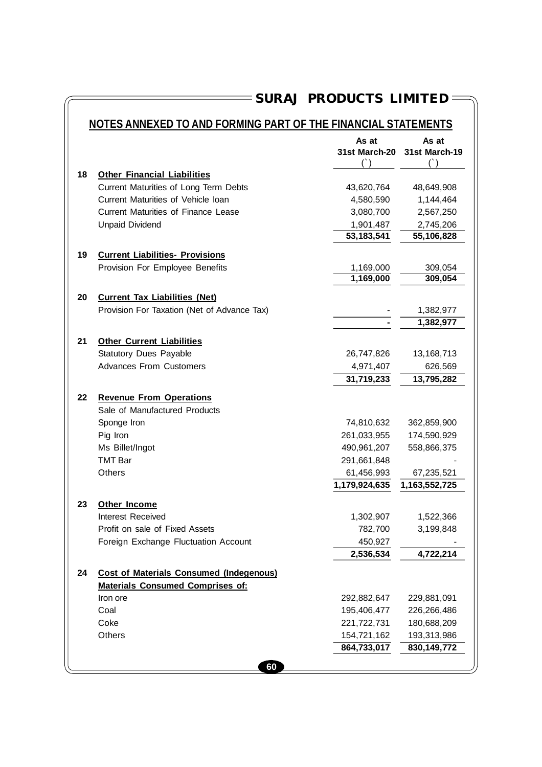## $\equiv$ SURAJ PRODUCTS LIMITED

## **NOTES ANNEXED TO AND FORMING PART OF THE FINANCIAL STATEMENTS**

|    |                                                | As at                  | As at         |
|----|------------------------------------------------|------------------------|---------------|
|    |                                                | 31st March-20<br>$($ ) | 31st March-19 |
| 18 | <b>Other Financial Liabilities</b>             |                        |               |
|    | Current Maturities of Long Term Debts          | 43,620,764             | 48,649,908    |
|    | Current Maturities of Vehicle Ioan             | 4,580,590              | 1,144,464     |
|    | <b>Current Maturities of Finance Lease</b>     | 3,080,700              | 2,567,250     |
|    | <b>Unpaid Dividend</b>                         | 1,901,487              | 2,745,206     |
|    |                                                | 53, 183, 541           | 55,106,828    |
| 19 | <b>Current Liabilities- Provisions</b>         |                        |               |
|    | Provision For Employee Benefits                | 1,169,000              | 309,054       |
|    |                                                | 1,169,000              | 309,054       |
|    |                                                |                        |               |
| 20 | <b>Current Tax Liabilities (Net)</b>           |                        |               |
|    | Provision For Taxation (Net of Advance Tax)    |                        | 1,382,977     |
|    |                                                |                        | 1,382,977     |
| 21 | <b>Other Current Liabilities</b>               |                        |               |
|    | <b>Statutory Dues Payable</b>                  | 26,747,826             | 13, 168, 713  |
|    | <b>Advances From Customers</b>                 | 4,971,407              | 626,569       |
|    |                                                | 31,719,233             | 13,795,282    |
| 22 | <b>Revenue From Operations</b>                 |                        |               |
|    | Sale of Manufactured Products                  |                        |               |
|    | Sponge Iron                                    | 74,810,632             | 362,859,900   |
|    | Pig Iron                                       | 261,033,955            | 174,590,929   |
|    | Ms Billet/Ingot                                | 490,961,207            | 558,866,375   |
|    | <b>TMT Bar</b>                                 | 291,661,848            |               |
|    | Others                                         | 61,456,993             | 67,235,521    |
|    |                                                | 1,179,924,635          | 1,163,552,725 |
|    |                                                |                        |               |
| 23 | Other Income                                   |                        |               |
|    | Interest Received                              | 1,302,907              | 1,522,366     |
|    | Profit on sale of Fixed Assets                 | 782,700                | 3,199,848     |
|    | Foreign Exchange Fluctuation Account           | 450,927                |               |
|    |                                                | 2,536,534              | 4,722,214     |
| 24 | <b>Cost of Materials Consumed (Indegenous)</b> |                        |               |
|    | <b>Materials Consumed Comprises of:</b>        |                        |               |
|    | Iron ore                                       | 292,882,647            | 229,881,091   |
|    | Coal                                           | 195,406,477            | 226,266,486   |
|    | Coke                                           | 221,722,731            | 180,688,209   |
|    | Others                                         | 154,721,162            | 193,313,986   |
|    |                                                | 864,733,017            | 830,149,772   |
|    | 60                                             |                        |               |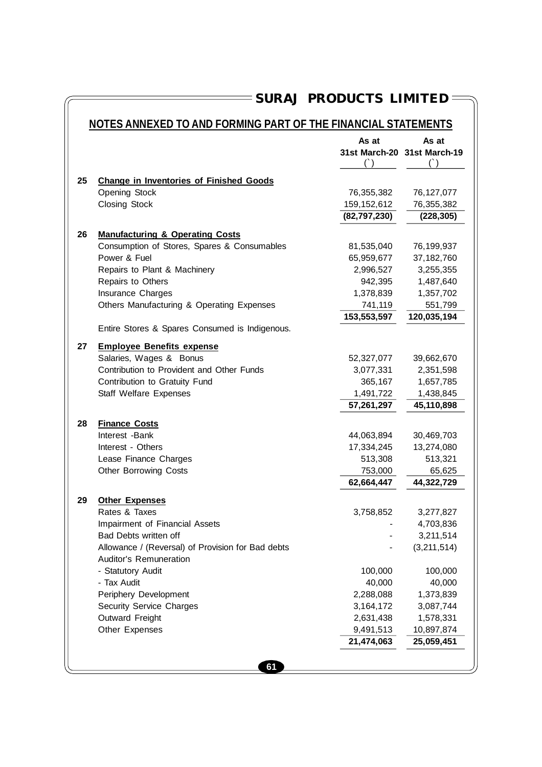## **NOTES ANNEXED TO AND FORMING PART OF THE FINANCIAL STATEMENTS**

|    |                                                   | As at                 | As at                       |
|----|---------------------------------------------------|-----------------------|-----------------------------|
|    |                                                   |                       | 31st March-20 31st March-19 |
|    |                                                   | $($ )                 | $($ )                       |
| 25 | <b>Change in Inventories of Finished Goods</b>    |                       |                             |
|    | <b>Opening Stock</b>                              | 76,355,382            | 76,127,077                  |
|    | <b>Closing Stock</b>                              | 159,152,612           | 76,355,382                  |
|    |                                                   | (82,797,230)          | (228, 305)                  |
|    |                                                   |                       |                             |
| 26 | <b>Manufacturing &amp; Operating Costs</b>        |                       |                             |
|    | Consumption of Stores, Spares & Consumables       | 81,535,040            | 76,199,937                  |
|    | Power & Fuel                                      | 65,959,677            | 37, 182, 760                |
|    | Repairs to Plant & Machinery                      | 2,996,527             | 3,255,355                   |
|    | Repairs to Others                                 | 942,395               | 1,487,640                   |
|    | Insurance Charges                                 | 1,378,839             | 1,357,702                   |
|    | Others Manufacturing & Operating Expenses         | 741,119               | 551,799                     |
|    |                                                   | 153,553,597           | 120,035,194                 |
|    | Entire Stores & Spares Consumed is Indigenous.    |                       |                             |
| 27 | <b>Employee Benefits expense</b>                  |                       |                             |
|    | Salaries, Wages & Bonus                           | 52,327,077            | 39,662,670                  |
|    | Contribution to Provident and Other Funds         | 3,077,331             | 2,351,598                   |
|    | Contribution to Gratuity Fund                     | 365,167               | 1,657,785                   |
|    | Staff Welfare Expenses                            | 1,491,722             | 1,438,845                   |
|    |                                                   | 57,261,297            | 45,110,898                  |
|    |                                                   |                       |                             |
| 28 | <b>Finance Costs</b>                              |                       |                             |
|    | Interest -Bank                                    | 44,063,894            | 30,469,703                  |
|    | Interest - Others                                 | 17,334,245            | 13,274,080                  |
|    | Lease Finance Charges                             | 513,308               | 513,321                     |
|    | <b>Other Borrowing Costs</b>                      | 753,000<br>62,664,447 | 65,625                      |
|    |                                                   |                       | 44,322,729                  |
| 29 | <b>Other Expenses</b>                             |                       |                             |
|    | Rates & Taxes                                     | 3,758,852             | 3,277,827                   |
|    | Impairment of Financial Assets                    |                       | 4,703,836                   |
|    | Bad Debts written off                             |                       | 3,211,514                   |
|    | Allowance / (Reversal) of Provision for Bad debts |                       | (3,211,514)                 |
|    | Auditor's Remuneration                            |                       |                             |
|    | - Statutory Audit                                 | 100,000               | 100,000                     |
|    | - Tax Audit                                       | 40,000                | 40,000                      |
|    | Periphery Development                             | 2,288,088             | 1,373,839                   |
|    | Security Service Charges                          | 3,164,172             | 3,087,744                   |
|    | <b>Outward Freight</b>                            | 2,631,438             | 1,578,331                   |
|    | Other Expenses                                    | 9,491,513             | 10,897,874                  |
|    |                                                   | 21,474,063            | 25,059,451                  |
|    |                                                   |                       |                             |
|    | 61                                                |                       |                             |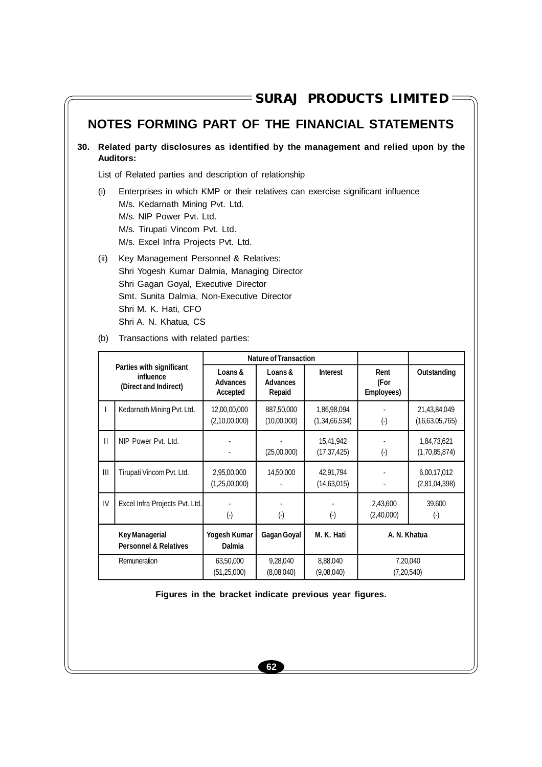|     |              | NOTES FORMING PART OF THE FINANCIAL STATEMENTS                                                                                                                                                                              |                                               |                                      |                                 |                                   |                                |
|-----|--------------|-----------------------------------------------------------------------------------------------------------------------------------------------------------------------------------------------------------------------------|-----------------------------------------------|--------------------------------------|---------------------------------|-----------------------------------|--------------------------------|
| 30. |              | Related party disclosures as identified by the management and relied upon by the<br><b>Auditors:</b>                                                                                                                        |                                               |                                      |                                 |                                   |                                |
|     |              | List of Related parties and description of relationship                                                                                                                                                                     |                                               |                                      |                                 |                                   |                                |
|     | (i)          | Enterprises in which KMP or their relatives can exercise significant influence<br>M/s. Kedarnath Mining Pvt. Ltd.<br>M/s. NIP Power Pvt. Ltd.<br>M/s. Tirupati Vincom Pvt. Ltd.<br>M/s. Excel Infra Projects Pvt. Ltd.      |                                               |                                      |                                 |                                   |                                |
|     | (ii)         | Key Management Personnel & Relatives:<br>Shri Yogesh Kumar Dalmia, Managing Director<br>Shri Gagan Goyal, Executive Director<br>Smt. Sunita Dalmia, Non-Executive Director<br>Shri M. K. Hati, CFO<br>Shri A. N. Khatua, CS |                                               |                                      |                                 |                                   |                                |
|     | (b)          | Transactions with related parties:                                                                                                                                                                                          |                                               |                                      |                                 |                                   |                                |
|     |              | <b>Parties with significant</b>                                                                                                                                                                                             |                                               | <b>Nature of Transaction</b>         |                                 |                                   |                                |
|     |              | <b>influence</b><br>(Direct and Indirect)                                                                                                                                                                                   | Loans &<br><b>Advances</b><br><b>Accepted</b> | Loans &<br><b>Advances</b><br>Repaid | <b>Interest</b>                 | Rent<br>(For<br><b>Employees)</b> | Outstanding                    |
|     | $\mathbf{I}$ | Kedarnath Mining Pvt. Ltd.                                                                                                                                                                                                  | 12,00,00,000<br>(2,10,00,000)                 | 887,50,000<br>(10,00,000)            | 1,86,98,094<br>(1, 34, 66, 534) | ÷.<br>$\left(\cdot\right)$        | 21,43,84,049<br>(16,63,05,765) |
|     | $\mathbf{H}$ | NIP Power Pvt. Ltd.                                                                                                                                                                                                         |                                               | (25,00,000)                          | 15,41,942<br>(17, 37, 425)      | $(\cdot)$                         | 1,84,73,621<br>(1,70,85,874)   |

## **Figures in the bracket indicate previous year figures.**

Remuneration 63,50,000 9,28,040 8,88,040 7,20,040

III Tirupati Vincom Pvt. Ltd. 2,95,00,000 14,50,000 42,91,794 - 6,00,17,012

 $IV$  Excel Infra Projects Pvt. Ltd.  $2,43,600$  39,600

**Key Managerial Yogesh Kumar Gagan Goyal M. K. Hati A. N. Khatua**

Personnel & Relatives | Dalmia

 $(1,25,00,000)$   $(14,63,015)$   $(2,81,04,398)$ 

(-)  $(+)$  (-)  $(+)$   $(2,40,000)$   $(+)$ 

(51,25,000) (8,08,040) (9,08,040) (7,20,540)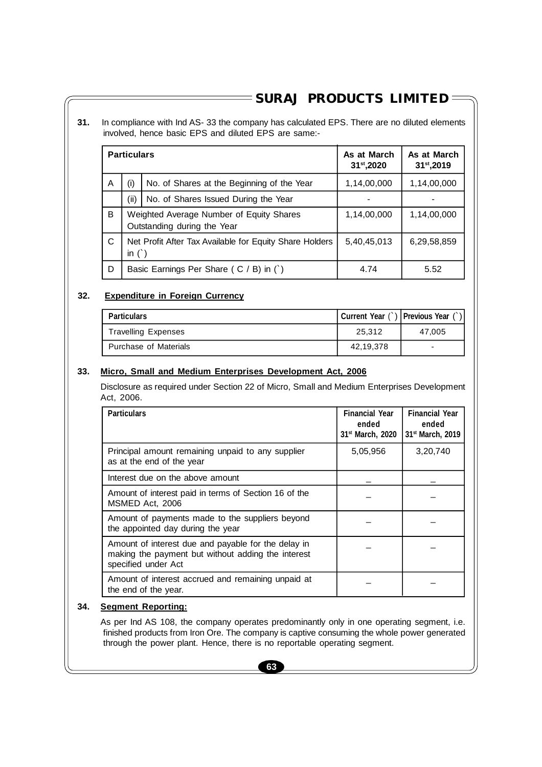### **31.** In compliance with Ind AS- 33 the company has calculated EPS. There are no diluted elements involved, hence basic EPS and diluted EPS are same:-

|   | <b>Particulars</b> |                                                                         | As at March<br>31 <sup>st</sup> ,2020 | As at March<br>31st,2019 |
|---|--------------------|-------------------------------------------------------------------------|---------------------------------------|--------------------------|
| A | (i)                | No. of Shares at the Beginning of the Year                              | 1,14,00,000                           | 1,14,00,000              |
|   | (ii)               | No. of Shares Issued During the Year                                    |                                       |                          |
| B |                    | Weighted Average Number of Equity Shares<br>Outstanding during the Year | 1,14,00,000                           | 1,14,00,000              |
| C | in $($ )           | Net Profit After Tax Available for Equity Share Holders                 | 5,40,45,013                           | 6,29,58,859              |
| D |                    | Basic Earnings Per Share (C / B) in (`)                                 | 4.74                                  | 5.52                     |

## **32. Expenditure in Foreign Currency**

| <b>Particulars</b>         |           | Current Year (`)   Previous Year (`) |
|----------------------------|-----------|--------------------------------------|
| <b>Travelling Expenses</b> | 25.312    | 47.005                               |
| Purchase of Materials      | 42.19.378 |                                      |

## **33. Micro, Small and Medium Enterprises Development Act, 2006**

Disclosure as required under Section 22 of Micro, Small and Medium Enterprises Development Act, 2006.

| <b>Particulars</b>                                                                                                               | <b>Financial Year</b><br>ended<br>31 <sup>st</sup> March, 2020 | <b>Financial Year</b><br>ended<br>31 <sup>st</sup> March, 2019 |
|----------------------------------------------------------------------------------------------------------------------------------|----------------------------------------------------------------|----------------------------------------------------------------|
| Principal amount remaining unpaid to any supplier<br>as at the end of the year                                                   | 5,05,956                                                       | 3,20,740                                                       |
| Interest due on the above amount                                                                                                 |                                                                |                                                                |
| Amount of interest paid in terms of Section 16 of the<br>MSMED Act, 2006                                                         |                                                                |                                                                |
| Amount of payments made to the suppliers beyond<br>the appointed day during the year                                             |                                                                |                                                                |
| Amount of interest due and payable for the delay in<br>making the payment but without adding the interest<br>specified under Act |                                                                |                                                                |
| Amount of interest accrued and remaining unpaid at<br>the end of the year.                                                       |                                                                |                                                                |

### **34. Segment Reporting:**

As per Ind AS 108, the company operates predominantly only in one operating segment, i.e. finished products from Iron Ore. The company is captive consuming the whole power generated through the power plant. Hence, there is no reportable operating segment.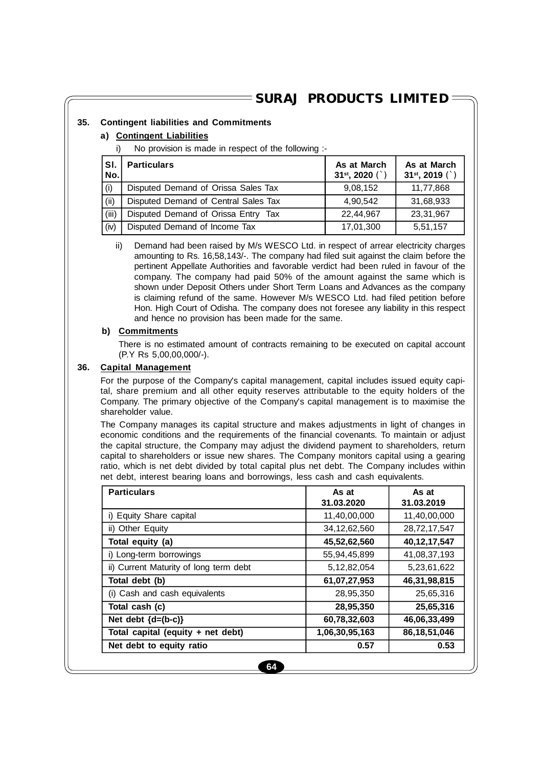### **35. Contingent liabilities and Commitments**

## **a) Contingent Liabilities**

i) No provision is made in respect of the following :-

| SI.<br>No. | <b>Particulars</b>                   | As at March<br>$31^{st}$ , 2020 () | As at March<br>31st, 2019 (`) |
|------------|--------------------------------------|------------------------------------|-------------------------------|
| (i)        | Disputed Demand of Orissa Sales Tax  | 9,08,152                           | 11,77,868                     |
| (ii)       | Disputed Demand of Central Sales Tax | 4,90,542                           | 31,68,933                     |
| (iii)      | Disputed Demand of Orissa Entry Tax  | 22,44,967                          | 23,31,967                     |
| (iv)       | Disputed Demand of Income Tax        | 17,01,300                          | 5,51,157                      |

ii) Demand had been raised by M/s WESCO Ltd. in respect of arrear electricity charges amounting to Rs. 16,58,143/-. The company had filed suit against the claim before the pertinent Appellate Authorities and favorable verdict had been ruled in favour of the company. The company had paid 50% of the amount against the same which is shown under Deposit Others under Short Term Loans and Advances as the company is claiming refund of the same. However M/s WESCO Ltd. had filed petition before Hon. High Court of Odisha. The company does not foresee any liability in this respect and hence no provision has been made for the same.

#### **b) Commitments**

There is no estimated amount of contracts remaining to be executed on capital account (P.Y Rs 5,00,00,000/-).

### **36. Capital Management**

For the purpose of the Company's capital management, capital includes issued equity capital, share premium and all other equity reserves attributable to the equity holders of the Company. The primary objective of the Company's capital management is to maximise the shareholder value.

The Company manages its capital structure and makes adjustments in light of changes in economic conditions and the requirements of the financial covenants. To maintain or adjust the capital structure, the Company may adjust the dividend payment to shareholders, return capital to shareholders or issue new shares. The Company monitors capital using a gearing ratio, which is net debt divided by total capital plus net debt. The Company includes within net debt, interest bearing loans and borrowings, less cash and cash equivalents.

| <b>Particulars</b>                     | As at<br>31.03.2020 | As at<br>31.03.2019 |
|----------------------------------------|---------------------|---------------------|
| i) Equity Share capital                | 11,40,00,000        | 11,40,00,000        |
| ii) Other Equity                       | 34,12,62,560        | 28,72,17,547        |
| Total equity (a)                       | 45,52,62,560        | 40,12,17,547        |
| i) Long-term borrowings                | 55,94,45,899        | 41,08,37,193        |
| ii) Current Maturity of long term debt | 5, 12, 82, 054      | 5,23,61,622         |
| Total debt (b)                         | 61,07,27,953        | 46,31,98,815        |
| (i) Cash and cash equivalents          | 28,95,350           | 25,65,316           |
| Total cash (c)                         | 28,95,350           | 25,65,316           |
| Net debt ${d=(b-c)}$                   | 60,78,32,603        | 46,06,33,499        |
| Total capital (equity + net debt)      | 1,06,30,95,163      | 86, 18, 51, 046     |
| Net debt to equity ratio               | 0.57                | 0.53                |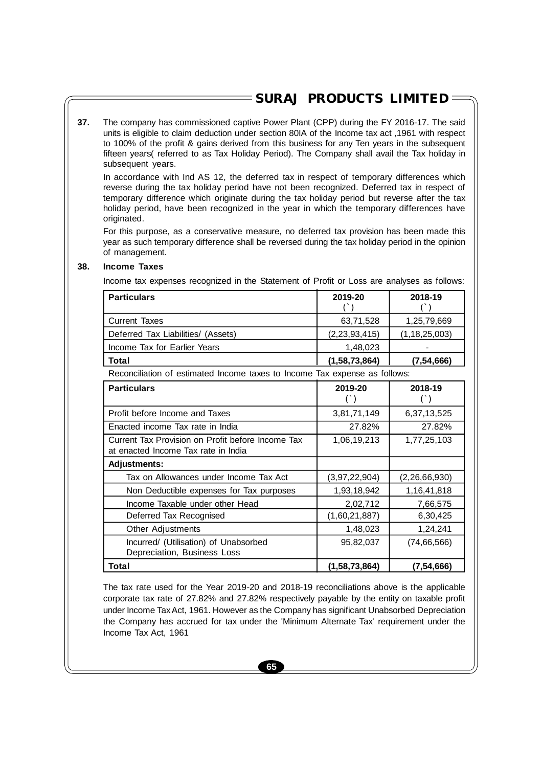**37.** The company has commissioned captive Power Plant (CPP) during the FY 2016-17. The said units is eligible to claim deduction under section 80IA of the Income tax act ,1961 with respect to 100% of the profit & gains derived from this business for any Ten years in the subsequent fifteen years( referred to as Tax Holiday Period). The Company shall avail the Tax holiday in subsequent years.

In accordance with Ind AS 12, the deferred tax in respect of temporary differences which reverse during the tax holiday period have not been recognized. Deferred tax in respect of temporary difference which originate during the tax holiday period but reverse after the tax holiday period, have been recognized in the year in which the temporary differences have originated.

For this purpose, as a conservative measure, no deferred tax provision has been made this year as such temporary difference shall be reversed during the tax holiday period in the opinion of management.

#### **38. Income Taxes**

Income tax expenses recognized in the Statement of Profit or Loss are analyses as follows:

| <b>Particulars</b>                                                                       | 2019-20          | 2018-19          |
|------------------------------------------------------------------------------------------|------------------|------------------|
|                                                                                          |                  |                  |
| <b>Current Taxes</b>                                                                     | 63,71,528        | 1,25,79,669      |
| Deferred Tax Liabilities/ (Assets)                                                       | (2, 23, 93, 415) | (1, 18, 25, 003) |
| Income Tax for Earlier Years                                                             | 1,48,023         |                  |
| <b>Total</b>                                                                             | (1, 58, 73, 864) | (7, 54, 666)     |
| Reconciliation of estimated Income taxes to Income Tax expense as follows:               |                  |                  |
| <b>Particulars</b>                                                                       | 2019-20<br>$($ ) | 2018-19<br>( )   |
| Profit before Income and Taxes                                                           | 3,81,71,149      | 6,37,13,525      |
| Enacted income Tax rate in India                                                         | 27.82%           | 27.82%           |
| Current Tax Provision on Profit before Income Tax<br>at enacted Income Tax rate in India | 1,06,19,213      | 1,77,25,103      |
| <b>Adjustments:</b>                                                                      |                  |                  |
| Tax on Allowances under Income Tax Act                                                   | (3, 97, 22, 904) | (2, 26, 66, 930) |
| Non Deductible expenses for Tax purposes                                                 | 1,93,18,942      | 1,16,41,818      |
| Income Taxable under other Head                                                          | 2,02,712         | 7,66,575         |
| Deferred Tax Recognised                                                                  | (1,60,21,887)    | 6,30,425         |
| Other Adjustments                                                                        | 1,48,023         | 1,24,241         |
| Incurred/ (Utilisation) of Unabsorbed<br>Depreciation, Business Loss                     | 95,82,037        | (74, 66, 566)    |
| <b>Total</b>                                                                             | (1,58,73,864)    | (7, 54, 666)     |

The tax rate used for the Year 2019-20 and 2018-19 reconciliations above is the applicable corporate tax rate of 27.82% and 27.82% respectively payable by the entity on taxable profit under Income Tax Act, 1961. However as the Company has significant Unabsorbed Depreciation the Company has accrued for tax under the 'Minimum Alternate Tax' requirement under the Income Tax Act, 1961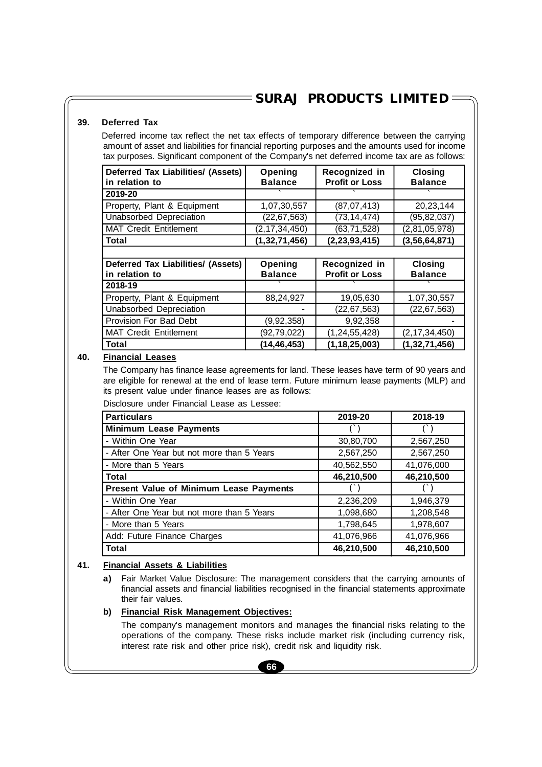### **39. Deferred Tax**

Deferred income tax reflect the net tax effects of temporary difference between the carrying amount of asset and liabilities for financial reporting purposes and the amounts used for income tax purposes. Significant component of the Company's net deferred income tax are as follows:

| <b>Deferred Tax Liabilities/ (Assets)</b><br>in relation to | Opening<br><b>Balance</b> | Recognized in<br><b>Profit or Loss</b> | Closing<br><b>Balance</b> |
|-------------------------------------------------------------|---------------------------|----------------------------------------|---------------------------|
| 2019-20                                                     |                           |                                        |                           |
| Property, Plant & Equipment                                 | 1,07,30,557               | (87,07,413)                            | 20,23,144                 |
| <b>Unabsorbed Depreciation</b>                              | (22, 67, 563)             | (73, 14, 474)                          | (95, 82, 037)             |
| <b>MAT Credit Entitlement</b>                               | (2, 17, 34, 450)          | (63, 71, 528)                          | (2,81,05,978)             |
| <b>Total</b>                                                | (1, 32, 71, 456)          | (2, 23, 93, 415)                       | (3, 56, 64, 871)          |
|                                                             |                           |                                        |                           |

| Deferred Tax Liabilities/ (Assets)<br>in relation to | Opening<br><b>Balance</b> | Recognized in<br><b>Profit or Loss</b> | <b>Closing</b><br><b>Balance</b> |
|------------------------------------------------------|---------------------------|----------------------------------------|----------------------------------|
| 2018-19                                              |                           |                                        |                                  |
| Property, Plant & Equipment                          | 88,24,927                 | 19,05,630                              | 1,07,30,557                      |
| Unabsorbed Depreciation                              |                           | (22, 67, 563)                          | (22, 67, 563)                    |
| Provision For Bad Debt                               | (9,92,358)                | 9.92.358                               |                                  |
| <b>MAT Credit Entitlement</b>                        | (92, 79, 022)             | (1, 24, 55, 428)                       | (2, 17, 34, 450)                 |
| <b>Total</b>                                         | (14, 46, 453)             | (1, 18, 25, 003)                       | (1, 32, 71, 456)                 |

## **40. Financial Leases**

The Company has finance lease agreements for land. These leases have term of 90 years and are eligible for renewal at the end of lease term. Future minimum lease payments (MLP) and its present value under finance leases are as follows:

Disclosure under Financial Lease as Lessee:

| <b>Particulars</b>                             | 2019-20    | 2018-19    |
|------------------------------------------------|------------|------------|
| <b>Minimum Lease Payments</b>                  | (` `       |            |
| - Within One Year                              | 30,80,700  | 2,567,250  |
| - After One Year but not more than 5 Years     | 2,567,250  | 2,567,250  |
| - More than 5 Years                            | 40,562,550 | 41,076,000 |
| <b>Total</b>                                   | 46,210,500 | 46,210,500 |
| <b>Present Value of Minimum Lease Payments</b> |            |            |
| - Within One Year                              | 2,236,209  | 1,946,379  |
| - After One Year but not more than 5 Years     | 1,098,680  | 1,208,548  |
| - More than 5 Years                            | 1,798,645  | 1,978,607  |
| Add: Future Finance Charges                    | 41,076,966 | 41,076,966 |
| <b>Total</b>                                   | 46,210,500 | 46,210,500 |

## **41. Financial Assets & Liabilities**

**a)** Fair Market Value Disclosure: The management considers that the carrying amounts of financial assets and financial liabilities recognised in the financial statements approximate their fair values.

#### **b) Financial Risk Management Objectives:**

The company's management monitors and manages the financial risks relating to the operations of the company. These risks include market risk (including currency risk, interest rate risk and other price risk), credit risk and liquidity risk.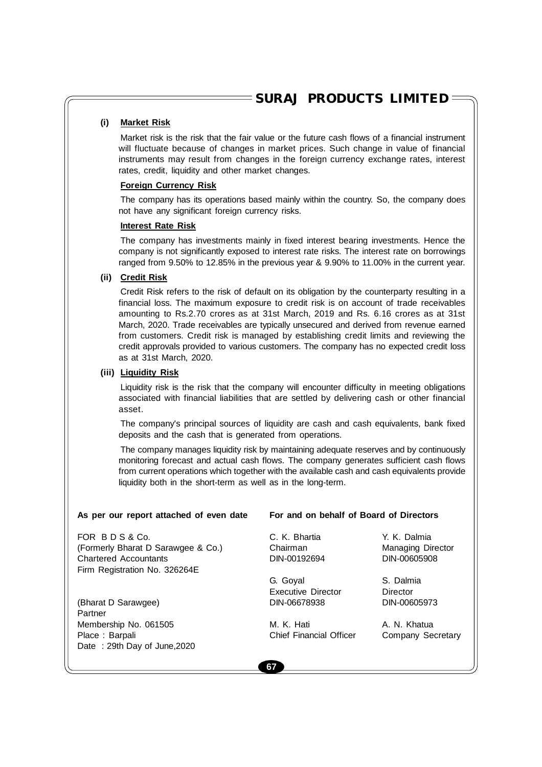### **(i) Market Risk**

Market risk is the risk that the fair value or the future cash flows of a financial instrument will fluctuate because of changes in market prices. Such change in value of financial instruments may result from changes in the foreign currency exchange rates, interest rates, credit, liquidity and other market changes.

#### **Foreign Currency Risk**

The company has its operations based mainly within the country. So, the company does not have any significant foreign currency risks.

#### **Interest Rate Risk**

The company has investments mainly in fixed interest bearing investments. Hence the company is not significantly exposed to interest rate risks. The interest rate on borrowings ranged from 9.50% to 12.85% in the previous year & 9.90% to 11.00% in the current year.

## **(ii) Credit Risk**

Credit Risk refers to the risk of default on its obligation by the counterparty resulting in a financial loss. The maximum exposure to credit risk is on account of trade receivables amounting to Rs.2.70 crores as at 31st March, 2019 and Rs. 6.16 crores as at 31st March, 2020. Trade receivables are typically unsecured and derived from revenue earned from customers. Credit risk is managed by establishing credit limits and reviewing the credit approvals provided to various customers. The company has no expected credit loss as at 31st March, 2020.

### **(iii) Liquidity Risk**

Liquidity risk is the risk that the company will encounter difficulty in meeting obligations associated with financial liabilities that are settled by delivering cash or other financial asset.

The company's principal sources of liquidity are cash and cash equivalents, bank fixed deposits and the cash that is generated from operations.

The company manages liquidity risk by maintaining adequate reserves and by continuously monitoring forecast and actual cash flows. The company generates sufficient cash flows from current operations which together with the available cash and cash equivalents provide liquidity both in the short-term as well as in the long-term.

#### **As per our report attached of even date For and on behalf of Board of Directors**

FOR B D S & Co. C. K. Bhartia Y. K. Dalmia (Formerly Bharat D Sarawgee & Co.) Chairman Managing Director Chartered Accountants DIN-00192694 DIN-00605908 Firm Registration No. 326264E

(Bharat D Sarawgee) DIN-06678938 DIN-00605973 Partner Membership No. 061505 M. K. Hati A. N. Khatua Place : Barpali **Chief Financial Officer** Company Secretary Date : 29th Day of June,2020

G. Goyal S. Dalmia Executive Director Director